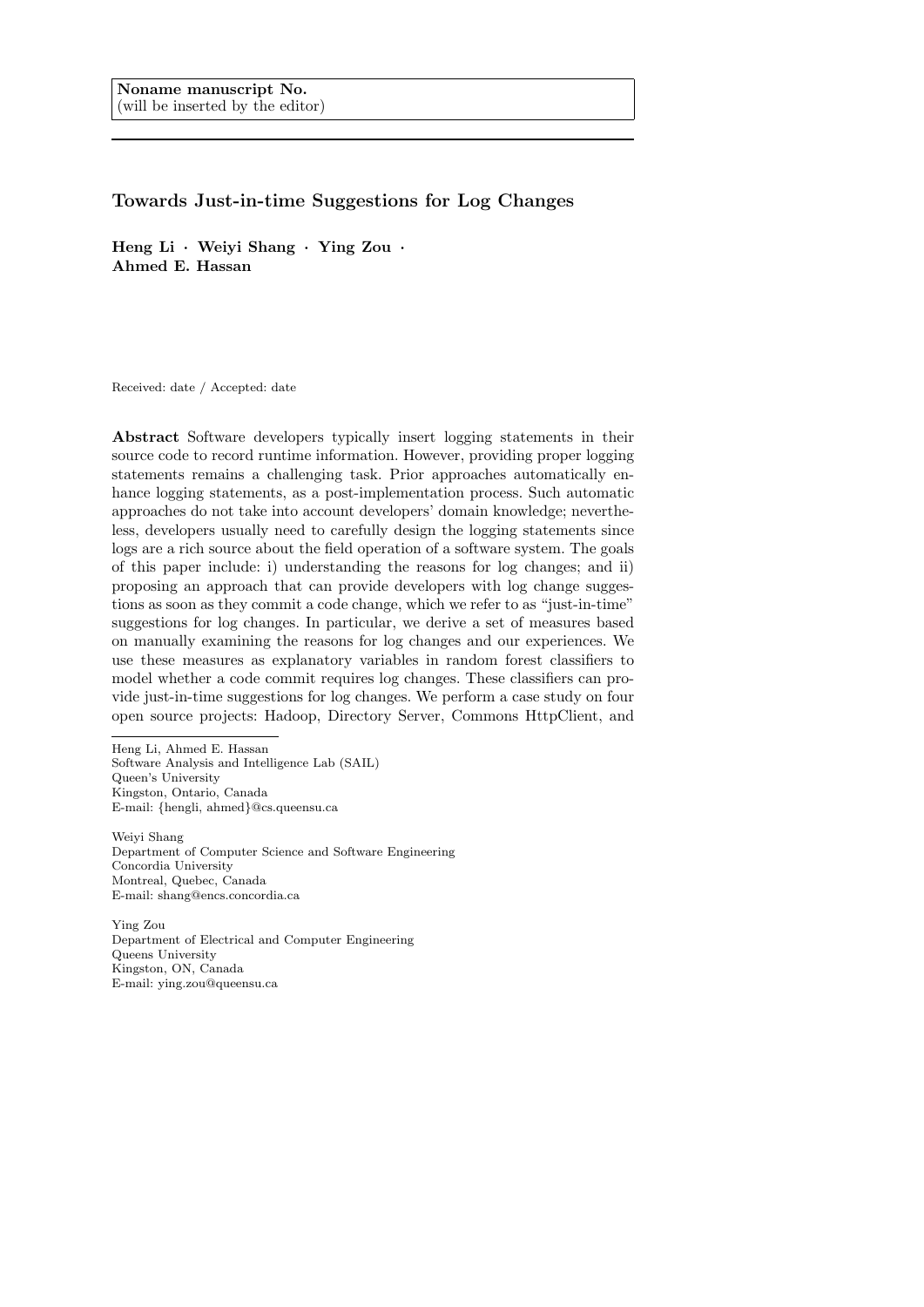# Towards Just-in-time Suggestions for Log Changes

Heng Li · Weiyi Shang · Ying Zou · Ahmed E. Hassan

Received: date / Accepted: date

Abstract Software developers typically insert logging statements in their source code to record runtime information. However, providing proper logging statements remains a challenging task. Prior approaches automatically enhance logging statements, as a post-implementation process. Such automatic approaches do not take into account developers' domain knowledge; nevertheless, developers usually need to carefully design the logging statements since logs are a rich source about the field operation of a software system. The goals of this paper include: i) understanding the reasons for log changes; and ii) proposing an approach that can provide developers with log change suggestions as soon as they commit a code change, which we refer to as "just-in-time" suggestions for log changes. In particular, we derive a set of measures based on manually examining the reasons for log changes and our experiences. We use these measures as explanatory variables in random forest classifiers to model whether a code commit requires log changes. These classifiers can provide just-in-time suggestions for log changes. We perform a case study on four open source projects: Hadoop, Directory Server, Commons HttpClient, and

Heng Li, Ahmed E. Hassan Software Analysis and Intelligence Lab (SAIL) Queen's University Kingston, Ontario, Canada E-mail: {hengli, ahmed}@cs.queensu.ca

Weiyi Shang Department of Computer Science and Software Engineering Concordia University Montreal, Quebec, Canada E-mail: shang@encs.concordia.ca

Ying Zou Department of Electrical and Computer Engineering Queens University Kingston, ON, Canada E-mail: ying.zou@queensu.ca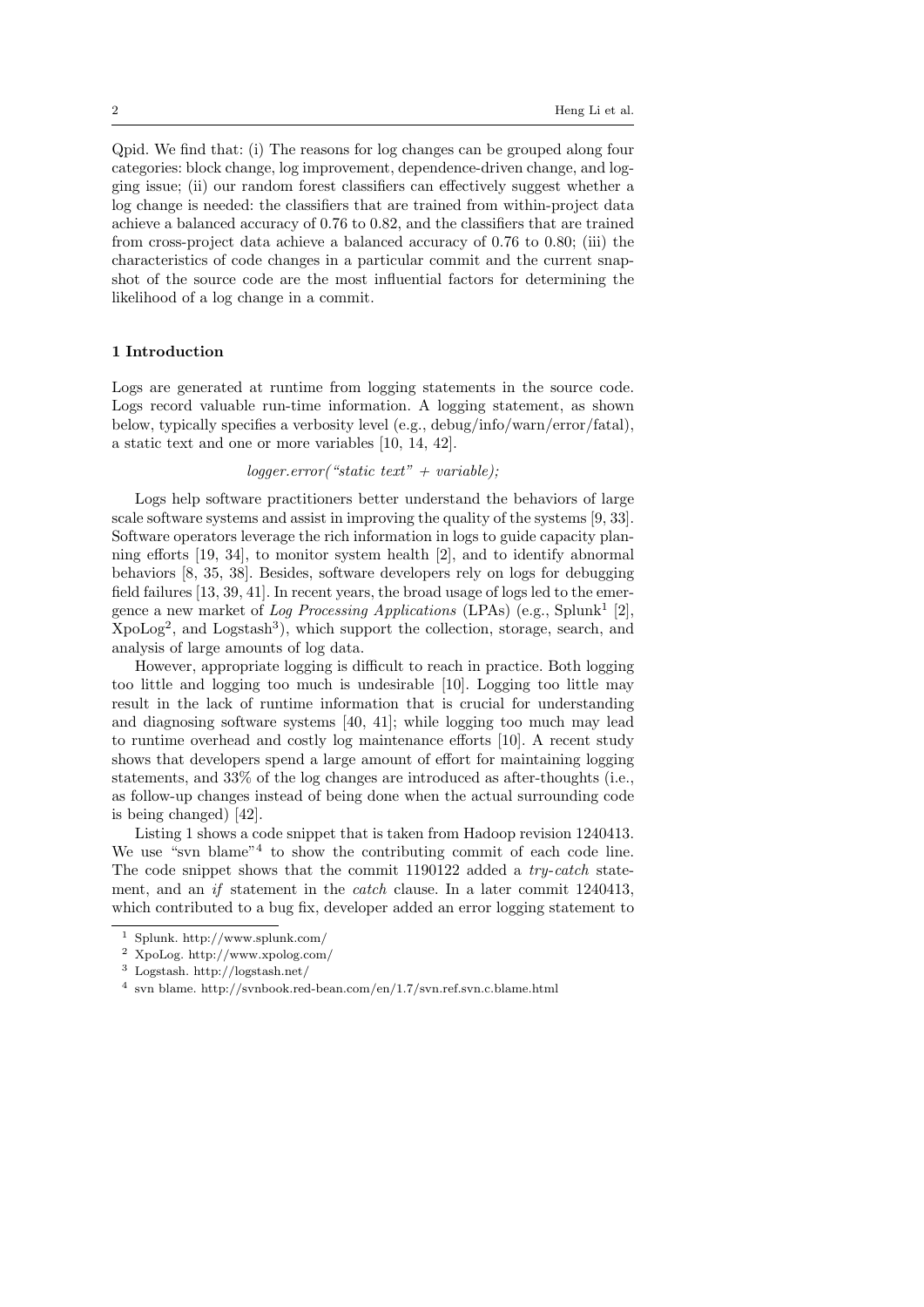Qpid. We find that: (i) The reasons for log changes can be grouped along four categories: block change, log improvement, dependence-driven change, and logging issue; (ii) our random forest classifiers can effectively suggest whether a log change is needed: the classifiers that are trained from within-project data achieve a balanced accuracy of 0.76 to 0.82, and the classifiers that are trained from cross-project data achieve a balanced accuracy of 0.76 to 0.80; (iii) the characteristics of code changes in a particular commit and the current snapshot of the source code are the most influential factors for determining the likelihood of a log change in a commit.

# 1 Introduction

Logs are generated at runtime from logging statements in the source code. Logs record valuable run-time information. A logging statement, as shown below, typically specifies a verbosity level (e.g., debug/info/warn/error/fatal), a static text and one or more variables [10, 14, 42].

# $logger. error('static text" + variable);$

Logs help software practitioners better understand the behaviors of large scale software systems and assist in improving the quality of the systems [9, 33]. Software operators leverage the rich information in logs to guide capacity planning efforts [19, 34], to monitor system health [2], and to identify abnormal behaviors [8, 35, 38]. Besides, software developers rely on logs for debugging field failures [13, 39, 41]. In recent years, the broad usage of logs led to the emergence a new market of Log Processing Applications (LPAs) (e.g., Splunk<sup>1</sup> [2],  $XpoLog<sup>2</sup>$ , and Logstash<sup>3</sup>), which support the collection, storage, search, and analysis of large amounts of log data.

However, appropriate logging is difficult to reach in practice. Both logging too little and logging too much is undesirable [10]. Logging too little may result in the lack of runtime information that is crucial for understanding and diagnosing software systems [40, 41]; while logging too much may lead to runtime overhead and costly log maintenance efforts [10]. A recent study shows that developers spend a large amount of effort for maintaining logging statements, and 33% of the log changes are introduced as after-thoughts (i.e., as follow-up changes instead of being done when the actual surrounding code is being changed) [42].

Listing 1 shows a code snippet that is taken from Hadoop revision 1240413. We use "svn blame"<sup>4</sup> to show the contributing commit of each code line. The code snippet shows that the commit 1190122 added a  $try\text{-}catch$  statement, and an *if* statement in the *catch* clause. In a later commit 1240413, which contributed to a bug fix, developer added an error logging statement to

<sup>1</sup> Splunk. http://www.splunk.com/

<sup>2</sup> XpoLog. http://www.xpolog.com/

<sup>3</sup> Logstash. http://logstash.net/

<sup>4</sup> svn blame. http://svnbook.red-bean.com/en/1.7/svn.ref.svn.c.blame.html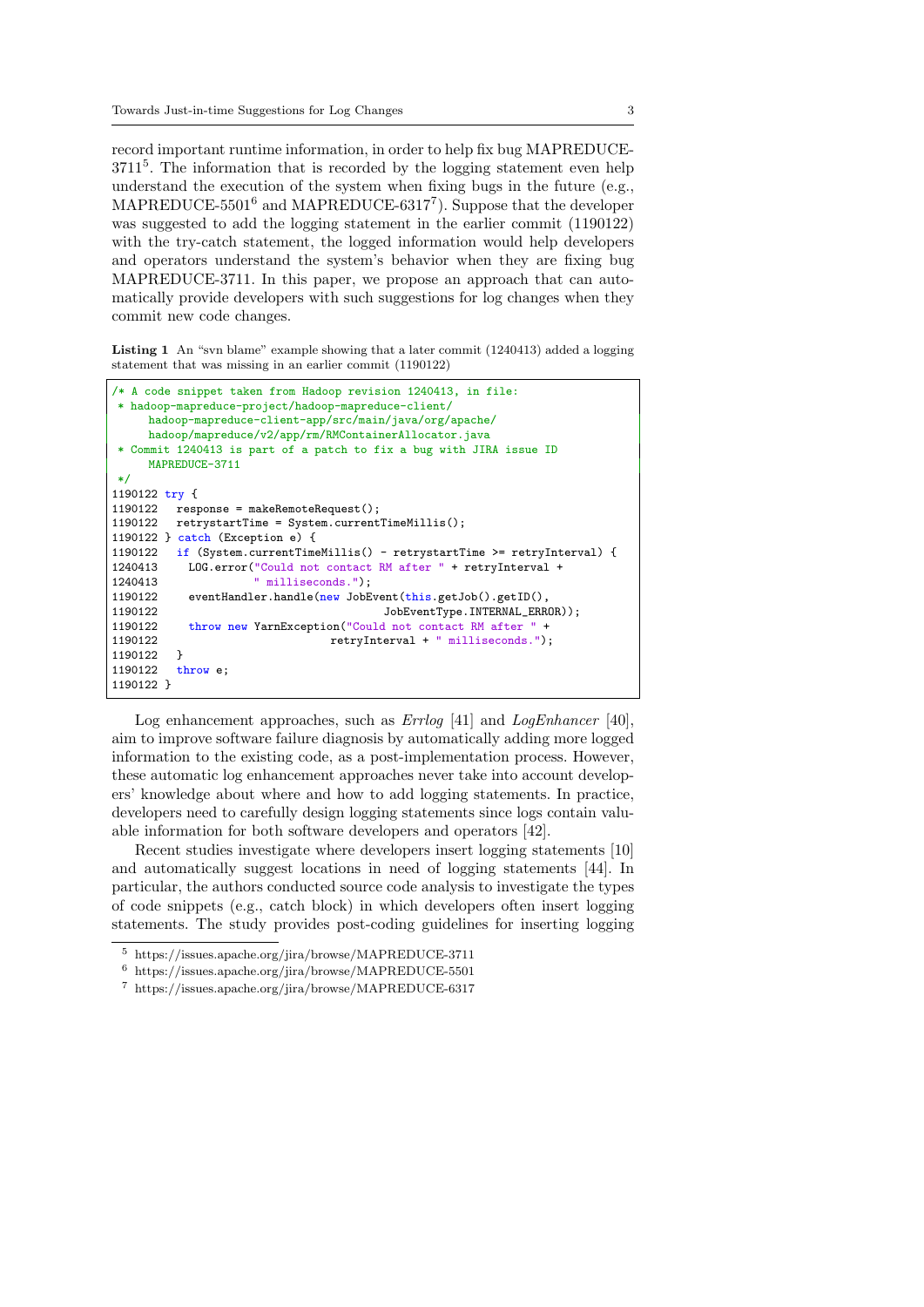record important runtime information, in order to help fix bug MAPREDUCE-3711<sup>5</sup>. The information that is recorded by the logging statement even help understand the execution of the system when fixing bugs in the future (e.g., MAPREDUCE-5501<sup>6</sup> and MAPREDUCE-6317<sup>7</sup>). Suppose that the developer was suggested to add the logging statement in the earlier commit (1190122) with the try-catch statement, the logged information would help developers and operators understand the system's behavior when they are fixing bug MAPREDUCE-3711. In this paper, we propose an approach that can automatically provide developers with such suggestions for log changes when they commit new code changes.

Listing 1 An "svn blame" example showing that a later commit (1240413) added a logging statement that was missing in an earlier commit (1190122)

```
/* A code snippet taken from Hadoop revision 1240413, in file:
* hadoop-mapreduce-project/hadoop-mapreduce-client/
      hadoop-mapreduce-client-app/src/main/java/org/apache/
      hadoop/mapreduce/v2/app/rm/RMContainerAllocator.java
* Commit 1240413 is part of a patch to fix a bug with JIRA issue ID
      MAPREDUCE-3711
 */
1190122 try {
1190122 response = makeRemoteRequest();<br>1190122 retrystartTime = System.current
          retrystartTime = System.currentTimeMillis();
1190122 } catch (Exception e) {
1190122 if (System.currentTimeMillis() - retrystartTime >= retryInterval) {<br>1240413 LOG.error("Could not contact RM after " + retryInterval +
            LOG.error("Could not contact RM after " + retryInterval +
1240413 milliseconds.");
1190122 eventHandler.handle(new JobEvent(this.getJob().getID(),
1190122 JobEventType.INTERNAL_ERROR));
1190122 throw new YarnException("Could not contact RM after " + 1190122 retryInterval + " milliseconds.");
                                    retryInterval + " milliseconds.");
1190122 }
1190122 throw e;
1190122 }
```
Log enhancement approaches, such as  $Errlog$  [41] and  $LogEnhancer$  [40], aim to improve software failure diagnosis by automatically adding more logged information to the existing code, as a post-implementation process. However, these automatic log enhancement approaches never take into account developers' knowledge about where and how to add logging statements. In practice, developers need to carefully design logging statements since logs contain valuable information for both software developers and operators [42].

Recent studies investigate where developers insert logging statements [10] and automatically suggest locations in need of logging statements [44]. In particular, the authors conducted source code analysis to investigate the types of code snippets (e.g., catch block) in which developers often insert logging statements. The study provides post-coding guidelines for inserting logging

<sup>5</sup> https://issues.apache.org/jira/browse/MAPREDUCE-3711

<sup>6</sup> https://issues.apache.org/jira/browse/MAPREDUCE-5501

<sup>7</sup> https://issues.apache.org/jira/browse/MAPREDUCE-6317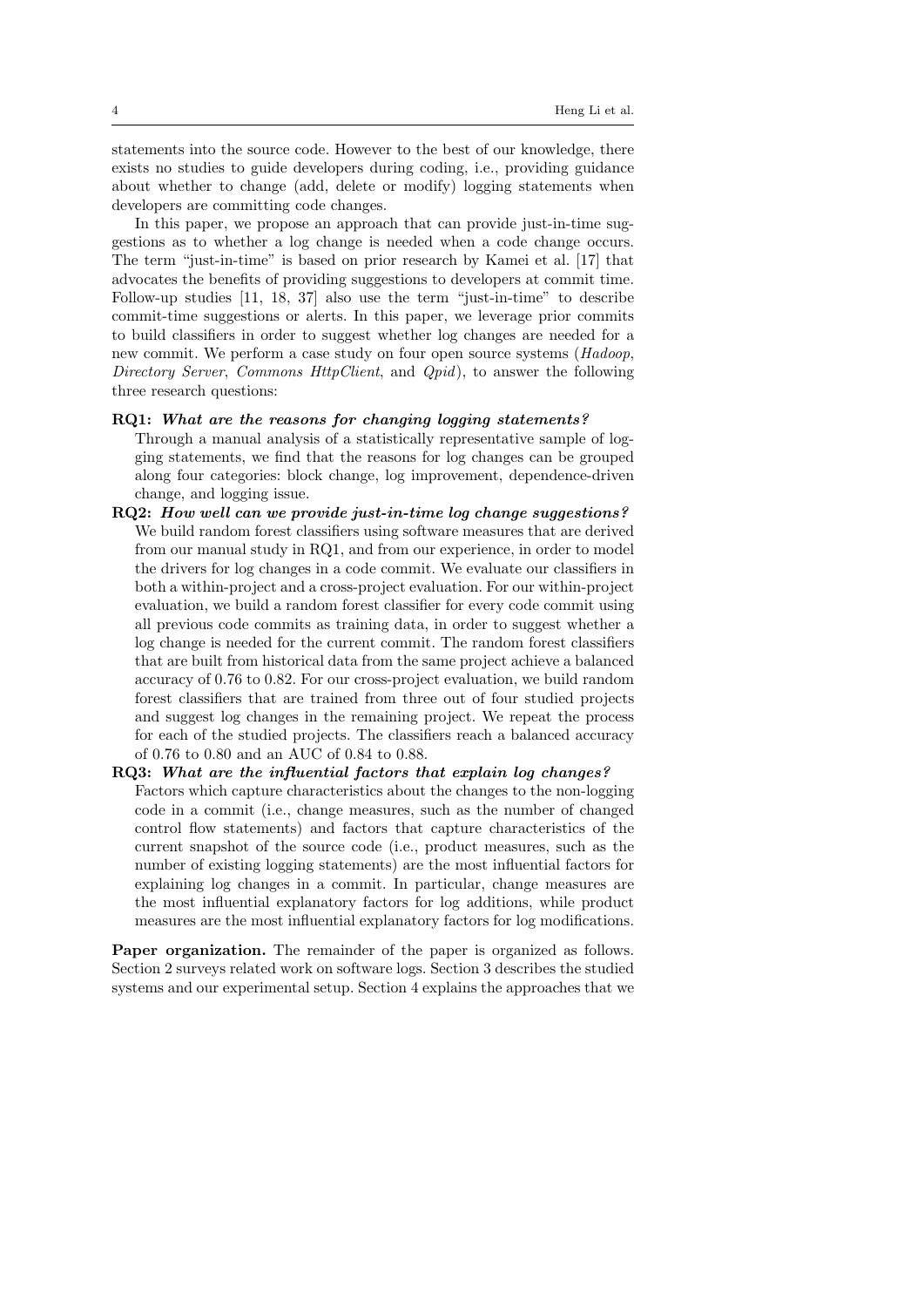statements into the source code. However to the best of our knowledge, there exists no studies to guide developers during coding, i.e., providing guidance about whether to change (add, delete or modify) logging statements when developers are committing code changes.

In this paper, we propose an approach that can provide just-in-time suggestions as to whether a log change is needed when a code change occurs. The term "just-in-time" is based on prior research by Kamei et al. [17] that advocates the benefits of providing suggestions to developers at commit time. Follow-up studies [11, 18, 37] also use the term "just-in-time" to describe commit-time suggestions or alerts. In this paper, we leverage prior commits to build classifiers in order to suggest whether log changes are needed for a new commit. We perform a case study on four open source systems (Hadoop, Directory Server, Commons HttpClient, and Qpid), to answer the following three research questions:

# RQ1: What are the reasons for changing logging statements?

Through a manual analysis of a statistically representative sample of logging statements, we find that the reasons for log changes can be grouped along four categories: block change, log improvement, dependence-driven change, and logging issue.

RQ2: How well can we provide just-in-time log change suggestions? We build random forest classifiers using software measures that are derived from our manual study in RQ1, and from our experience, in order to model the drivers for log changes in a code commit. We evaluate our classifiers in both a within-project and a cross-project evaluation. For our within-project evaluation, we build a random forest classifier for every code commit using all previous code commits as training data, in order to suggest whether a log change is needed for the current commit. The random forest classifiers that are built from historical data from the same project achieve a balanced accuracy of 0.76 to 0.82. For our cross-project evaluation, we build random forest classifiers that are trained from three out of four studied projects and suggest log changes in the remaining project. We repeat the process for each of the studied projects. The classifiers reach a balanced accuracy of 0.76 to 0.80 and an AUC of 0.84 to 0.88.

# RQ3: What are the influential factors that explain log changes? Factors which capture characteristics about the changes to the non-logging code in a commit (i.e., change measures, such as the number of changed control flow statements) and factors that capture characteristics of the current snapshot of the source code (i.e., product measures, such as the number of existing logging statements) are the most influential factors for explaining log changes in a commit. In particular, change measures are the most influential explanatory factors for log additions, while product measures are the most influential explanatory factors for log modifications.

Paper organization. The remainder of the paper is organized as follows. Section 2 surveys related work on software logs. Section 3 describes the studied systems and our experimental setup. Section 4 explains the approaches that we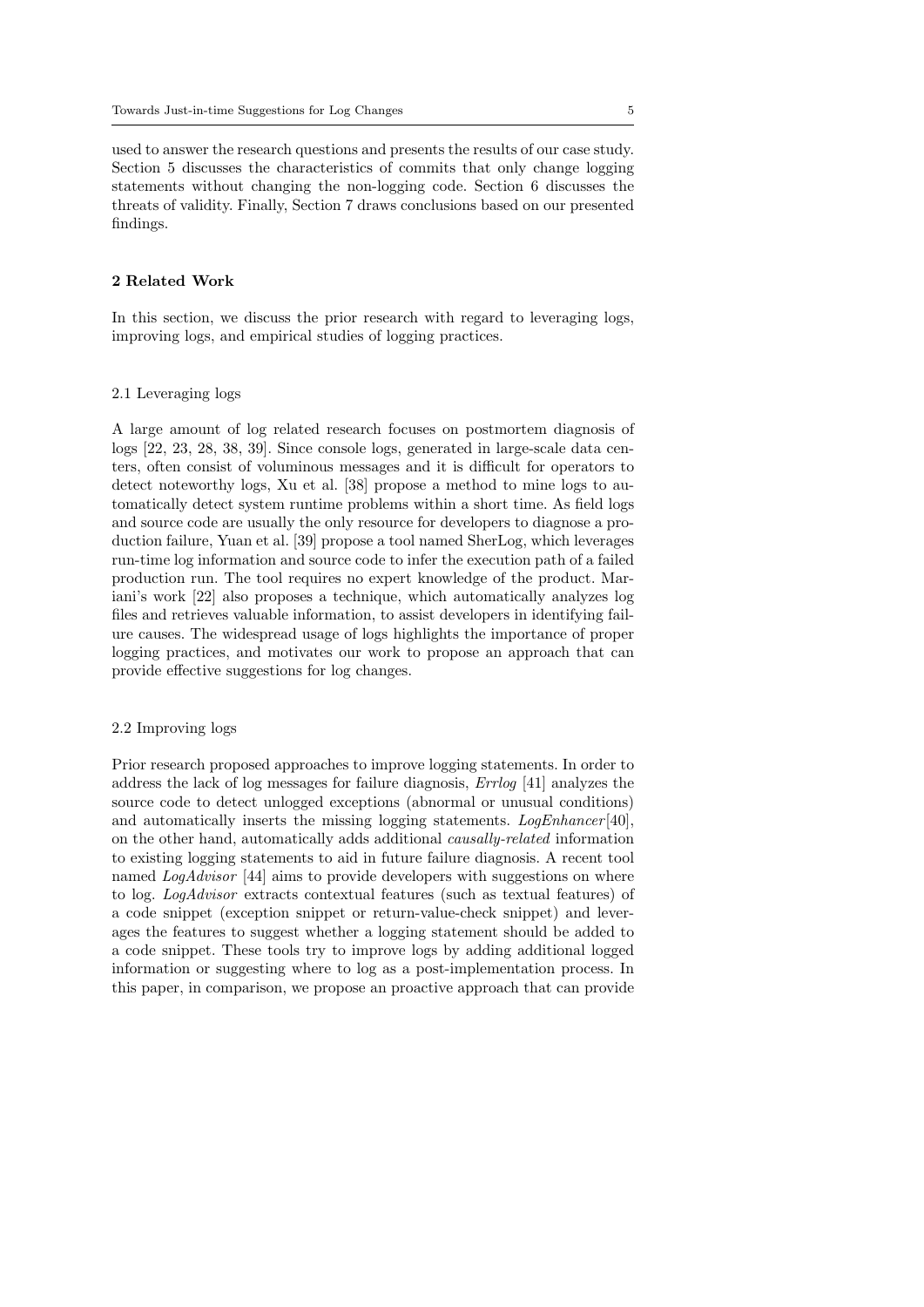used to answer the research questions and presents the results of our case study. Section 5 discusses the characteristics of commits that only change logging statements without changing the non-logging code. Section 6 discusses the threats of validity. Finally, Section 7 draws conclusions based on our presented findings.

# 2 Related Work

In this section, we discuss the prior research with regard to leveraging logs, improving logs, and empirical studies of logging practices.

## 2.1 Leveraging logs

A large amount of log related research focuses on postmortem diagnosis of logs [22, 23, 28, 38, 39]. Since console logs, generated in large-scale data centers, often consist of voluminous messages and it is difficult for operators to detect noteworthy logs, Xu et al. [38] propose a method to mine logs to automatically detect system runtime problems within a short time. As field logs and source code are usually the only resource for developers to diagnose a production failure, Yuan et al. [39] propose a tool named SherLog, which leverages run-time log information and source code to infer the execution path of a failed production run. The tool requires no expert knowledge of the product. Mariani's work [22] also proposes a technique, which automatically analyzes log files and retrieves valuable information, to assist developers in identifying failure causes. The widespread usage of logs highlights the importance of proper logging practices, and motivates our work to propose an approach that can provide effective suggestions for log changes.

### 2.2 Improving logs

Prior research proposed approaches to improve logging statements. In order to address the lack of log messages for failure diagnosis, Errlog [41] analyzes the source code to detect unlogged exceptions (abnormal or unusual conditions) and automatically inserts the missing logging statements.  $LogEnhancer[40]$ , on the other hand, automatically adds additional causally-related information to existing logging statements to aid in future failure diagnosis. A recent tool named *LogAdvisor* [44] aims to provide developers with suggestions on where to log. LogAdvisor extracts contextual features (such as textual features) of a code snippet (exception snippet or return-value-check snippet) and leverages the features to suggest whether a logging statement should be added to a code snippet. These tools try to improve logs by adding additional logged information or suggesting where to log as a post-implementation process. In this paper, in comparison, we propose an proactive approach that can provide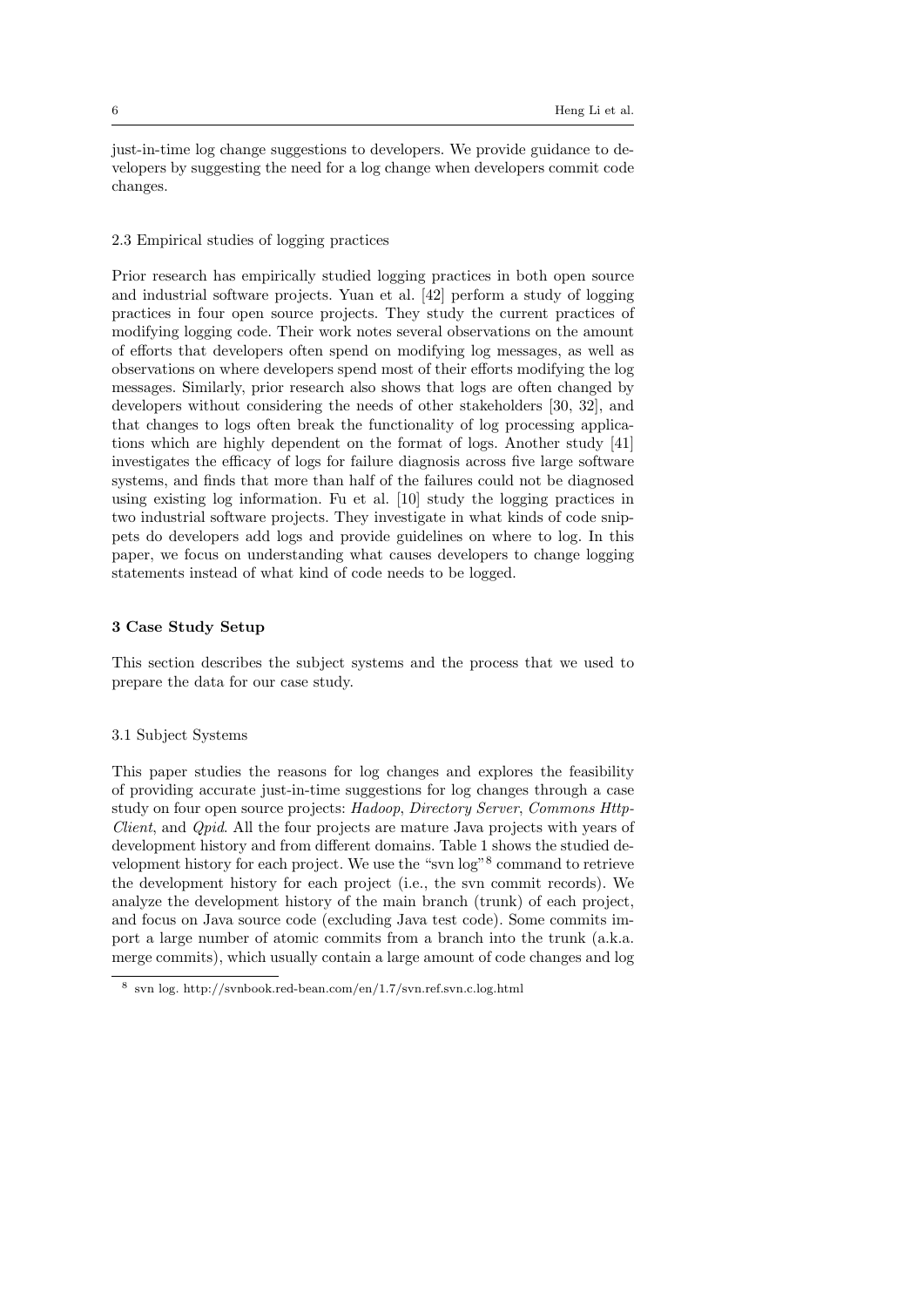just-in-time log change suggestions to developers. We provide guidance to developers by suggesting the need for a log change when developers commit code changes.

### 2.3 Empirical studies of logging practices

Prior research has empirically studied logging practices in both open source and industrial software projects. Yuan et al. [42] perform a study of logging practices in four open source projects. They study the current practices of modifying logging code. Their work notes several observations on the amount of efforts that developers often spend on modifying log messages, as well as observations on where developers spend most of their efforts modifying the log messages. Similarly, prior research also shows that logs are often changed by developers without considering the needs of other stakeholders [30, 32], and that changes to logs often break the functionality of log processing applications which are highly dependent on the format of logs. Another study [41] investigates the efficacy of logs for failure diagnosis across five large software systems, and finds that more than half of the failures could not be diagnosed using existing log information. Fu et al. [10] study the logging practices in two industrial software projects. They investigate in what kinds of code snippets do developers add logs and provide guidelines on where to log. In this paper, we focus on understanding what causes developers to change logging statements instead of what kind of code needs to be logged.

## 3 Case Study Setup

This section describes the subject systems and the process that we used to prepare the data for our case study.

### 3.1 Subject Systems

This paper studies the reasons for log changes and explores the feasibility of providing accurate just-in-time suggestions for log changes through a case study on four open source projects: Hadoop, Directory Server, Commons Http-Client, and Qpid. All the four projects are mature Java projects with years of development history and from different domains. Table 1 shows the studied development history for each project. We use the "svn log"<sup>8</sup> command to retrieve the development history for each project (i.e., the svn commit records). We analyze the development history of the main branch (trunk) of each project, and focus on Java source code (excluding Java test code). Some commits import a large number of atomic commits from a branch into the trunk (a.k.a. merge commits), which usually contain a large amount of code changes and log

<sup>8</sup> svn log. http://svnbook.red-bean.com/en/1.7/svn.ref.svn.c.log.html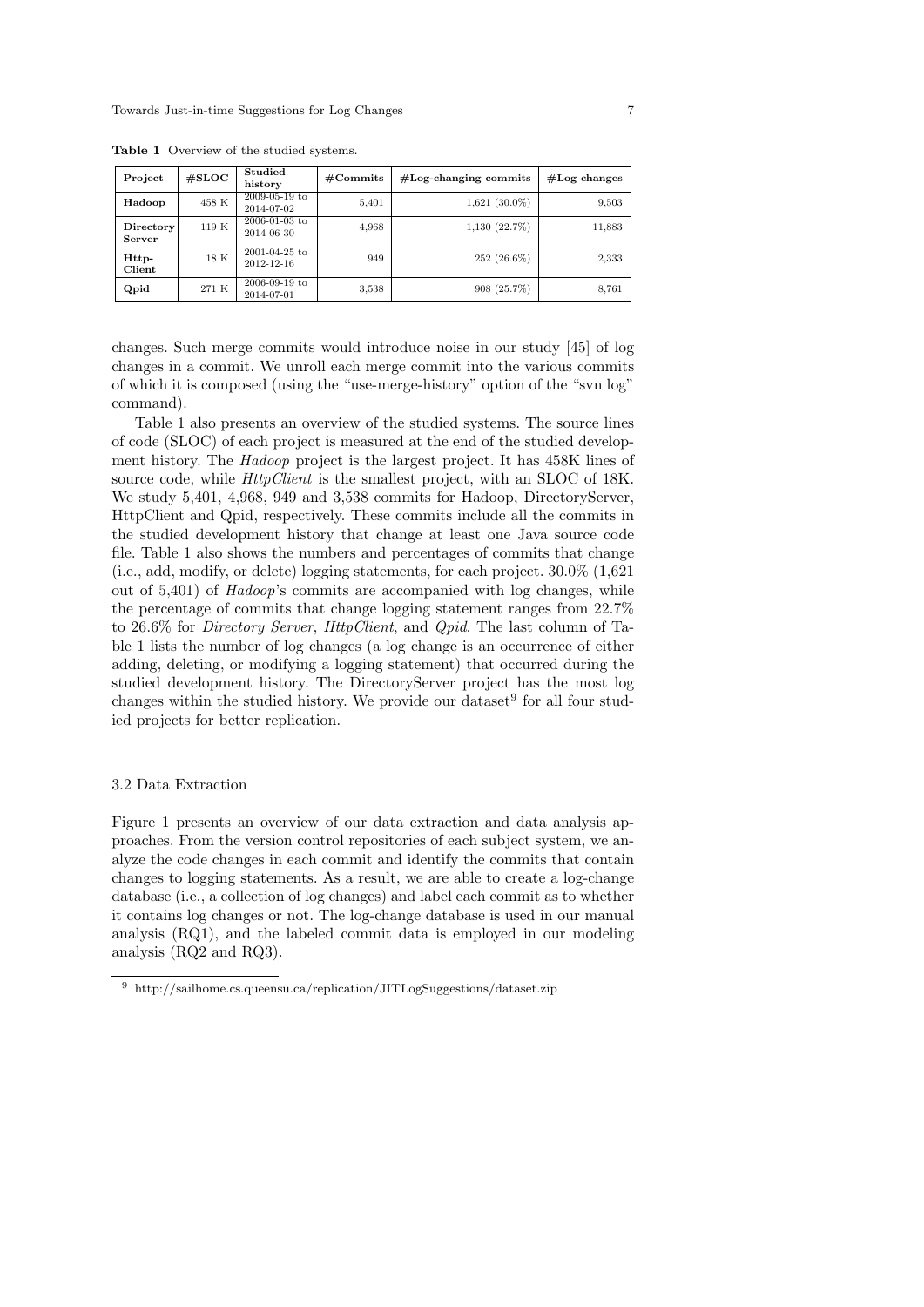| Project             | $\#\mathrm{SLOC}$ | Studied<br>history                | #Commits | $#Log$ -changing commits | #Log changes |
|---------------------|-------------------|-----------------------------------|----------|--------------------------|--------------|
| Hadoop              | 458 K             | $2009 - 05 - 19$ to<br>2014-07-02 | 5,401    | $1,621$ $(30.0\%)$       | 9,503        |
| Directory<br>Server | 119 K             | $2006 - 01 - 03$ to<br>2014-06-30 | 4,968    | 1,130 (22.7%)            | 11,883       |
| Http-<br>Client     | 18 K              | $2001 - 04 - 25$ to<br>2012-12-16 | 949      | $252(26.6\%)$            | 2,333        |
| Qpid                | 271 K             | $2006 - 09 - 19$ to<br>2014-07-01 | 3,538    | 908 (25.7%)              | 8,761        |

Table 1 Overview of the studied systems.

changes. Such merge commits would introduce noise in our study [45] of log changes in a commit. We unroll each merge commit into the various commits of which it is composed (using the "use-merge-history" option of the "svn log" command).

Table 1 also presents an overview of the studied systems. The source lines of code (SLOC) of each project is measured at the end of the studied development history. The Hadoop project is the largest project. It has 458K lines of source code, while *HttpClient* is the smallest project, with an SLOC of 18K. We study 5,401, 4,968, 949 and 3,538 commits for Hadoop, DirectoryServer, HttpClient and Qpid, respectively. These commits include all the commits in the studied development history that change at least one Java source code file. Table 1 also shows the numbers and percentages of commits that change (i.e., add, modify, or delete) logging statements, for each project. 30.0% (1,621 out of 5,401) of Hadoop's commits are accompanied with log changes, while the percentage of commits that change logging statement ranges from 22.7% to 26.6% for Directory Server, HttpClient, and Qpid. The last column of Table 1 lists the number of log changes (a log change is an occurrence of either adding, deleting, or modifying a logging statement) that occurred during the studied development history. The DirectoryServer project has the most log changes within the studied history. We provide our dataset<sup>9</sup> for all four studied projects for better replication.

#### 3.2 Data Extraction

Figure 1 presents an overview of our data extraction and data analysis approaches. From the version control repositories of each subject system, we analyze the code changes in each commit and identify the commits that contain changes to logging statements. As a result, we are able to create a log-change database (i.e., a collection of log changes) and label each commit as to whether it contains log changes or not. The log-change database is used in our manual analysis (RQ1), and the labeled commit data is employed in our modeling analysis (RQ2 and RQ3).

 $^9\,$ http://sailhome.cs.queensu.ca/replication/JITLogSuggestions/dataset.zip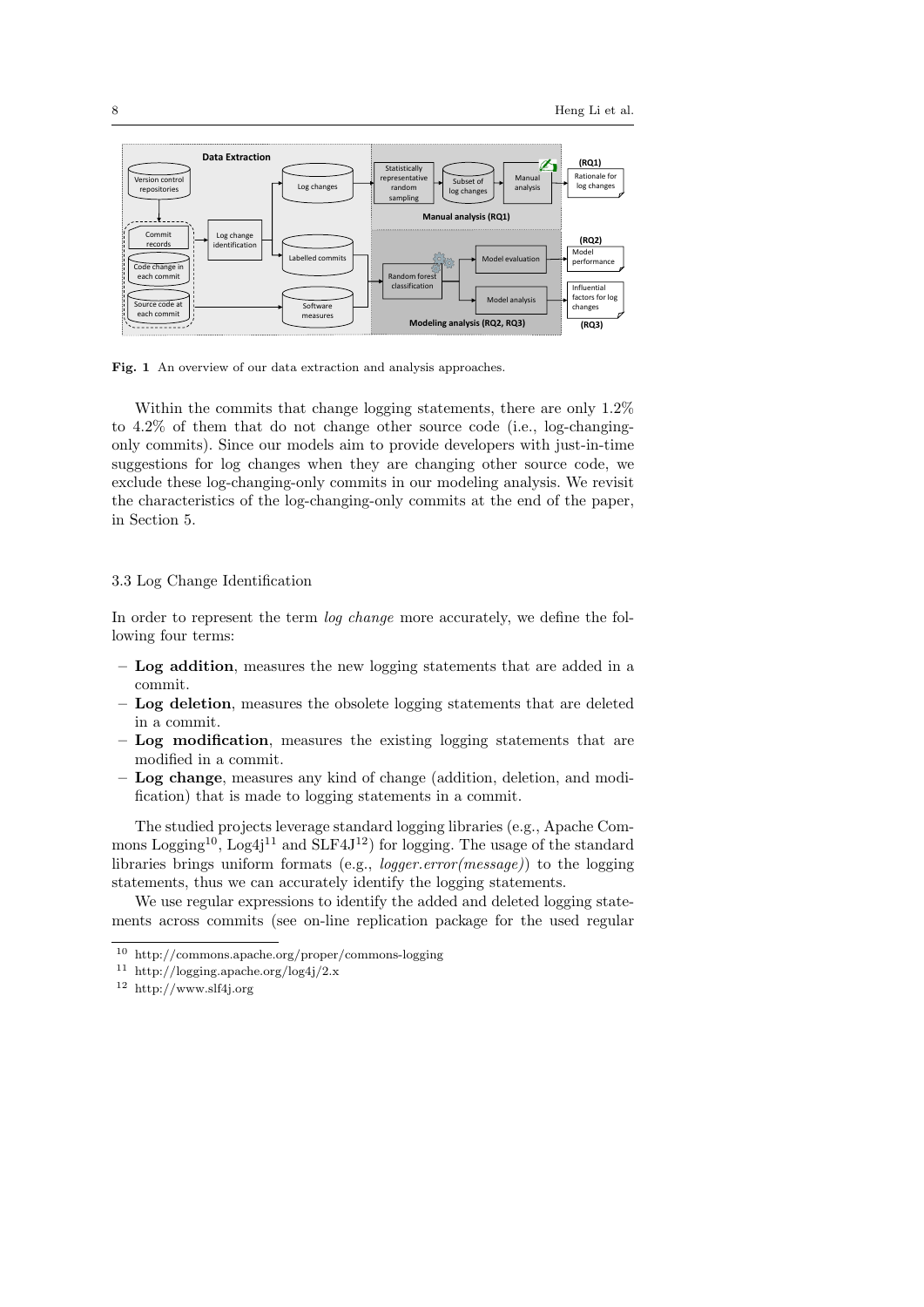

Fig. 1 An overview of our data extraction and analysis approaches.

Within the commits that change logging statements, there are only 1.2% to 4.2% of them that do not change other source code (i.e., log-changingonly commits). Since our models aim to provide developers with just-in-time suggestions for log changes when they are changing other source code, we exclude these log-changing-only commits in our modeling analysis. We revisit the characteristics of the log-changing-only commits at the end of the paper, in Section 5.

## 3.3 Log Change Identification

In order to represent the term *log change* more accurately, we define the following four terms:

- Log addition, measures the new logging statements that are added in a commit.
- Log deletion, measures the obsolete logging statements that are deleted in a commit.
- Log modification, measures the existing logging statements that are modified in a commit.
- Log change, measures any kind of change (addition, deletion, and modification) that is made to logging statements in a commit.

The studied projects leverage standard logging libraries (e.g., Apache Commons Logging<sup>10</sup>, Log4j<sup>11</sup> and SLF4J<sup>12</sup>) for logging. The usage of the standard libraries brings uniform formats (e.g., logger.error(message)) to the logging statements, thus we can accurately identify the logging statements.

We use regular expressions to identify the added and deleted logging statements across commits (see on-line replication package for the used regular

<sup>10</sup> http://commons.apache.org/proper/commons-logging

<sup>11</sup> http://logging.apache.org/log4j/2.x

 $^{12}\,$ http://www.slf4j.org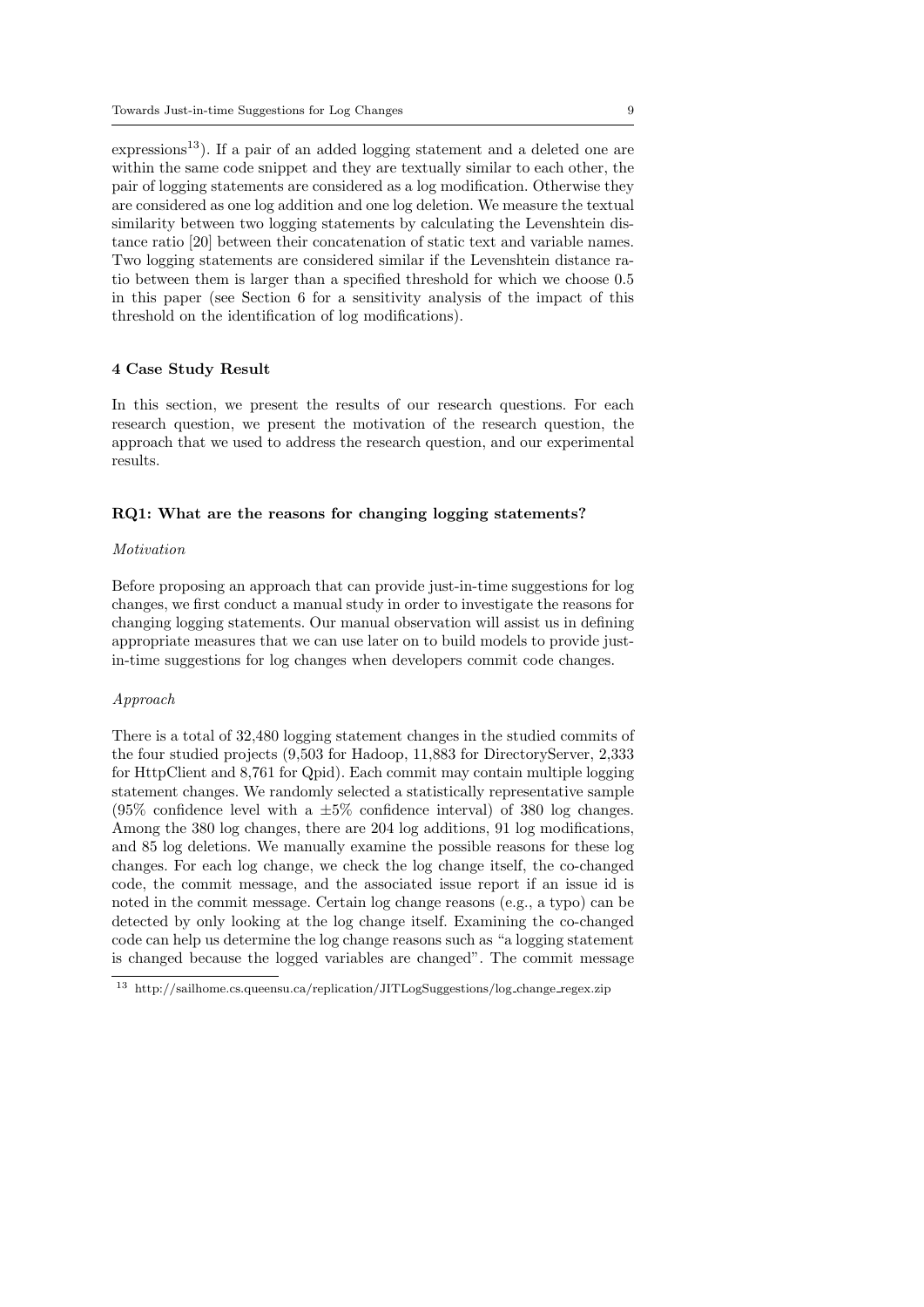expressions<sup>13</sup>). If a pair of an added logging statement and a deleted one are within the same code snippet and they are textually similar to each other, the pair of logging statements are considered as a log modification. Otherwise they are considered as one log addition and one log deletion. We measure the textual similarity between two logging statements by calculating the Levenshtein distance ratio [20] between their concatenation of static text and variable names. Two logging statements are considered similar if the Levenshtein distance ratio between them is larger than a specified threshold for which we choose 0.5 in this paper (see Section 6 for a sensitivity analysis of the impact of this threshold on the identification of log modifications).

## 4 Case Study Result

In this section, we present the results of our research questions. For each research question, we present the motivation of the research question, the approach that we used to address the research question, and our experimental results.

## RQ1: What are the reasons for changing logging statements?

## **Motivation**

Before proposing an approach that can provide just-in-time suggestions for log changes, we first conduct a manual study in order to investigate the reasons for changing logging statements. Our manual observation will assist us in defining appropriate measures that we can use later on to build models to provide justin-time suggestions for log changes when developers commit code changes.

#### Approach

There is a total of 32,480 logging statement changes in the studied commits of the four studied projects (9,503 for Hadoop, 11,883 for DirectoryServer, 2,333 for HttpClient and 8,761 for Qpid). Each commit may contain multiple logging statement changes. We randomly selected a statistically representative sample  $(95\% \text{ confidence level with a } \pm 5\% \text{ confidence interval})$  of 380 log changes. Among the 380 log changes, there are 204 log additions, 91 log modifications, and 85 log deletions. We manually examine the possible reasons for these log changes. For each log change, we check the log change itself, the co-changed code, the commit message, and the associated issue report if an issue id is noted in the commit message. Certain log change reasons (e.g., a typo) can be detected by only looking at the log change itself. Examining the co-changed code can help us determine the log change reasons such as "a logging statement is changed because the logged variables are changed". The commit message

<sup>13</sup> http://sailhome.cs.queensu.ca/replication/JITLogSuggestions/log change regex.zip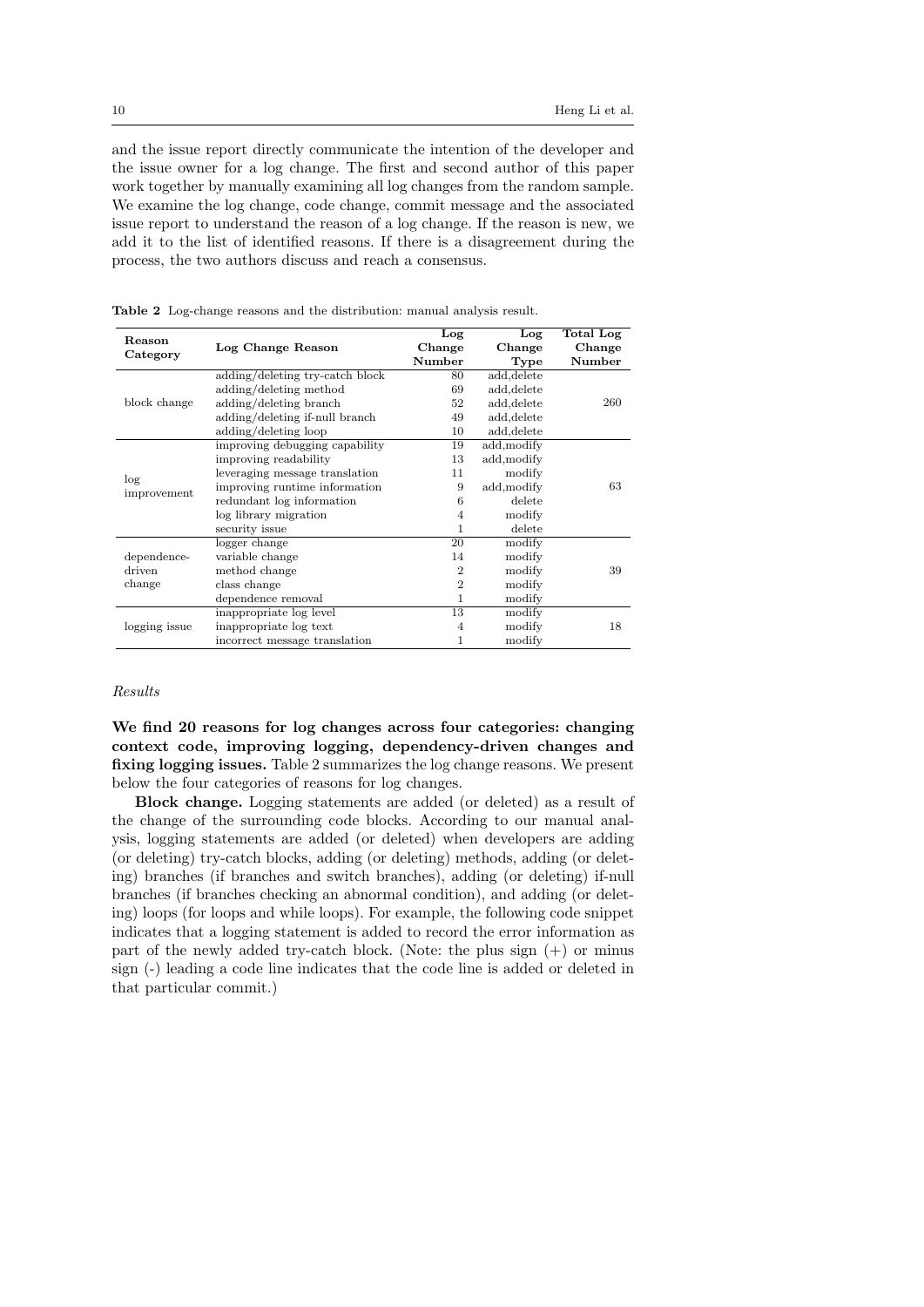and the issue report directly communicate the intention of the developer and the issue owner for a log change. The first and second author of this paper work together by manually examining all log changes from the random sample. We examine the log change, code change, commit message and the associated issue report to understand the reason of a log change. If the reason is new, we add it to the list of identified reasons. If there is a disagreement during the process, the two authors discuss and reach a consensus.

| Reason        |                                 | Log            | Log         | Total Log |
|---------------|---------------------------------|----------------|-------------|-----------|
|               | Log Change Reason               | Change         | Change      | Change    |
| Category      |                                 | Number         | Type        | Number    |
|               | adding/deleting try-catch block | 80             | add, delete |           |
|               | adding/deleting method          | 69             | add, delete |           |
| block change  | adding/deleting branch          | 52             | add, delete | 260       |
|               | adding/deleting if-null branch  | 49             | add, delete |           |
|               | adding/deleting loop            | 10             | add, delete |           |
|               | improving debugging capability  | 19             | add, modify |           |
|               | improving readability           | 13             | add, modify |           |
| log           | leveraging message translation  | 11             | modify      |           |
| improvement   | improving runtime information   | 9              | add, modify | 63        |
|               | redundant log information       | 6              | delete      |           |
|               | log library migration           | $\overline{4}$ | modify      |           |
|               | security issue                  | 1              | delete      |           |
|               | logger change                   | 20             | modify      |           |
| dependence-   | variable change                 | 14             | modify      |           |
| driven        | method change                   | $\overline{2}$ | modify      | 39        |
| change        | class change                    | $\overline{2}$ | modify      |           |
|               | dependence removal              | 1              | modify      |           |
|               | inappropriate log level         | 13             | modify      |           |
| logging issue | inappropriate log text          | 4              | modify      | 18        |
|               | incorrect message translation   | 1              | modify      |           |

Table 2 Log-change reasons and the distribution: manual analysis result.

# Results

We find 20 reasons for log changes across four categories: changing context code, improving logging, dependency-driven changes and fixing logging issues. Table 2 summarizes the log change reasons. We present below the four categories of reasons for log changes.

Block change. Logging statements are added (or deleted) as a result of the change of the surrounding code blocks. According to our manual analysis, logging statements are added (or deleted) when developers are adding (or deleting) try-catch blocks, adding (or deleting) methods, adding (or deleting) branches (if branches and switch branches), adding (or deleting) if-null branches (if branches checking an abnormal condition), and adding (or deleting) loops (for loops and while loops). For example, the following code snippet indicates that a logging statement is added to record the error information as part of the newly added try-catch block. (Note: the plus sign  $(+)$  or minus sign (-) leading a code line indicates that the code line is added or deleted in that particular commit.)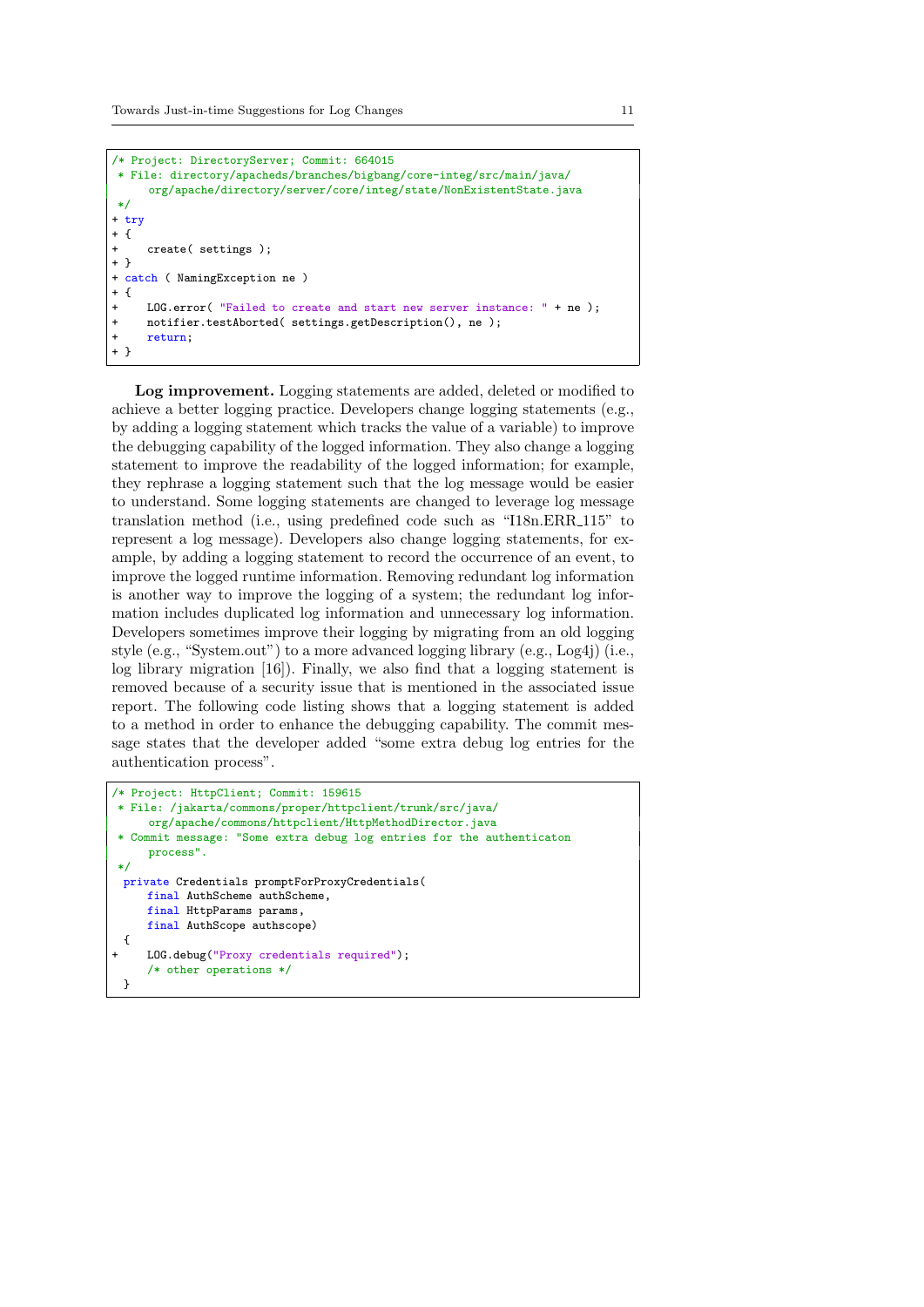```
/* Project: DirectoryServer; Commit: 664015
* File: directory/apacheds/branches/bigbang/core-integ/src/main/java/
     org/apache/directory/server/core/integ/state/NonExistentState.java
*/
+ try
+ {
     create( settings );
+ }<br>+ c
 catch ( NamingException ne )
+ {
+ LOG.error( "Failed to create and start new server instance: " + ne );
+ notifier.testAborted( settings.getDescription(), ne );
+ return;
+ }
```
Log improvement. Logging statements are added, deleted or modified to achieve a better logging practice. Developers change logging statements (e.g., by adding a logging statement which tracks the value of a variable) to improve the debugging capability of the logged information. They also change a logging statement to improve the readability of the logged information; for example, they rephrase a logging statement such that the log message would be easier to understand. Some logging statements are changed to leverage log message translation method (i.e., using predefined code such as "I18n.ERR 115" to represent a log message). Developers also change logging statements, for example, by adding a logging statement to record the occurrence of an event, to improve the logged runtime information. Removing redundant log information is another way to improve the logging of a system; the redundant log information includes duplicated log information and unnecessary log information. Developers sometimes improve their logging by migrating from an old logging style (e.g., "System.out") to a more advanced logging library (e.g., Log4j) (i.e., log library migration [16]). Finally, we also find that a logging statement is removed because of a security issue that is mentioned in the associated issue report. The following code listing shows that a logging statement is added to a method in order to enhance the debugging capability. The commit message states that the developer added "some extra debug log entries for the authentication process".

```
/* Project: HttpClient; Commit: 159615
* File: /jakarta/commons/proper/httpclient/trunk/src/java/
     org/apache/commons/httpclient/HttpMethodDirector.java
* Commit message: "Some extra debug log entries for the authenticaton
     process".
*/
 private Credentials promptForProxyCredentials(
     final AuthScheme authScheme,
     final HttpParams params,
    final AuthScope authscope)
 {
    LOG.debug("Proxy credentials required");
     /* other operations */
 }
```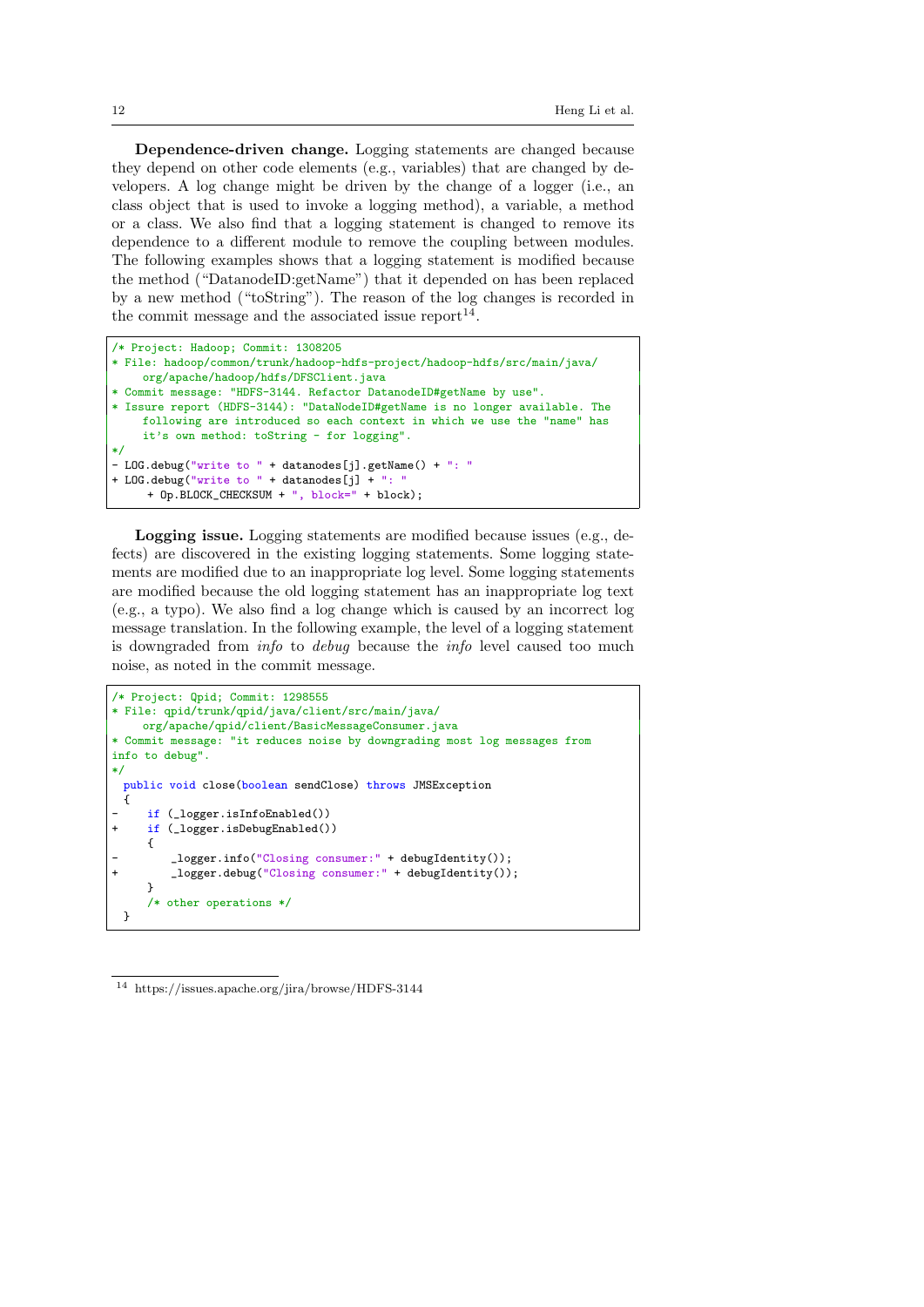Dependence-driven change. Logging statements are changed because they depend on other code elements (e.g., variables) that are changed by developers. A log change might be driven by the change of a logger (i.e., an class object that is used to invoke a logging method), a variable, a method or a class. We also find that a logging statement is changed to remove its dependence to a different module to remove the coupling between modules. The following examples shows that a logging statement is modified because the method ("DatanodeID:getName") that it depended on has been replaced by a new method ("toString"). The reason of the log changes is recorded in the commit message and the associated issue report<sup>14</sup>.

```
/* Project: Hadoop; Commit: 1308205
* File: hadoop/common/trunk/hadoop-hdfs-project/hadoop-hdfs/src/main/java/
    org/apache/hadoop/hdfs/DFSClient.java
* Commit message: "HDFS-3144. Refactor DatanodeID#getName by use".
* Issure report (HDFS-3144): "DataNodeID#getName is no longer available. The
    following are introduced so each context in which we use the "name" has
    it's own method: toString - for logging".
*/
- LOG.debug("write to " + datanodes[j].getName() + ": "
+ LOG.debug("write to " + datanodes[j] + ": "
     + Op.BLOCK_CHECKSUM + ", block=" + block);
```
Logging issue. Logging statements are modified because issues (e.g., defects) are discovered in the existing logging statements. Some logging statements are modified due to an inappropriate log level. Some logging statements are modified because the old logging statement has an inappropriate log text (e.g., a typo). We also find a log change which is caused by an incorrect log message translation. In the following example, the level of a logging statement is downgraded from info to debug because the info level caused too much noise, as noted in the commit message.

```
/* Project: Qpid; Commit: 1298555
* File: qpid/trunk/qpid/java/client/src/main/java/
    org/apache/qpid/client/BasicMessageConsumer.java
* Commit message: "it reduces noise by downgrading most log messages from
info to debug".
*/
 public void close(boolean sendClose) throws JMSException
 {
     if (_logger.isInfoEnabled())
     if (_logger.isDebugEnabled())
     {
         - _logger.info("Closing consumer:" + debugIdentity());
         + _logger.debug("Closing consumer:" + debugIdentity());
     }
     /* other operations */
 }
```
 $^{14}\,$ https://issues.apache.org/jira/browse/HDFS-3144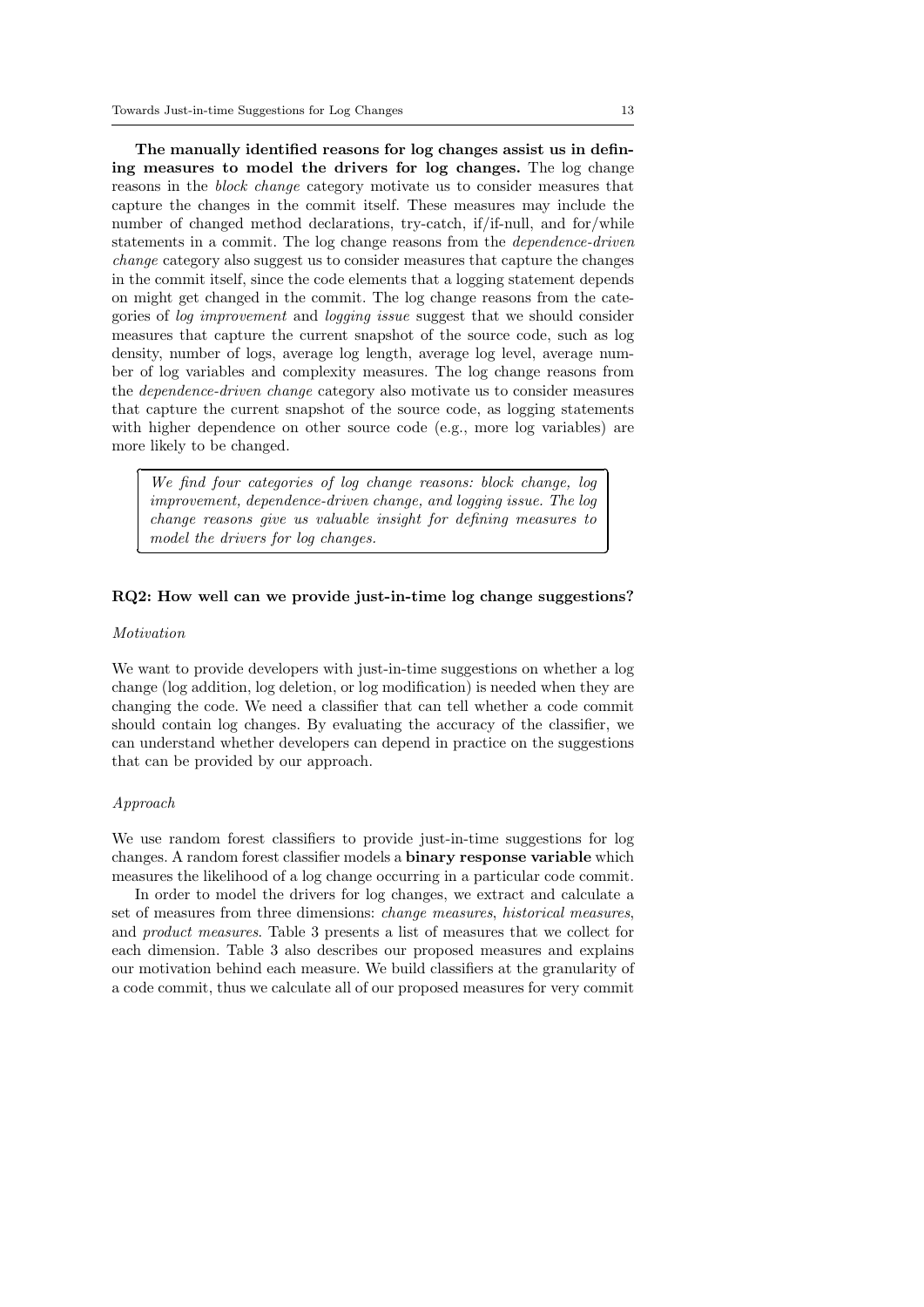The manually identified reasons for log changes assist us in defining measures to model the drivers for log changes. The log change reasons in the block change category motivate us to consider measures that capture the changes in the commit itself. These measures may include the number of changed method declarations, try-catch, if/if-null, and for/while statements in a commit. The log change reasons from the dependence-driven change category also suggest us to consider measures that capture the changes in the commit itself, since the code elements that a logging statement depends on might get changed in the commit. The log change reasons from the categories of log improvement and logging issue suggest that we should consider measures that capture the current snapshot of the source code, such as log density, number of logs, average log length, average log level, average number of log variables and complexity measures. The log change reasons from the dependence-driven change category also motivate us to consider measures that capture the current snapshot of the source code, as logging statements with higher dependence on other source code (e.g., more log variables) are more likely to be changed.

We find four categories of log change reasons: block change, log improvement, dependence-driven change, and logging issue. The log change reasons give us valuable insight for defining measures to model the drivers for log changes.

## RQ2: How well can we provide just-in-time log change suggestions?

#### Motivation

✄

 $\overline{a}$ 

We want to provide developers with just-in-time suggestions on whether a log change (log addition, log deletion, or log modification) is needed when they are changing the code. We need a classifier that can tell whether a code commit should contain log changes. By evaluating the accuracy of the classifier, we can understand whether developers can depend in practice on the suggestions that can be provided by our approach.

#### Approach

We use random forest classifiers to provide just-in-time suggestions for log changes. A random forest classifier models a binary response variable which measures the likelihood of a log change occurring in a particular code commit.

In order to model the drivers for log changes, we extract and calculate a set of measures from three dimensions: change measures, historical measures, and product measures. Table 3 presents a list of measures that we collect for each dimension. Table 3 also describes our proposed measures and explains our motivation behind each measure. We build classifiers at the granularity of a code commit, thus we calculate all of our proposed measures for very commit

Ĭ.

į.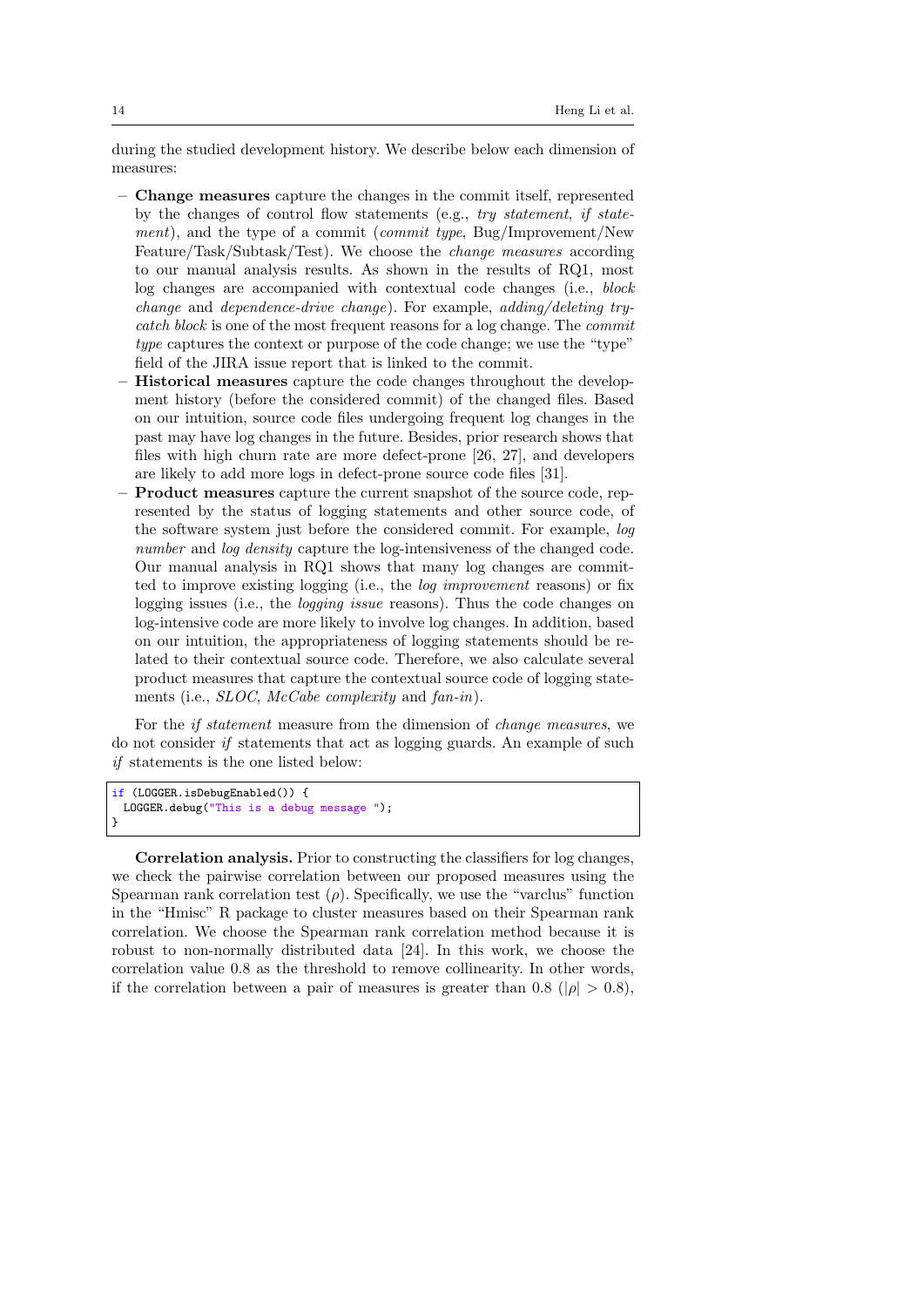during the studied development history. We describe below each dimension of measures:

- Change measures capture the changes in the commit itself, represented by the changes of control flow statements (e.g., try statement, if statement), and the type of a commit (commit type, Bug/Improvement/New Feature/Task/Subtask/Test). We choose the change measures according to our manual analysis results. As shown in the results of RQ1, most log changes are accompanied with contextual code changes (i.e., *block* change and dependence-drive change). For example, adding/deleting trycatch block is one of the most frequent reasons for a log change. The commit type captures the context or purpose of the code change; we use the "type" field of the JIRA issue report that is linked to the commit.
- Historical measures capture the code changes throughout the development history (before the considered commit) of the changed files. Based on our intuition, source code files undergoing frequent log changes in the past may have log changes in the future. Besides, prior research shows that files with high churn rate are more defect-prone [26, 27], and developers are likely to add more logs in defect-prone source code files [31].
- Product measures capture the current snapshot of the source code, represented by the status of logging statements and other source code, of the software system just before the considered commit. For example, log number and *log density* capture the log-intensiveness of the changed code. Our manual analysis in RQ1 shows that many log changes are committed to improve existing logging (i.e., the log improvement reasons) or fix logging issues (i.e., the logging issue reasons). Thus the code changes on log-intensive code are more likely to involve log changes. In addition, based on our intuition, the appropriateness of logging statements should be related to their contextual source code. Therefore, we also calculate several product measures that capture the contextual source code of logging statements (i.e., *SLOC*, *McCabe complexity* and *fan-in*).

For the if statement measure from the dimension of change measures, we do not consider if statements that act as logging guards. An example of such if statements is the one listed below:

```
if (LOGGER.isDebugEnabled()) {
 LOGGER.debug("This is a debug message ");
}
```
Correlation analysis. Prior to constructing the classifiers for log changes, we check the pairwise correlation between our proposed measures using the Spearman rank correlation test  $(\rho)$ . Specifically, we use the "varclus" function in the "Hmisc" R package to cluster measures based on their Spearman rank correlation. We choose the Spearman rank correlation method because it is robust to non-normally distributed data [24]. In this work, we choose the correlation value 0.8 as the threshold to remove collinearity. In other words, if the correlation between a pair of measures is greater than 0.8 ( $|\rho| > 0.8$ ),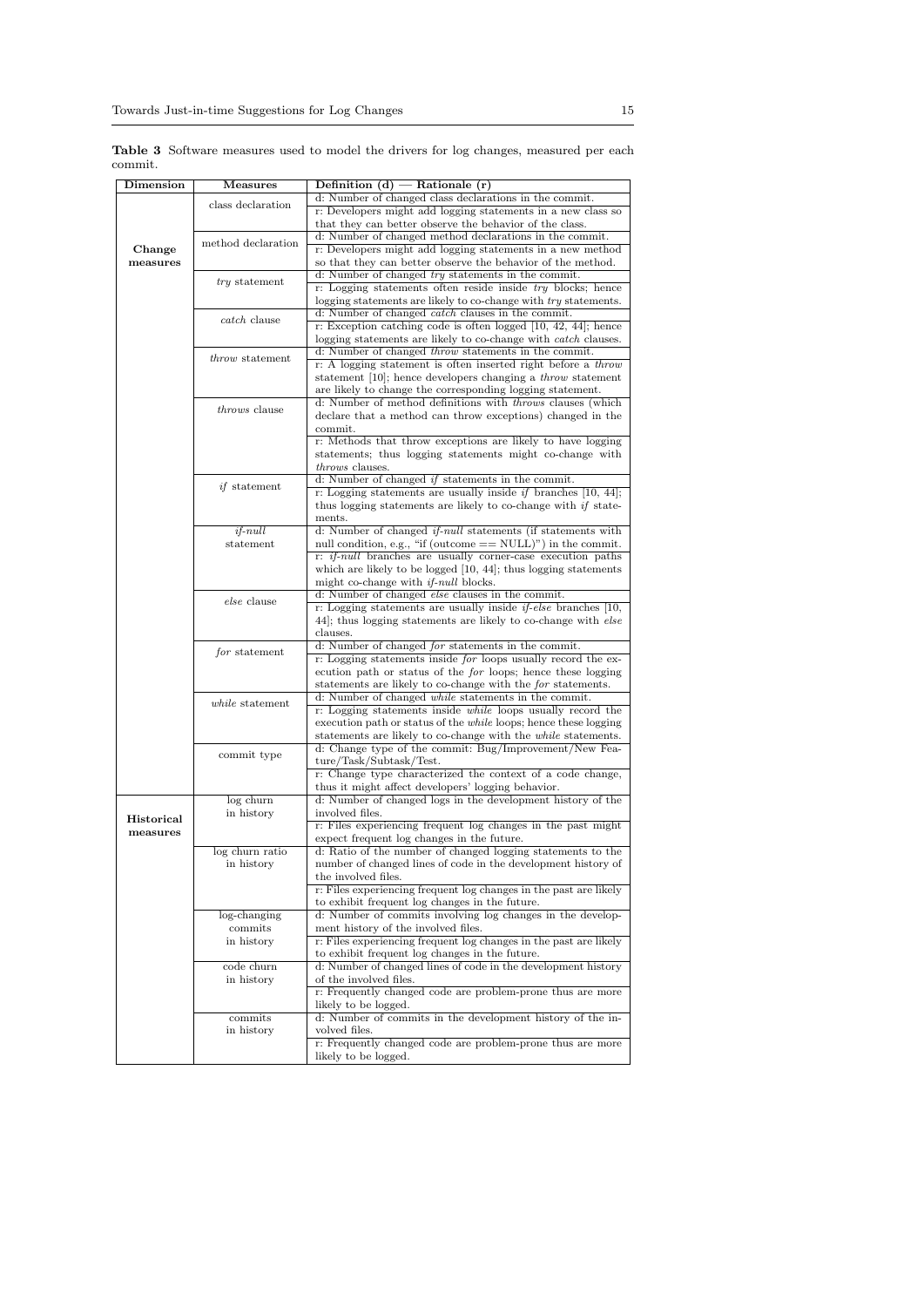|         |  |  |  |  |  | <b>Table 3</b> Software measures used to model the drivers for log changes, measured per each |  |
|---------|--|--|--|--|--|-----------------------------------------------------------------------------------------------|--|
| commit. |  |  |  |  |  |                                                                                               |  |

| Dimension              | Measures               | Definition $(d)$ – Rationale $(r)$                                                 |
|------------------------|------------------------|------------------------------------------------------------------------------------|
|                        |                        | d: Number of changed class declarations in the commit.                             |
|                        | class declaration      | r: Developers might add logging statements in a new class so                       |
|                        |                        | that they can better observe the behavior of the class.                            |
|                        |                        | d: Number of changed method declarations in the commit.                            |
| Change                 | method declaration     | r: Developers might add logging statements in a new method                         |
| measures               |                        | so that they can better observe the behavior of the method.                        |
|                        |                        | d: Number of changed try statements in the commit.                                 |
|                        | <i>try</i> statement   | r: Logging statements often reside inside try blocks; hence                        |
|                        |                        | logging statements are likely to co-change with try statements.                    |
|                        |                        | d: Number of changed <i>catch</i> clauses in the commit.                           |
|                        | catch clause           | r: Exception catching code is often logged $[10, 42, 44]$ ; hence                  |
|                        |                        | logging statements are likely to co-change with <i>catch</i> clauses.              |
|                        | <i>throw</i> statement | d: Number of changed <i>throw</i> statements in the commit.                        |
|                        |                        | r: A logging statement is often inserted right before a <i>throw</i>               |
|                        |                        | statement $[10]$ ; hence developers changing a <i>throw</i> statement              |
|                        |                        | are likely to change the corresponding logging statement.                          |
|                        | <i>throws</i> clause   | d: Number of method definitions with <i>throws</i> clauses (which                  |
|                        |                        | declare that a method can throw exceptions) changed in the                         |
|                        |                        | commit.                                                                            |
|                        |                        | r: Methods that throw exceptions are likely to have logging                        |
|                        |                        | statements; thus logging statements might co-change with                           |
|                        |                        | <i>throws</i> clauses.                                                             |
|                        | <i>if</i> statement    | d: Number of changed if statements in the commit.                                  |
|                        |                        | r: Logging statements are usually inside if branches $[10, 44]$ ;                  |
|                        |                        | thus logging statements are likely to co-change with if state-                     |
|                        |                        | ments.                                                                             |
|                        | $if-null$              | d: Number of changed <i>if-null</i> statements (if statements with                 |
|                        | statement              | null condition, e.g., "if (outcome $==$ NULL)") in the commit.                     |
|                        |                        | r: <i>if-null</i> branches are usually corner-case execution paths                 |
|                        |                        | which are likely to be logged [10, 44]; thus logging statements                    |
|                        |                        | might co-change with <i>if-null</i> blocks.                                        |
|                        | else clause            | d: Number of changed <i>else</i> clauses in the commit.                            |
|                        |                        | r: Logging statements are usually inside <i>if-else</i> branches $ 10\rangle$ ,    |
|                        |                        | 44; thus logging statements are likely to co-change with <i>else</i>               |
|                        |                        | clauses.<br>d: Number of changed <i>for</i> statements in the commit.              |
|                        | for statement          | r: Logging statements inside for loops usually record the ex-                      |
|                        |                        | ecution path or status of the <i>for</i> loops; hence these logging                |
|                        |                        | statements are likely to co-change with the <i>for</i> statements.                 |
|                        |                        | d: Number of changed <i>while</i> statements in the commit.                        |
|                        | <i>while</i> statement | r: Logging statements inside while loops usually record the                        |
|                        |                        | execution path or status of the <i>while</i> loops; hence these logging            |
|                        |                        | statements are likely to co-change with the <i>while</i> statements.               |
|                        |                        | d: Change type of the commit: Bug/Improvement/New Fea-                             |
|                        | commit type            | ture/Task/Subtask/Test.                                                            |
|                        |                        | r: Change type characterized the context of a code change,                         |
|                        |                        | thus it might affect developers' logging behavior.                                 |
|                        | log churn              | d: Number of changed logs in the development history of the                        |
|                        | in history             | involved files.                                                                    |
| Historical<br>measures |                        | r: Files experiencing frequent log changes in the past might                       |
|                        |                        | expect frequent log changes in the future.                                         |
|                        | log churn ratio        | d: Ratio of the number of changed logging statements to the                        |
|                        | in history             | number of changed lines of code in the development history of                      |
|                        |                        | the involved files.                                                                |
|                        |                        | r: Files experiencing frequent log changes in the past are likely                  |
|                        |                        | to exhibit frequent log changes in the future.                                     |
|                        | log-changing           | d: Number of commits involving log changes in the develop-                         |
|                        | commits                | ment history of the involved files.                                                |
|                        | in history             | r: Files experiencing frequent log changes in the past are likely                  |
|                        |                        | to exhibit frequent log changes in the future.                                     |
|                        | code churn             | d: Number of changed lines of code in the development history                      |
|                        | in history             | of the involved files.                                                             |
|                        |                        | r: Frequently changed code are problem-prone thus are more                         |
|                        | commits                | likely to be logged.<br>d: Number of commits in the development history of the in- |
|                        | in history             | volved files.                                                                      |
|                        |                        | r: Frequently changed code are problem-prone thus are more                         |
|                        |                        | likely to be logged.                                                               |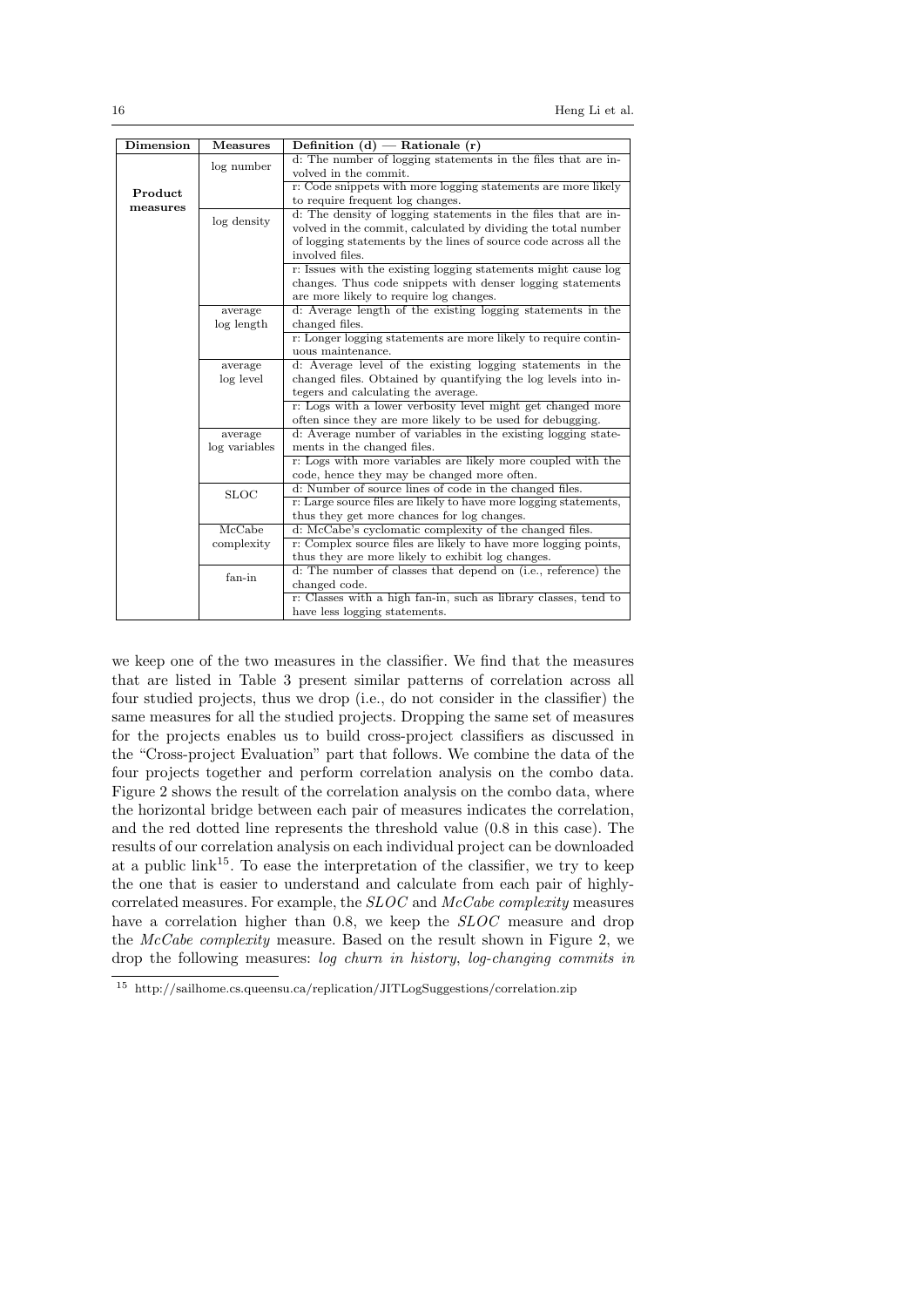| <b>Dimension</b> | <b>Measures</b> | Definition $(d)$ – Rationale $(r)$                                |  |  |  |  |  |  |  |
|------------------|-----------------|-------------------------------------------------------------------|--|--|--|--|--|--|--|
|                  | log number      | d: The number of logging statements in the files that are in-     |  |  |  |  |  |  |  |
|                  |                 | volved in the commit.                                             |  |  |  |  |  |  |  |
| Product          |                 | r: Code snippets with more logging statements are more likely     |  |  |  |  |  |  |  |
| measures         |                 | to require frequent log changes.                                  |  |  |  |  |  |  |  |
|                  | log density     | d: The density of logging statements in the files that are in-    |  |  |  |  |  |  |  |
|                  |                 | volved in the commit, calculated by dividing the total number     |  |  |  |  |  |  |  |
|                  |                 | of logging statements by the lines of source code across all the  |  |  |  |  |  |  |  |
|                  |                 | involved files.                                                   |  |  |  |  |  |  |  |
|                  |                 | r: Issues with the existing logging statements might cause log    |  |  |  |  |  |  |  |
|                  |                 | changes. Thus code snippets with denser logging statements        |  |  |  |  |  |  |  |
|                  |                 | are more likely to require log changes.                           |  |  |  |  |  |  |  |
|                  | average         | d: Average length of the existing logging statements in the       |  |  |  |  |  |  |  |
|                  | log length      | changed files.                                                    |  |  |  |  |  |  |  |
|                  |                 | r: Longer logging statements are more likely to require contin-   |  |  |  |  |  |  |  |
|                  |                 | uous maintenance.                                                 |  |  |  |  |  |  |  |
|                  | average         | d: Average level of the existing logging statements in the        |  |  |  |  |  |  |  |
|                  | log level       | changed files. Obtained by quantifying the log levels into in-    |  |  |  |  |  |  |  |
|                  |                 | tegers and calculating the average.                               |  |  |  |  |  |  |  |
|                  |                 | r: Logs with a lower verbosity level might get changed more       |  |  |  |  |  |  |  |
|                  |                 | often since they are more likely to be used for debugging.        |  |  |  |  |  |  |  |
|                  | average         | d: Average number of variables in the existing logging state-     |  |  |  |  |  |  |  |
|                  | log variables   | ments in the changed files.                                       |  |  |  |  |  |  |  |
|                  |                 | r: Logs with more variables are likely more coupled with the      |  |  |  |  |  |  |  |
|                  |                 | code, hence they may be changed more often.                       |  |  |  |  |  |  |  |
|                  |                 | d: Number of source lines of code in the changed files.           |  |  |  |  |  |  |  |
|                  | <b>SLOC</b>     | r: Large source files are likely to have more logging statements, |  |  |  |  |  |  |  |
|                  |                 | thus they get more chances for log changes.                       |  |  |  |  |  |  |  |
|                  | McCabe          | d: McCabe's cyclomatic complexity of the changed files.           |  |  |  |  |  |  |  |
|                  | complexity      | r: Complex source files are likely to have more logging points,   |  |  |  |  |  |  |  |
|                  |                 | thus they are more likely to exhibit log changes.                 |  |  |  |  |  |  |  |
|                  |                 | d: The number of classes that depend on (i.e., reference) the     |  |  |  |  |  |  |  |
|                  | fan-in          | changed code.                                                     |  |  |  |  |  |  |  |
|                  |                 | r: Classes with a high fan-in, such as library classes, tend to   |  |  |  |  |  |  |  |
|                  |                 | have less logging statements.                                     |  |  |  |  |  |  |  |

we keep one of the two measures in the classifier. We find that the measures that are listed in Table 3 present similar patterns of correlation across all four studied projects, thus we drop (i.e., do not consider in the classifier) the same measures for all the studied projects. Dropping the same set of measures for the projects enables us to build cross-project classifiers as discussed in the "Cross-project Evaluation" part that follows. We combine the data of the four projects together and perform correlation analysis on the combo data. Figure 2 shows the result of the correlation analysis on the combo data, where the horizontal bridge between each pair of measures indicates the correlation, and the red dotted line represents the threshold value (0.8 in this case). The results of our correlation analysis on each individual project can be downloaded at a public link<sup>15</sup>. To ease the interpretation of the classifier, we try to keep the one that is easier to understand and calculate from each pair of highlycorrelated measures. For example, the SLOC and McCabe complexity measures have a correlation higher than 0.8, we keep the  $SLOC$  measure and drop the McCabe complexity measure. Based on the result shown in Figure 2, we drop the following measures: log churn in history, log-changing commits in

 $^{15}\,$ http://sailhome.cs.queensu.ca/replication/JITLogSuggestions/correlation.zip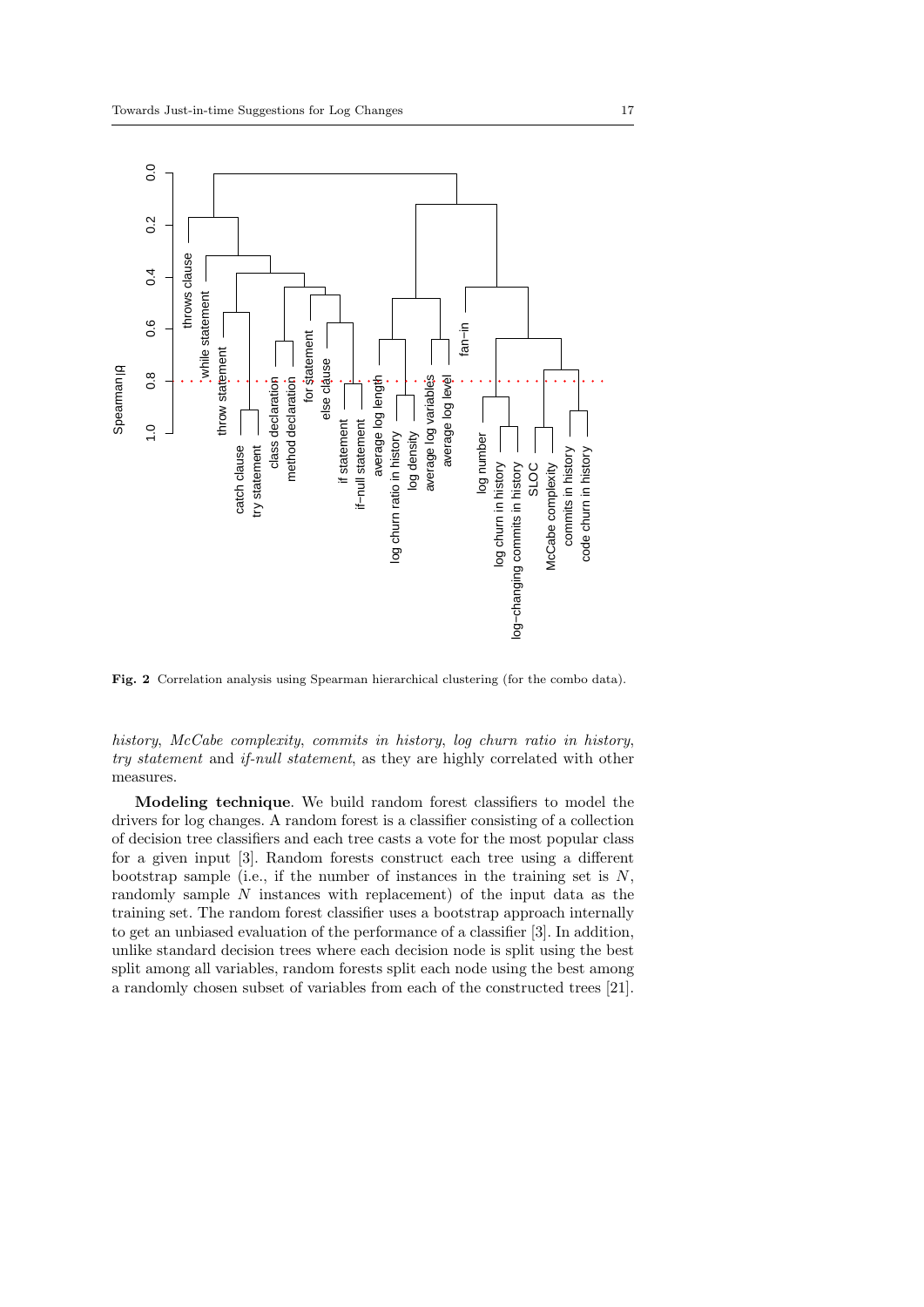

Fig. 2 Correlation analysis using Spearman hierarchical clustering (for the combo data).

history, McCabe complexity, commits in history, log churn ratio in history, try statement and if-null statement, as they are highly correlated with other measures.

Modeling technique. We build random forest classifiers to model the drivers for log changes. A random forest is a classifier consisting of a collection of decision tree classifiers and each tree casts a vote for the most popular class for a given input [3]. Random forests construct each tree using a different bootstrap sample (i.e., if the number of instances in the training set is  $N$ , randomly sample N instances with replacement) of the input data as the training set. The random forest classifier uses a bootstrap approach internally to get an unbiased evaluation of the performance of a classifier [3]. In addition, unlike standard decision trees where each decision node is split using the best split among all variables, random forests split each node using the best among a randomly chosen subset of variables from each of the constructed trees [21].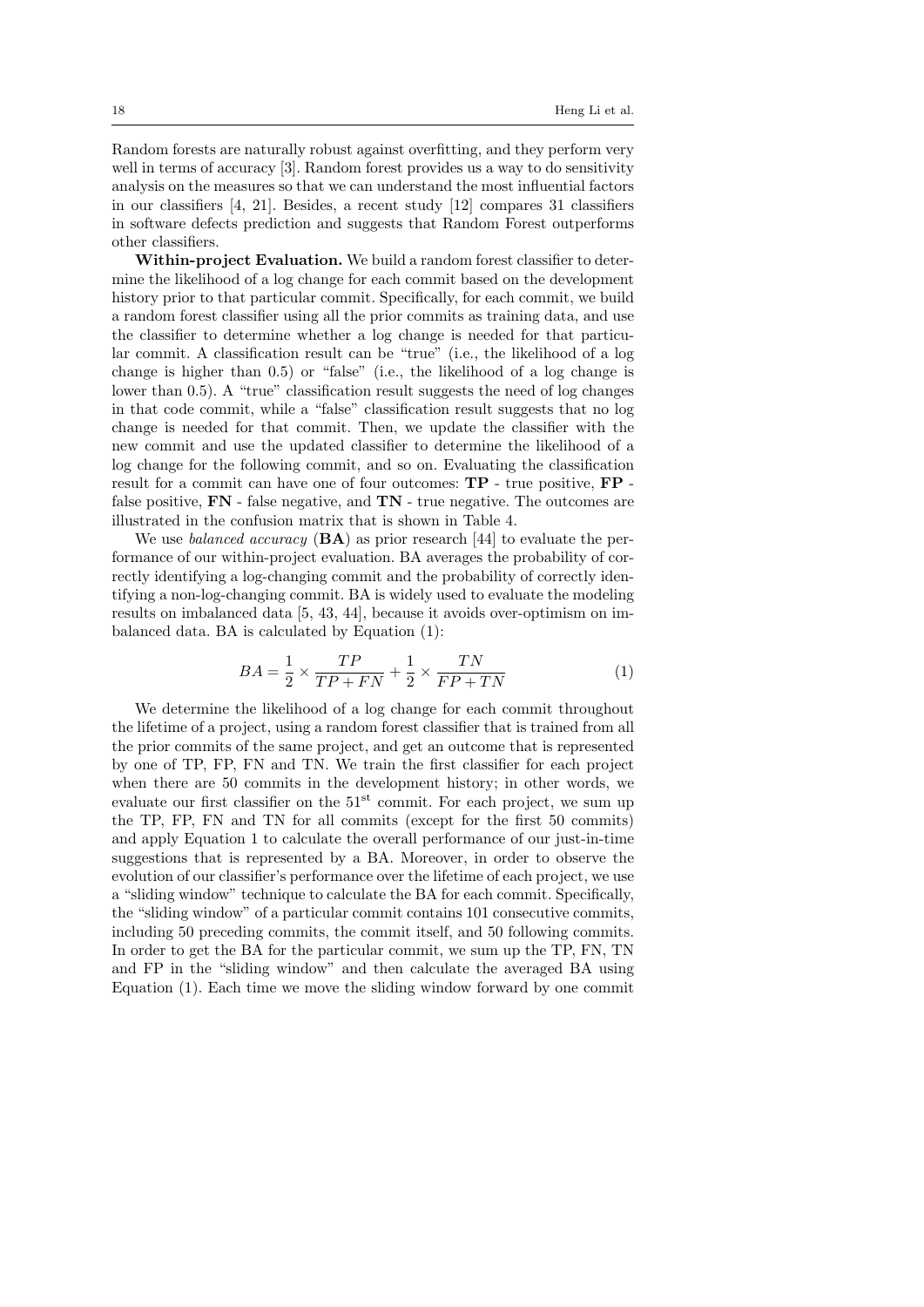Random forests are naturally robust against overfitting, and they perform very well in terms of accuracy [3]. Random forest provides us a way to do sensitivity analysis on the measures so that we can understand the most influential factors in our classifiers [4, 21]. Besides, a recent study [12] compares 31 classifiers in software defects prediction and suggests that Random Forest outperforms other classifiers.

Within-project Evaluation. We build a random forest classifier to determine the likelihood of a log change for each commit based on the development history prior to that particular commit. Specifically, for each commit, we build a random forest classifier using all the prior commits as training data, and use the classifier to determine whether a log change is needed for that particular commit. A classification result can be "true" (i.e., the likelihood of a log change is higher than 0.5) or "false" (i.e., the likelihood of a log change is lower than 0.5). A "true" classification result suggests the need of log changes in that code commit, while a "false" classification result suggests that no log change is needed for that commit. Then, we update the classifier with the new commit and use the updated classifier to determine the likelihood of a log change for the following commit, and so on. Evaluating the classification result for a commit can have one of four outcomes: TP - true positive, FP false positive, FN - false negative, and TN - true negative. The outcomes are illustrated in the confusion matrix that is shown in Table 4.

We use *balanced accuracy* ( $\bf{BA}$ ) as prior research [44] to evaluate the performance of our within-project evaluation. BA averages the probability of correctly identifying a log-changing commit and the probability of correctly identifying a non-log-changing commit. BA is widely used to evaluate the modeling results on imbalanced data [5, 43, 44], because it avoids over-optimism on imbalanced data. BA is calculated by Equation (1):

$$
BA = \frac{1}{2} \times \frac{TP}{TP + FN} + \frac{1}{2} \times \frac{TN}{FP + TN}
$$
 (1)

We determine the likelihood of a log change for each commit throughout the lifetime of a project, using a random forest classifier that is trained from all the prior commits of the same project, and get an outcome that is represented by one of TP, FP, FN and TN. We train the first classifier for each project when there are 50 commits in the development history; in other words, we evaluate our first classifier on the  $51<sup>st</sup>$  commit. For each project, we sum up the TP, FP, FN and TN for all commits (except for the first 50 commits) and apply Equation 1 to calculate the overall performance of our just-in-time suggestions that is represented by a BA. Moreover, in order to observe the evolution of our classifier's performance over the lifetime of each project, we use a "sliding window" technique to calculate the BA for each commit. Specifically, the "sliding window" of a particular commit contains 101 consecutive commits, including 50 preceding commits, the commit itself, and 50 following commits. In order to get the BA for the particular commit, we sum up the TP, FN, TN and FP in the "sliding window" and then calculate the averaged BA using Equation (1). Each time we move the sliding window forward by one commit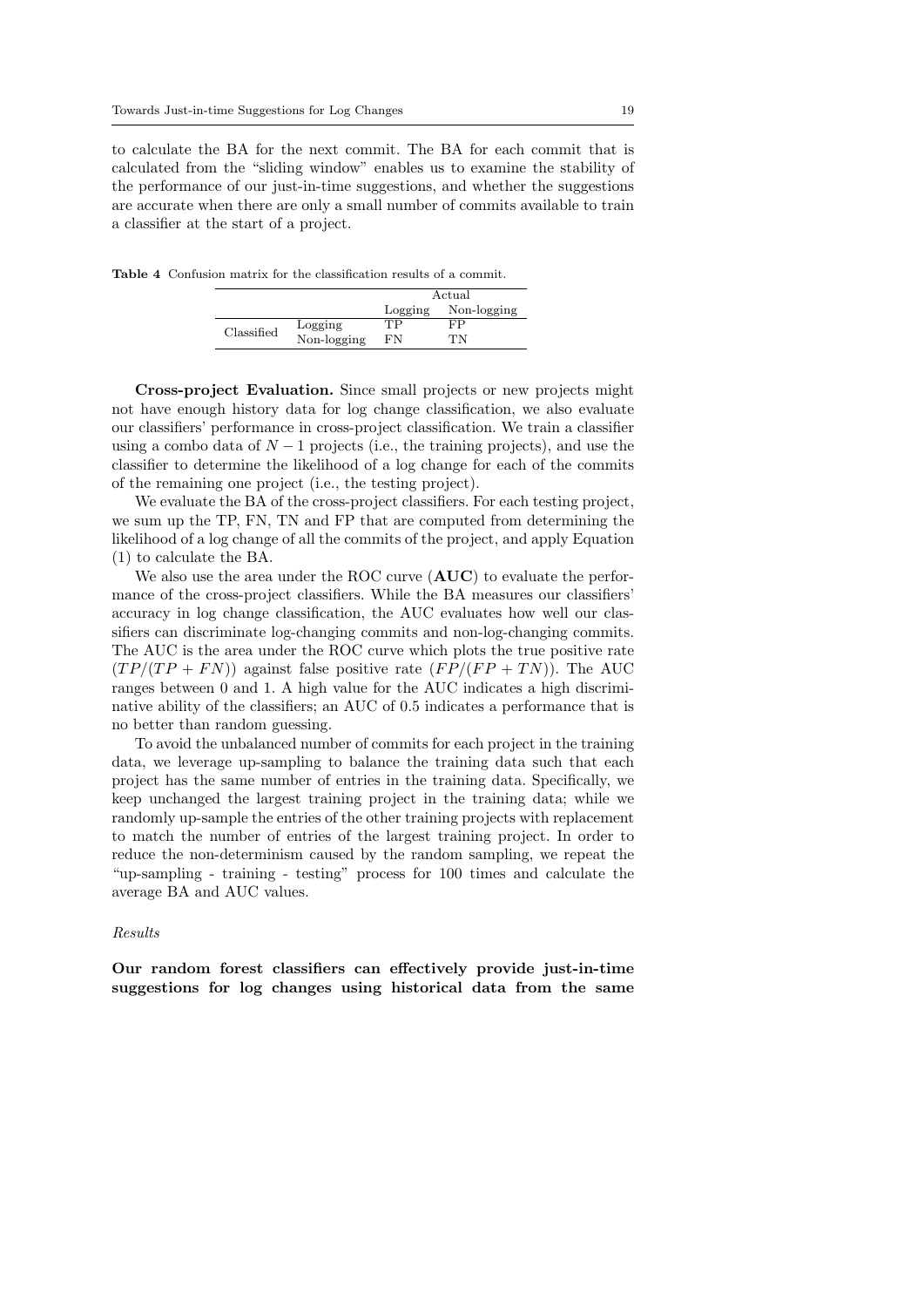to calculate the BA for the next commit. The BA for each commit that is calculated from the "sliding window" enables us to examine the stability of the performance of our just-in-time suggestions, and whether the suggestions are accurate when there are only a small number of commits available to train a classifier at the start of a project.

Table 4 Confusion matrix for the classification results of a commit.

|            |             | Actual  |             |  |  |
|------------|-------------|---------|-------------|--|--|
|            |             | Logging | Non-logging |  |  |
| Classified | Logging     | TР      | FP          |  |  |
|            | Non-logging | FN      | TN          |  |  |

Cross-project Evaluation. Since small projects or new projects might not have enough history data for log change classification, we also evaluate our classifiers' performance in cross-project classification. We train a classifier using a combo data of  $N-1$  projects (i.e., the training projects), and use the classifier to determine the likelihood of a log change for each of the commits of the remaining one project (i.e., the testing project).

We evaluate the BA of the cross-project classifiers. For each testing project, we sum up the TP, FN, TN and FP that are computed from determining the likelihood of a log change of all the commits of the project, and apply Equation (1) to calculate the BA.

We also use the area under the ROC curve  $(AUC)$  to evaluate the performance of the cross-project classifiers. While the BA measures our classifiers' accuracy in log change classification, the AUC evaluates how well our classifiers can discriminate log-changing commits and non-log-changing commits. The AUC is the area under the ROC curve which plots the true positive rate  $(TP/(TP + FN))$  against false positive rate  $(FP/(FP + TN))$ . The AUC ranges between 0 and 1. A high value for the AUC indicates a high discriminative ability of the classifiers; an AUC of 0.5 indicates a performance that is no better than random guessing.

To avoid the unbalanced number of commits for each project in the training data, we leverage up-sampling to balance the training data such that each project has the same number of entries in the training data. Specifically, we keep unchanged the largest training project in the training data; while we randomly up-sample the entries of the other training projects with replacement to match the number of entries of the largest training project. In order to reduce the non-determinism caused by the random sampling, we repeat the "up-sampling - training - testing" process for 100 times and calculate the average BA and AUC values.

## Results

Our random forest classifiers can effectively provide just-in-time suggestions for log changes using historical data from the same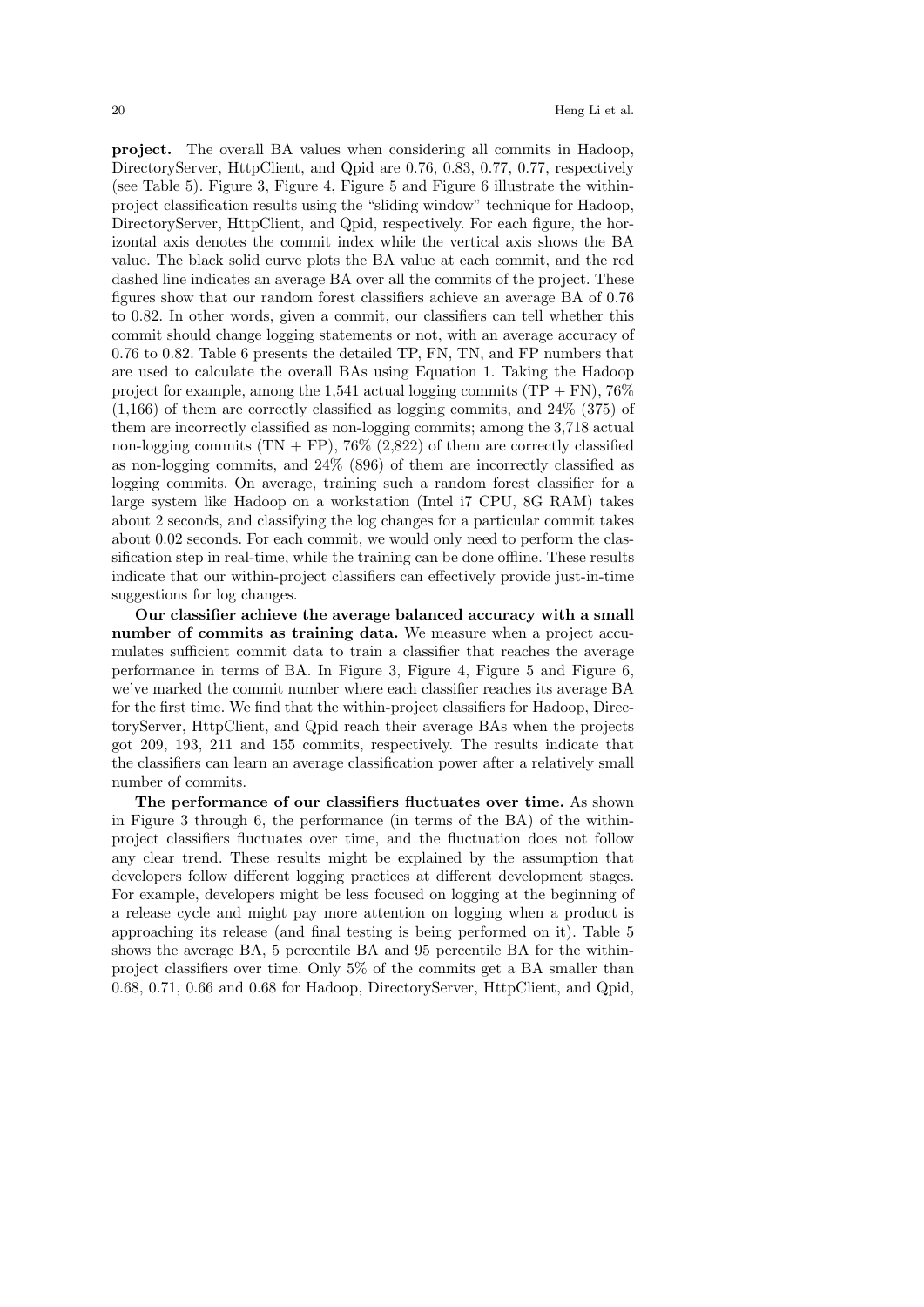project. The overall BA values when considering all commits in Hadoop, DirectoryServer, HttpClient, and Qpid are 0.76, 0.83, 0.77, 0.77, respectively (see Table 5). Figure 3, Figure 4, Figure 5 and Figure 6 illustrate the withinproject classification results using the "sliding window" technique for Hadoop, DirectoryServer, HttpClient, and Qpid, respectively. For each figure, the horizontal axis denotes the commit index while the vertical axis shows the BA value. The black solid curve plots the BA value at each commit, and the red dashed line indicates an average BA over all the commits of the project. These figures show that our random forest classifiers achieve an average BA of 0.76 to 0.82. In other words, given a commit, our classifiers can tell whether this commit should change logging statements or not, with an average accuracy of 0.76 to 0.82. Table 6 presents the detailed TP, FN, TN, and FP numbers that are used to calculate the overall BAs using Equation 1. Taking the Hadoop project for example, among the 1,541 actual logging commits ( $TP + FN$ ), 76% (1,166) of them are correctly classified as logging commits, and 24% (375) of them are incorrectly classified as non-logging commits; among the 3,718 actual non-logging commits  $(TN + FP)$ , 76% (2,822) of them are correctly classified as non-logging commits, and 24% (896) of them are incorrectly classified as logging commits. On average, training such a random forest classifier for a large system like Hadoop on a workstation (Intel i7 CPU, 8G RAM) takes about 2 seconds, and classifying the log changes for a particular commit takes about 0.02 seconds. For each commit, we would only need to perform the classification step in real-time, while the training can be done offline. These results indicate that our within-project classifiers can effectively provide just-in-time suggestions for log changes.

Our classifier achieve the average balanced accuracy with a small number of commits as training data. We measure when a project accumulates sufficient commit data to train a classifier that reaches the average performance in terms of BA. In Figure 3, Figure 4, Figure 5 and Figure 6, we've marked the commit number where each classifier reaches its average BA for the first time. We find that the within-project classifiers for Hadoop, DirectoryServer, HttpClient, and Qpid reach their average BAs when the projects got 209, 193, 211 and 155 commits, respectively. The results indicate that the classifiers can learn an average classification power after a relatively small number of commits.

The performance of our classifiers fluctuates over time. As shown in Figure 3 through 6, the performance (in terms of the BA) of the withinproject classifiers fluctuates over time, and the fluctuation does not follow any clear trend. These results might be explained by the assumption that developers follow different logging practices at different development stages. For example, developers might be less focused on logging at the beginning of a release cycle and might pay more attention on logging when a product is approaching its release (and final testing is being performed on it). Table 5 shows the average BA, 5 percentile BA and 95 percentile BA for the withinproject classifiers over time. Only 5% of the commits get a BA smaller than 0.68, 0.71, 0.66 and 0.68 for Hadoop, DirectoryServer, HttpClient, and Qpid,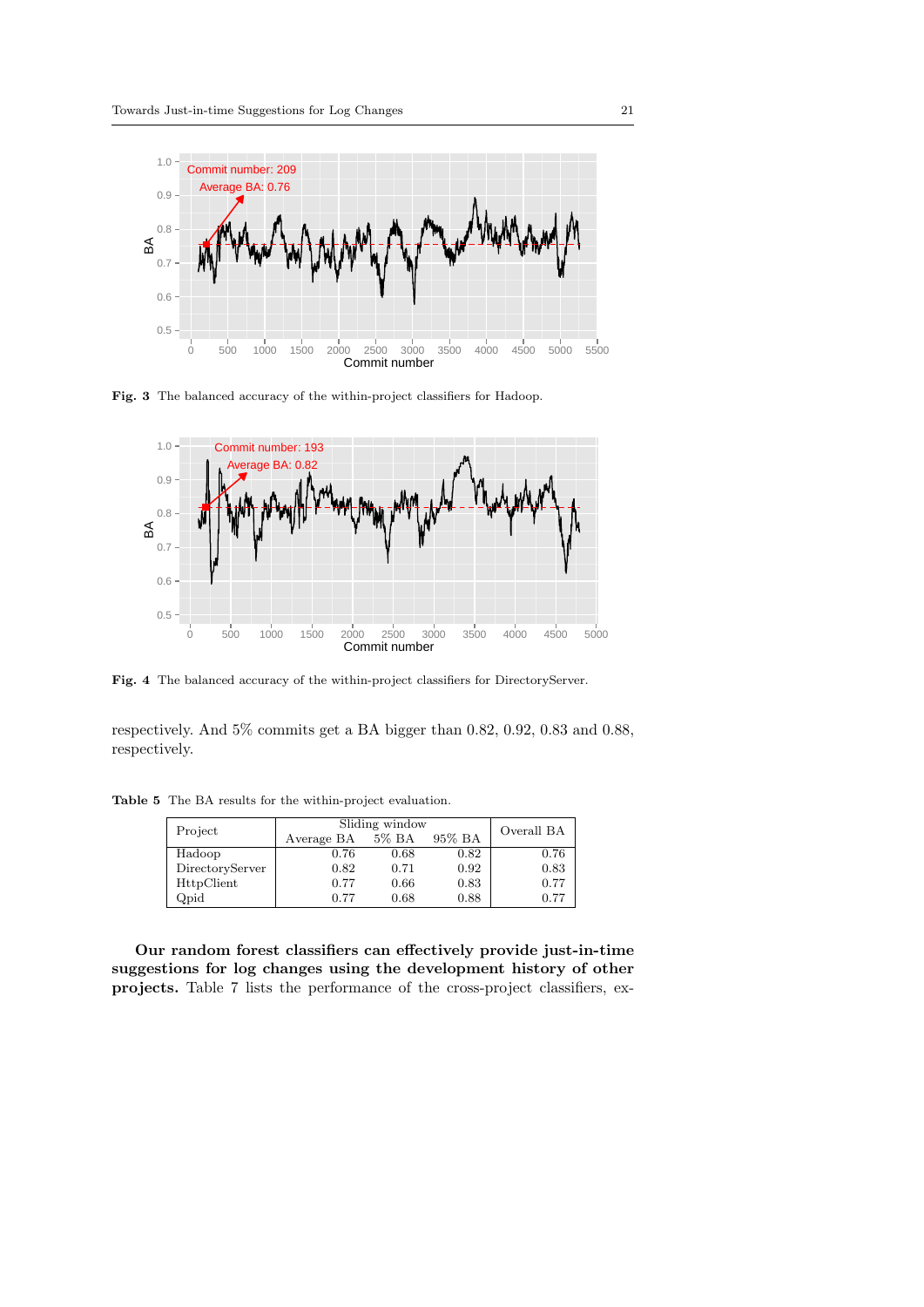

Fig. 3 The balanced accuracy of the within-project classifiers for Hadoop.



Fig. 4 The balanced accuracy of the within-project classifiers for DirectoryServer.

respectively. And 5% commits get a BA bigger than 0.82, 0.92, 0.83 and 0.88, respectively.

Table 5 The BA results for the within-project evaluation.

|                 | Sliding window |       |        |            |
|-----------------|----------------|-------|--------|------------|
| Project         | Average BA     | 5% BA | 95% BA | Overall BA |
| Hadoop          | 0.76           | 0.68  | 0.82   | 0.76       |
| DirectoryServer | 0.82           | 0.71  | 0.92   | 0.83       |
| HttpClient      | 0.77           | 0.66  | 0.83   | 0.77       |
| Qpid            | 0.77           | 0.68  | 0.88   | 0.77       |

Our random forest classifiers can effectively provide just-in-time suggestions for log changes using the development history of other projects. Table 7 lists the performance of the cross-project classifiers, ex-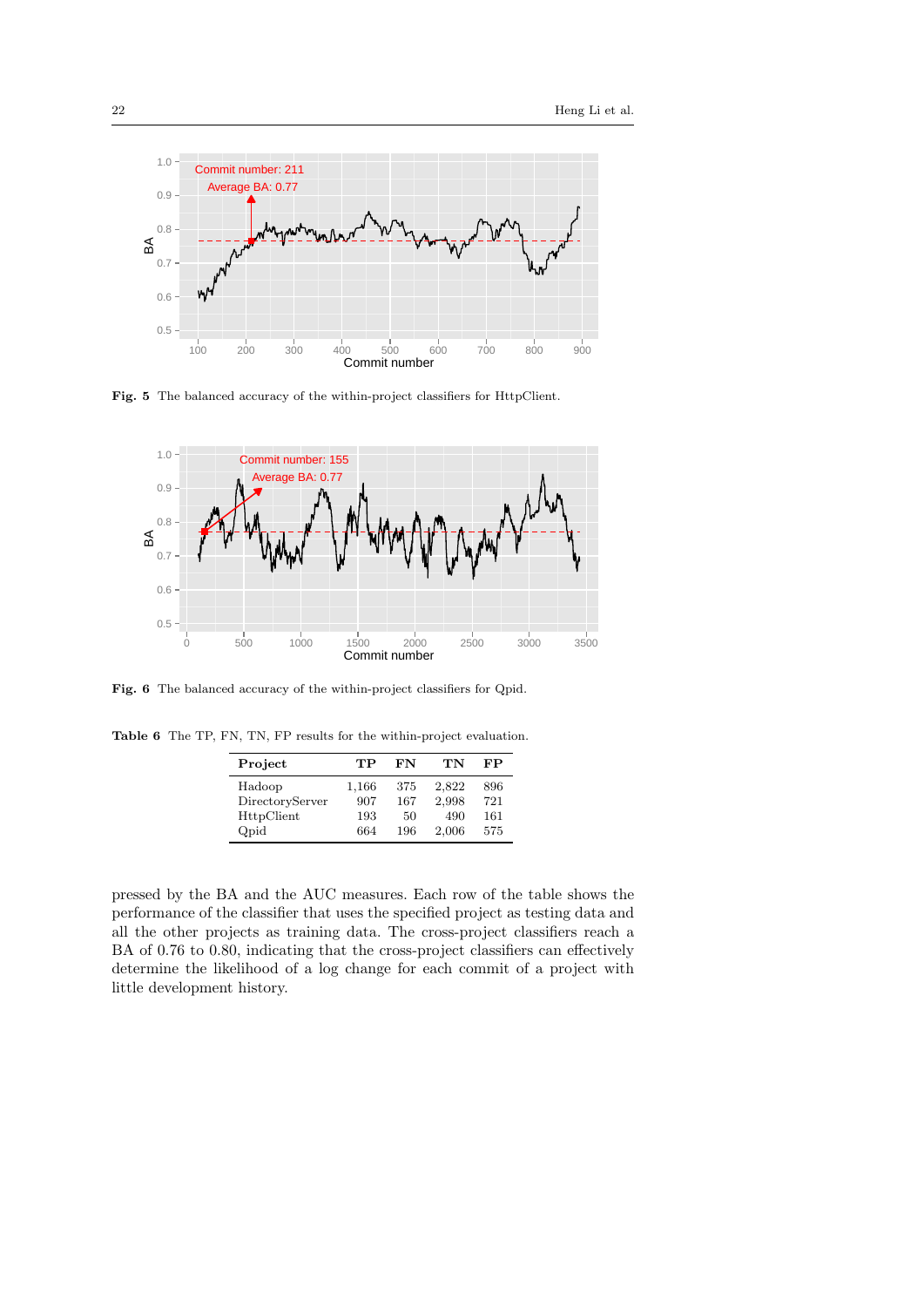

Fig. 5 The balanced accuracy of the within-project classifiers for HttpClient.



Fig. 6 The balanced accuracy of the within-project classifiers for Qpid.

Table 6 The TP, FN, TN, FP results for the within-project evaluation.

| Project         | TР    | FN  | тN    | FP  |
|-----------------|-------|-----|-------|-----|
| Hadoop          | 1,166 | 375 | 2,822 | 896 |
| DirectoryServer | 907   | 167 | 2,998 | 721 |
| HttpClient      | 193   | 50  | 490   | 161 |
| Qpid            | 664   | 196 | 2.006 | 575 |

pressed by the BA and the AUC measures. Each row of the table shows the performance of the classifier that uses the specified project as testing data and all the other projects as training data. The cross-project classifiers reach a BA of 0.76 to 0.80, indicating that the cross-project classifiers can effectively determine the likelihood of a log change for each commit of a project with little development history.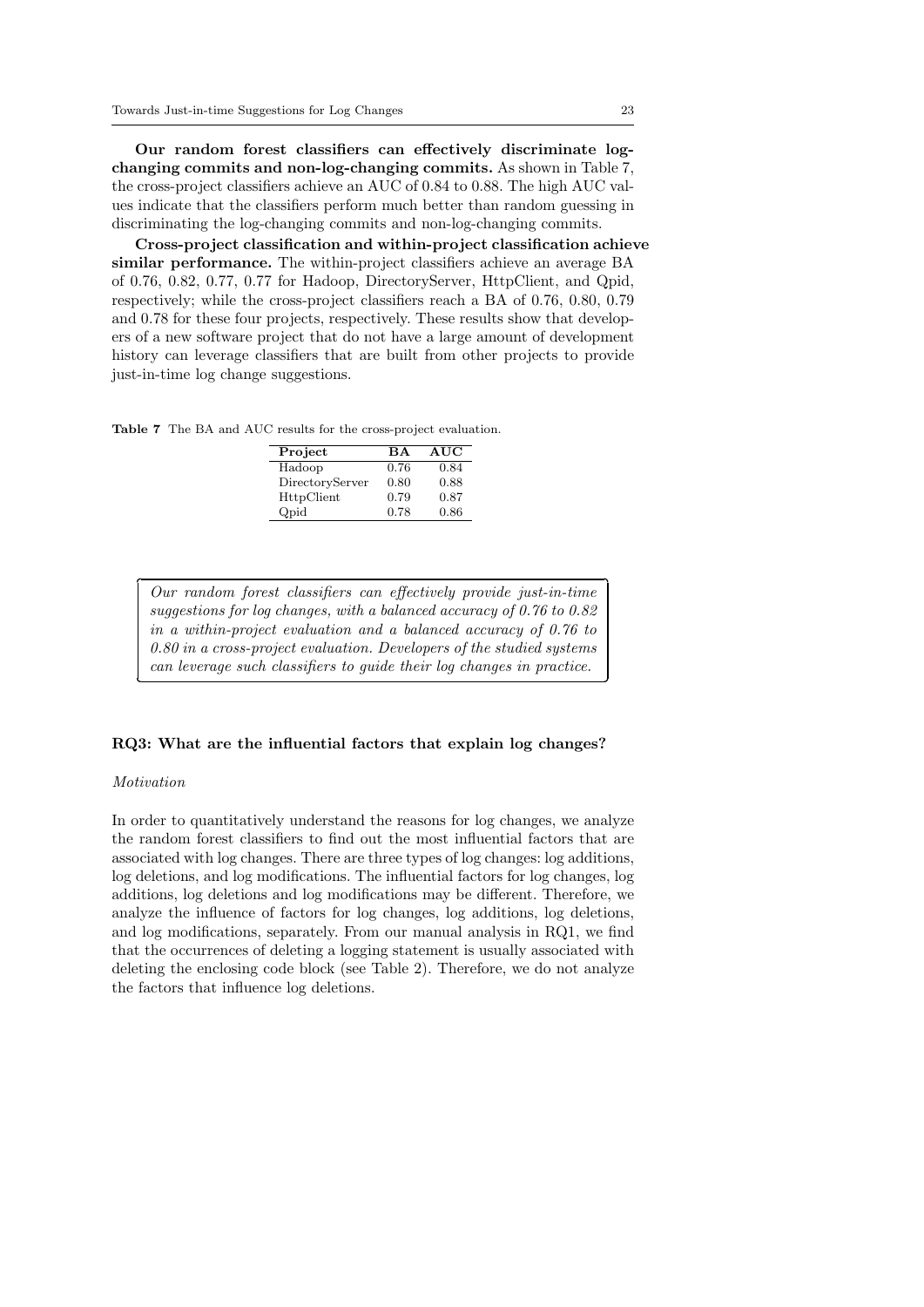Our random forest classifiers can effectively discriminate logchanging commits and non-log-changing commits. As shown in Table 7, the cross-project classifiers achieve an AUC of 0.84 to 0.88. The high AUC values indicate that the classifiers perform much better than random guessing in discriminating the log-changing commits and non-log-changing commits.

Cross-project classification and within-project classification achieve similar performance. The within-project classifiers achieve an average BA of 0.76, 0.82, 0.77, 0.77 for Hadoop, DirectoryServer, HttpClient, and Qpid, respectively; while the cross-project classifiers reach a BA of 0.76, 0.80, 0.79 and 0.78 for these four projects, respectively. These results show that developers of a new software project that do not have a large amount of development history can leverage classifiers that are built from other projects to provide just-in-time log change suggestions.

Table 7 The BA and AUC results for the cross-project evaluation.

| Project         | <b>BA</b> | <b>AUC</b> |
|-----------------|-----------|------------|
| Hadoop          | 0.76      | 0.84       |
| DirectoryServer | 0.80      | 0.88       |
| HttpClient      | 0.79      | 0.87       |
| Qpid            | 0.78      | 0.86       |

Our random forest classifiers can effectively provide just-in-time suggestions for log changes, with a balanced accuracy of 0.76 to 0.82 in a within-project evaluation and a balanced accuracy of 0.76 to 0.80 in a cross-project evaluation. Developers of the studied systems can leverage such classifiers to guide their log changes in practice.

# RQ3: What are the influential factors that explain log changes?

#### **Motivation**

✄

✂

In order to quantitatively understand the reasons for log changes, we analyze the random forest classifiers to find out the most influential factors that are associated with log changes. There are three types of log changes: log additions, log deletions, and log modifications. The influential factors for log changes, log additions, log deletions and log modifications may be different. Therefore, we analyze the influence of factors for log changes, log additions, log deletions, and log modifications, separately. From our manual analysis in RQ1, we find that the occurrences of deleting a logging statement is usually associated with deleting the enclosing code block (see Table 2). Therefore, we do not analyze the factors that influence log deletions.

<sup>1</sup>

l.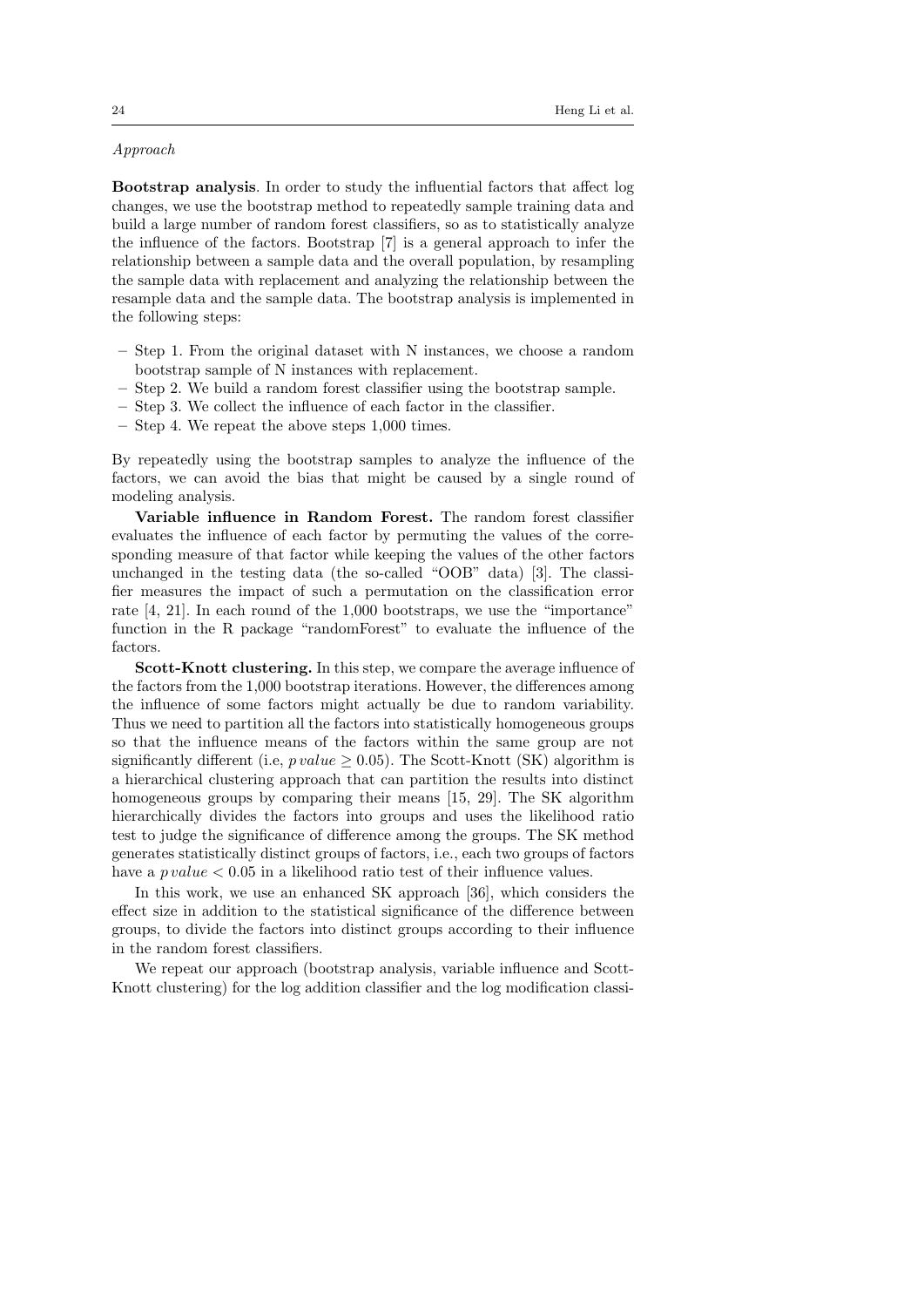# Approach

Bootstrap analysis. In order to study the influential factors that affect log changes, we use the bootstrap method to repeatedly sample training data and build a large number of random forest classifiers, so as to statistically analyze the influence of the factors. Bootstrap [7] is a general approach to infer the relationship between a sample data and the overall population, by resampling the sample data with replacement and analyzing the relationship between the resample data and the sample data. The bootstrap analysis is implemented in the following steps:

- Step 1. From the original dataset with N instances, we choose a random bootstrap sample of N instances with replacement.
- Step 2. We build a random forest classifier using the bootstrap sample.
- Step 3. We collect the influence of each factor in the classifier.
- Step 4. We repeat the above steps 1,000 times.

By repeatedly using the bootstrap samples to analyze the influence of the factors, we can avoid the bias that might be caused by a single round of modeling analysis.

Variable influence in Random Forest. The random forest classifier evaluates the influence of each factor by permuting the values of the corresponding measure of that factor while keeping the values of the other factors unchanged in the testing data (the so-called "OOB" data) [3]. The classifier measures the impact of such a permutation on the classification error rate [4, 21]. In each round of the 1,000 bootstraps, we use the "importance" function in the R package "randomForest" to evaluate the influence of the factors.

Scott-Knott clustering. In this step, we compare the average influence of the factors from the 1,000 bootstrap iterations. However, the differences among the influence of some factors might actually be due to random variability. Thus we need to partition all the factors into statistically homogeneous groups so that the influence means of the factors within the same group are not significantly different (i.e,  $p \text{ value} \geq 0.05$ ). The Scott-Knott (SK) algorithm is a hierarchical clustering approach that can partition the results into distinct homogeneous groups by comparing their means [15, 29]. The SK algorithm hierarchically divides the factors into groups and uses the likelihood ratio test to judge the significance of difference among the groups. The SK method generates statistically distinct groups of factors, i.e., each two groups of factors have a  $p \, value < 0.05$  in a likelihood ratio test of their influence values.

In this work, we use an enhanced SK approach [36], which considers the effect size in addition to the statistical significance of the difference between groups, to divide the factors into distinct groups according to their influence in the random forest classifiers.

We repeat our approach (bootstrap analysis, variable influence and Scott-Knott clustering) for the log addition classifier and the log modification classi-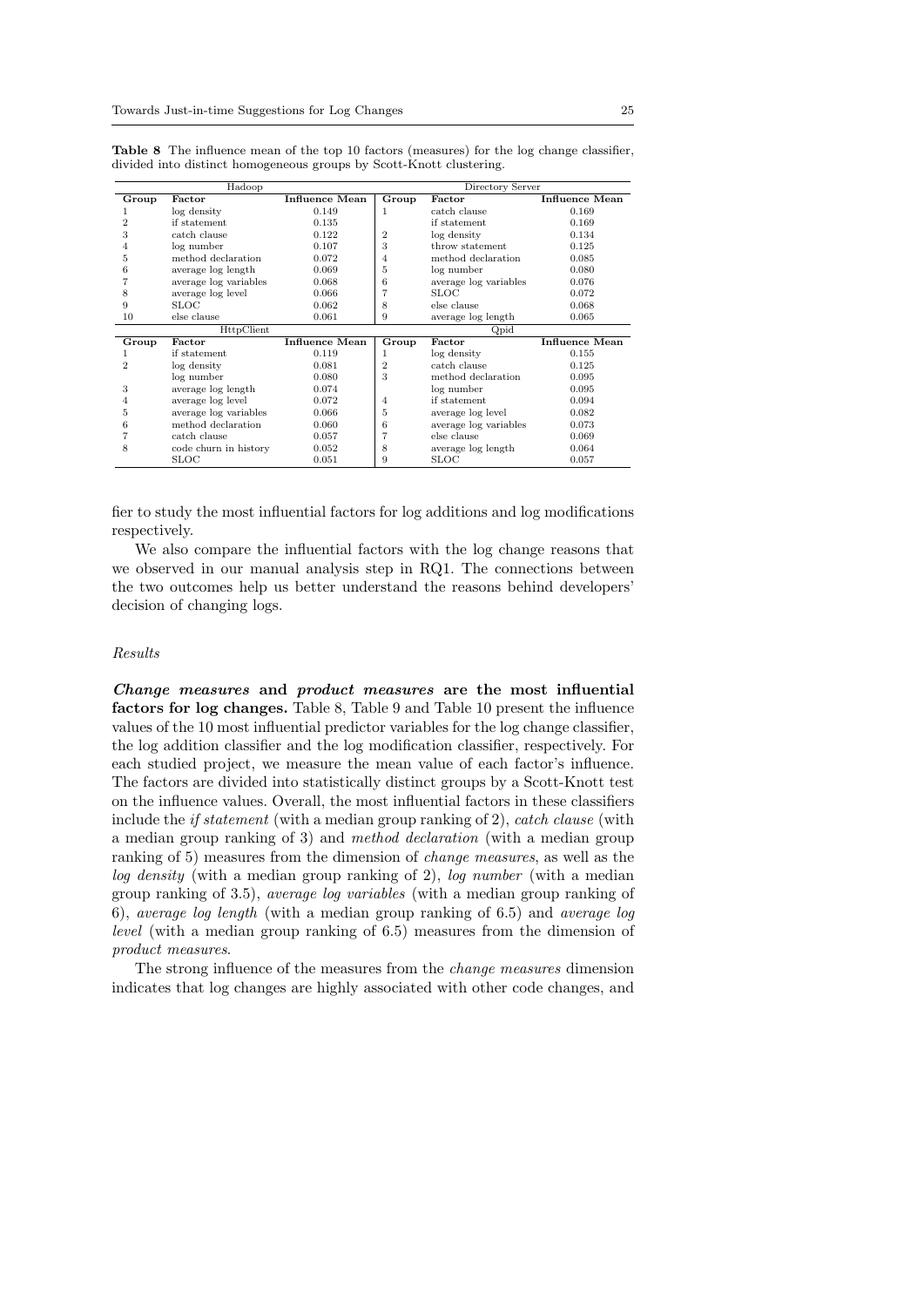|                | Hadoop                |                       | Directory Server |                       |                       |  |  |
|----------------|-----------------------|-----------------------|------------------|-----------------------|-----------------------|--|--|
| Group          | Factor                | <b>Influence Mean</b> | Group            | Factor                | <b>Influence Mean</b> |  |  |
|                | log density           | 0.149                 | 1                | catch clause          | 0.169                 |  |  |
| $\overline{2}$ | if statement          | 0.135                 |                  | if statement          | 0.169                 |  |  |
| 3              | catch clause          | 0.122                 | $\overline{2}$   | log density           | 0.134                 |  |  |
| 4              | log number            | 0.107                 | 3                | throw statement       | 0.125                 |  |  |
| 5              | method declaration    | 0.072                 | 4                | method declaration    | 0.085                 |  |  |
| 6              | average log length    | 0.069                 | 5                | log number            | 0.080                 |  |  |
|                | average log variables | 0.068                 | 6                | average log variables | 0.076                 |  |  |
| 8              | average log level     | 0.066                 | 7                | <b>SLOC</b>           | 0.072                 |  |  |
| 9              | <b>SLOC</b>           | 0.062                 | 8                | else clause           | 0.068                 |  |  |
| 10             | else clause           | 0.061                 | 9                | average log length    | 0.065                 |  |  |
|                |                       |                       |                  |                       |                       |  |  |
|                | HttpClient            |                       |                  | Qpid                  |                       |  |  |
| Group          | Factor                | <b>Influence Mean</b> | Group            | Factor                | <b>Influence Mean</b> |  |  |
|                | if statement          | 0.119                 | 1                | log density           | 0.155                 |  |  |
| $\overline{2}$ | log density           | 0.081                 | $\overline{2}$   | catch clause          | 0.125                 |  |  |
|                | log number            | 0.080                 | 3                | method declaration    | 0.095                 |  |  |
| 3              | average log length    | 0.074                 |                  | log number            | 0.095                 |  |  |
| 4              | average log level     | 0.072                 | 4                | if statement          | 0.094                 |  |  |
| 5              | average log variables | 0.066                 | 5                | average log level     | 0.082                 |  |  |
| 6              | method declaration    | 0.060                 | 6                | average log variables | 0.073                 |  |  |
|                | catch clause          | 0.057                 |                  | else clause           | 0.069                 |  |  |
| 8              | code churn in history | 0.052                 | 8                | average log length    | 0.064                 |  |  |

Table 8 The influence mean of the top 10 factors (measures) for the log change classifier, divided into distinct homogeneous groups by Scott-Knott clustering.

fier to study the most influential factors for log additions and log modifications respectively.

We also compare the influential factors with the log change reasons that we observed in our manual analysis step in RQ1. The connections between the two outcomes help us better understand the reasons behind developers' decision of changing logs.

#### Results

Change measures and product measures are the most influential factors for log changes. Table 8, Table 9 and Table 10 present the influence values of the 10 most influential predictor variables for the log change classifier, the log addition classifier and the log modification classifier, respectively. For each studied project, we measure the mean value of each factor's influence. The factors are divided into statistically distinct groups by a Scott-Knott test on the influence values. Overall, the most influential factors in these classifiers include the *if statement* (with a median group ranking of 2), *catch clause* (with a median group ranking of 3) and method declaration (with a median group ranking of 5) measures from the dimension of change measures, as well as the log density (with a median group ranking of 2), log number (with a median group ranking of 3.5), average log variables (with a median group ranking of 6), average log length (with a median group ranking of 6.5) and average log level (with a median group ranking of 6.5) measures from the dimension of product measures.

The strong influence of the measures from the change measures dimension indicates that log changes are highly associated with other code changes, and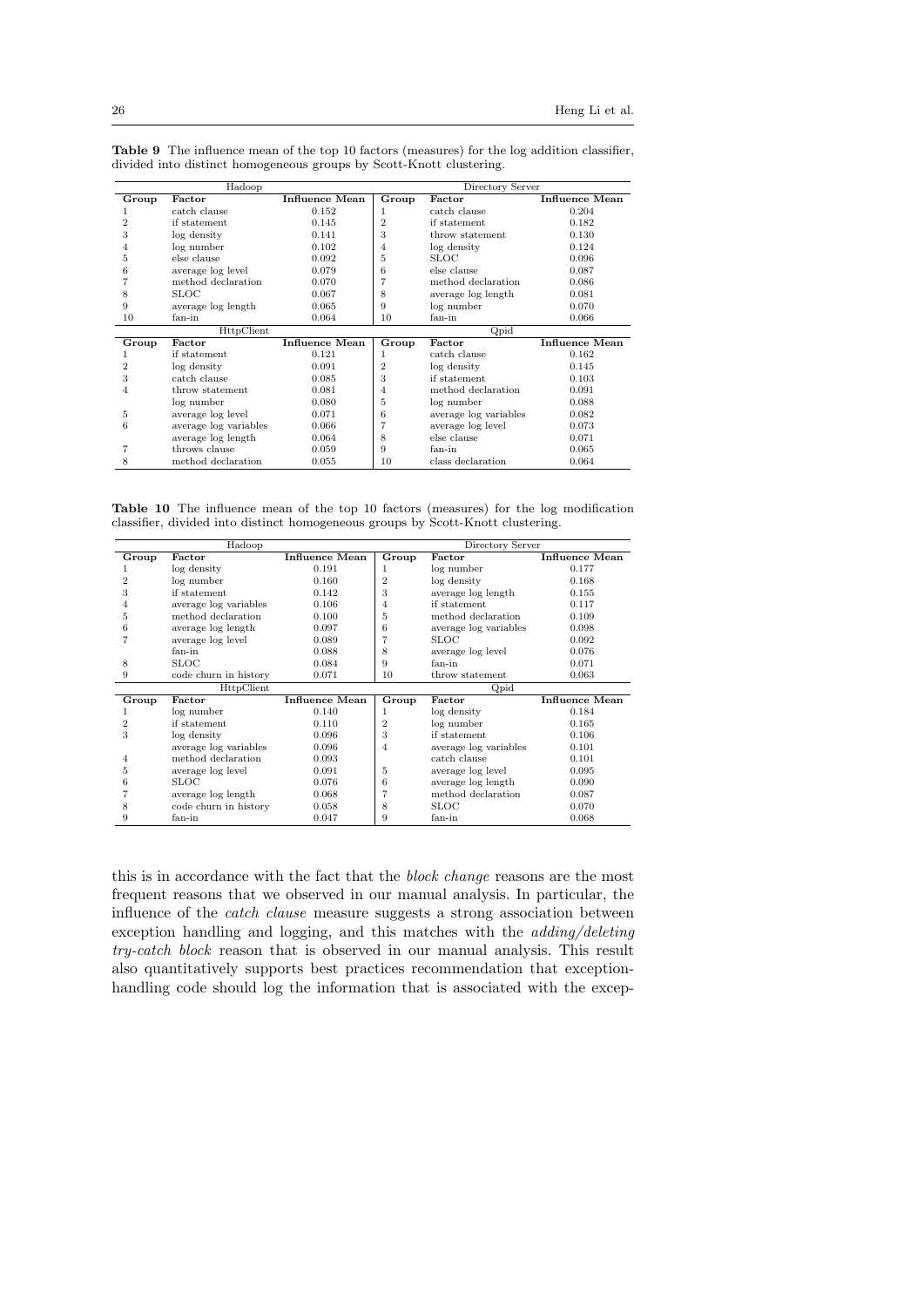|                | Hadoop                |                | Directory Server |                       |                       |  |  |  |
|----------------|-----------------------|----------------|------------------|-----------------------|-----------------------|--|--|--|
| Group          | Factor                | Influence Mean | Group            | Factor                | <b>Influence Mean</b> |  |  |  |
|                | catch clause          | 0.152          | 1                | catch clause          | 0.204                 |  |  |  |
| $\overline{2}$ | if statement          | 0.145          | $\overline{2}$   | if statement          | 0.182                 |  |  |  |
| 3              | log density           | 0.141          | 3                | throw statement       | 0.130                 |  |  |  |
| 4              | log number            | 0.102          | 4                | log density           | 0.124                 |  |  |  |
| 5              | else clause           | 0.092          | 5                | <b>SLOC</b>           | 0.096                 |  |  |  |
| 6              | average log level     | 0.079          | 6                | else clause           | 0.087                 |  |  |  |
|                | method declaration    | 0.070          | 7                | method declaration    | 0.086                 |  |  |  |
| 8              | <b>SLOC</b>           | 0.067          | 8                | average log length    | 0.081                 |  |  |  |
| 9              | average log length    | 0.065          | 9                | log number            | 0.070                 |  |  |  |
| 10             | fan-in                | 0.064          | 10               | $fan-in$              | 0.066                 |  |  |  |
|                | HttpClient            |                | Qpid             |                       |                       |  |  |  |
| Group          | Factor                | Influence Mean | Group            | Factor                | <b>Influence Mean</b> |  |  |  |
|                | if statement          | 0.121          | 1                | catch clause          | 0.162                 |  |  |  |
| $\overline{2}$ | log density           | 0.091          | $\overline{2}$   | log density           | 0.145                 |  |  |  |
| 3              | catch clause          | 0.085          | 3                | if statement          | 0.103                 |  |  |  |
| 4              | throw statement       | 0.081          | 4                | method declaration    | 0.091                 |  |  |  |
|                | log number            | 0.080          | 5                | log number            | 0.088                 |  |  |  |
| 5              | average log level     | 0.071          | 6                | average log variables | 0.082                 |  |  |  |
| 6              | average log variables | 0.066          |                  | average log level     | 0.073                 |  |  |  |
|                | average log length    | 0.064          | 8                | else clause           | 0.071                 |  |  |  |
| 7              | throws clause         | 0.059          | 9                | fan-in                | 0.065                 |  |  |  |
|                |                       |                |                  |                       |                       |  |  |  |

Table 9 The influence mean of the top 10 factors (measures) for the log addition classifier, divided into distinct homogeneous groups by Scott-Knott clustering.

|  |  |  |  |                                                                                 |  | <b>Table 10</b> The influence mean of the top 10 factors (measures) for the log modification |
|--|--|--|--|---------------------------------------------------------------------------------|--|----------------------------------------------------------------------------------------------|
|  |  |  |  | classifier, divided into distinct homogeneous groups by Scott-Knott clustering. |  |                                                                                              |

|                | Hadoop                |                       | Directory Server |                       |                       |  |
|----------------|-----------------------|-----------------------|------------------|-----------------------|-----------------------|--|
| Group          | Factor                | <b>Influence Mean</b> | Group            | Factor                | <b>Influence Mean</b> |  |
|                | log density           | 0.191                 | 1                | log number            | 0.177                 |  |
| $\overline{2}$ | log number            | 0.160                 | $\overline{2}$   | log density           | 0.168                 |  |
| 3              | if statement          | 0.142                 | 3                | average log length    | 0.155                 |  |
| 4              | average log variables | 0.106                 | 4                | if statement          | 0.117                 |  |
| 5              | method declaration    | 0.100                 | 5                | method declaration    | 0.109                 |  |
| 6              | average log length    | 0.097                 | 6                | average log variables | 0.098                 |  |
|                | average log level     | 0.089                 | 7                | <b>SLOC</b>           | 0.092                 |  |
|                | fan-in                | 0.088                 | 8                | average log level     | 0.076                 |  |
| 8              | <b>SLOC</b>           | 0.084                 | 9                | fan-in                | 0.071                 |  |
| 9              | code churn in history | 0.071                 | 10               | throw statement       | 0.063                 |  |
|                | HttpClient            |                       | Qpid             |                       |                       |  |
| Group          | Factor                | <b>Influence Mean</b> | Group            | Factor                | <b>Influence Mean</b> |  |
|                | log number            | 0.140                 | 1                | log density           | 0.184                 |  |
| $\overline{2}$ | if statement          | 0.110                 | $\overline{2}$   | log number            | 0.165                 |  |
| 3              | log density           | 0.096                 | 3                | if statement          | 0.106                 |  |
|                | average log variables | 0.096                 | 4                | average log variables | 0.101                 |  |
| 4              | method declaration    | 0.093                 |                  | catch clause          | 0.101                 |  |
| 5              | average log level     | 0.091                 | 5                | average log level     | 0.095                 |  |
| 6              | <b>SLOC</b>           | 0.076                 | 6                | average log length    | 0.090                 |  |
|                | average log length    | 0.068                 | 7                | method declaration    | 0.087                 |  |
| 8              | code churn in history | 0.058                 | 8                | <b>SLOC</b>           | 0.070                 |  |
| 9              | fan-in                | 0.047                 | 9                | fan-in                | 0.068                 |  |

this is in accordance with the fact that the block change reasons are the most frequent reasons that we observed in our manual analysis. In particular, the influence of the catch clause measure suggests a strong association between exception handling and logging, and this matches with the adding/deleting try-catch block reason that is observed in our manual analysis. This result also quantitatively supports best practices recommendation that exceptionhandling code should log the information that is associated with the excep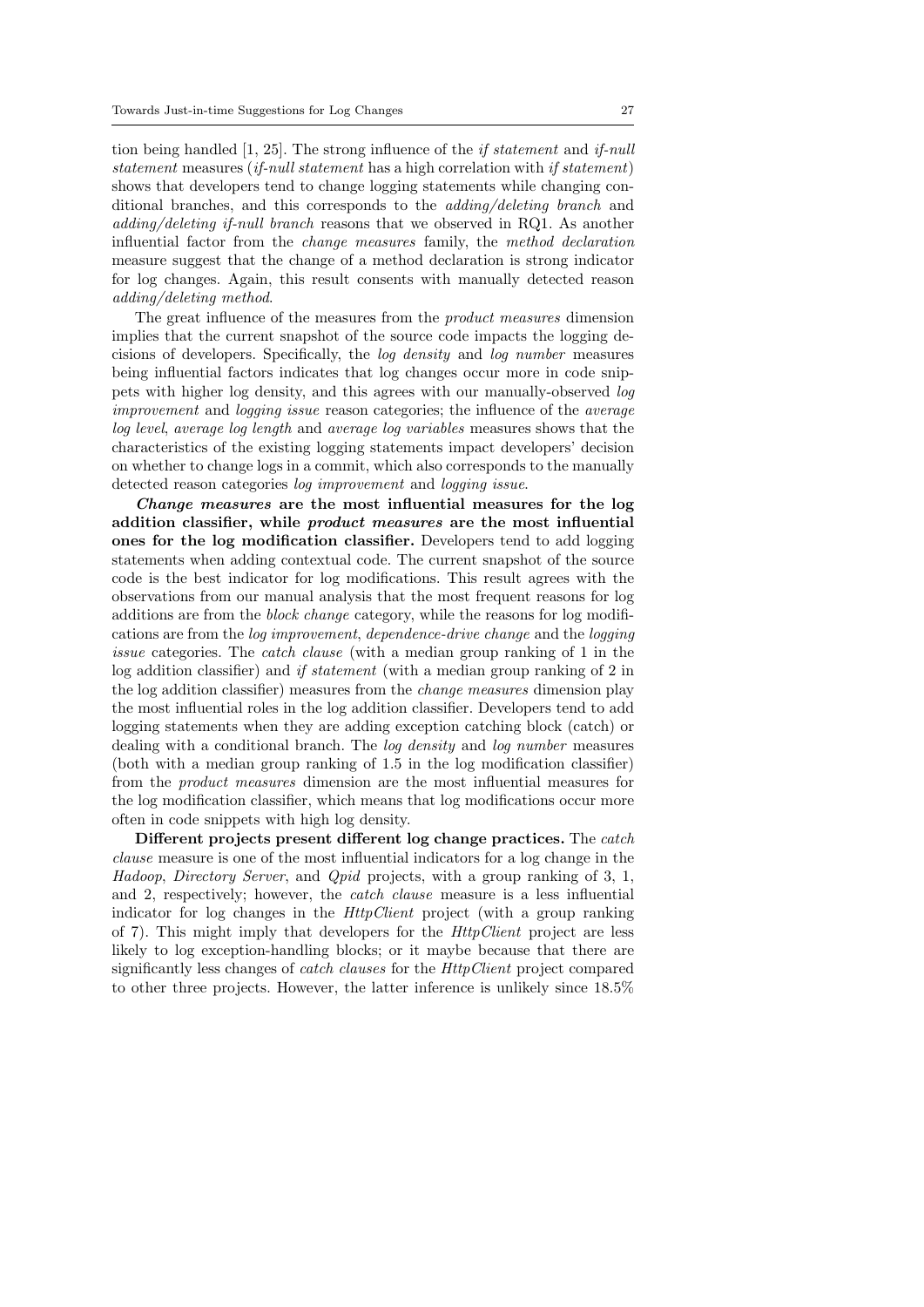tion being handled [1, 25]. The strong influence of the if statement and if-null statement measures (if-null statement has a high correlation with if statement) shows that developers tend to change logging statements while changing conditional branches, and this corresponds to the adding/deleting branch and adding/deleting if-null branch reasons that we observed in RQ1. As another influential factor from the change measures family, the method declaration measure suggest that the change of a method declaration is strong indicator for log changes. Again, this result consents with manually detected reason adding/deleting method.

The great influence of the measures from the product measures dimension implies that the current snapshot of the source code impacts the logging decisions of developers. Specifically, the log density and log number measures being influential factors indicates that log changes occur more in code snippets with higher log density, and this agrees with our manually-observed log improvement and logging issue reason categories; the influence of the average log level, average log length and average log variables measures shows that the characteristics of the existing logging statements impact developers' decision on whether to change logs in a commit, which also corresponds to the manually detected reason categories log improvement and logging issue.

Change measures are the most influential measures for the log addition classifier, while product measures are the most influential ones for the log modification classifier. Developers tend to add logging statements when adding contextual code. The current snapshot of the source code is the best indicator for log modifications. This result agrees with the observations from our manual analysis that the most frequent reasons for log additions are from the block change category, while the reasons for log modifications are from the log improvement, dependence-drive change and the logging issue categories. The catch clause (with a median group ranking of 1 in the log addition classifier) and if statement (with a median group ranking of 2 in the log addition classifier) measures from the change measures dimension play the most influential roles in the log addition classifier. Developers tend to add logging statements when they are adding exception catching block (catch) or dealing with a conditional branch. The log density and log number measures (both with a median group ranking of 1.5 in the log modification classifier) from the product measures dimension are the most influential measures for the log modification classifier, which means that log modifications occur more often in code snippets with high log density.

Different projects present different log change practices. The *catch* clause measure is one of the most influential indicators for a log change in the Hadoop, Directory Server, and Qpid projects, with a group ranking of 3, 1, and 2, respectively; however, the catch clause measure is a less influential indicator for log changes in the  $HttpClient$  project (with a group ranking of 7). This might imply that developers for the HttpClient project are less likely to log exception-handling blocks; or it maybe because that there are significantly less changes of catch clauses for the HttpClient project compared to other three projects. However, the latter inference is unlikely since 18.5%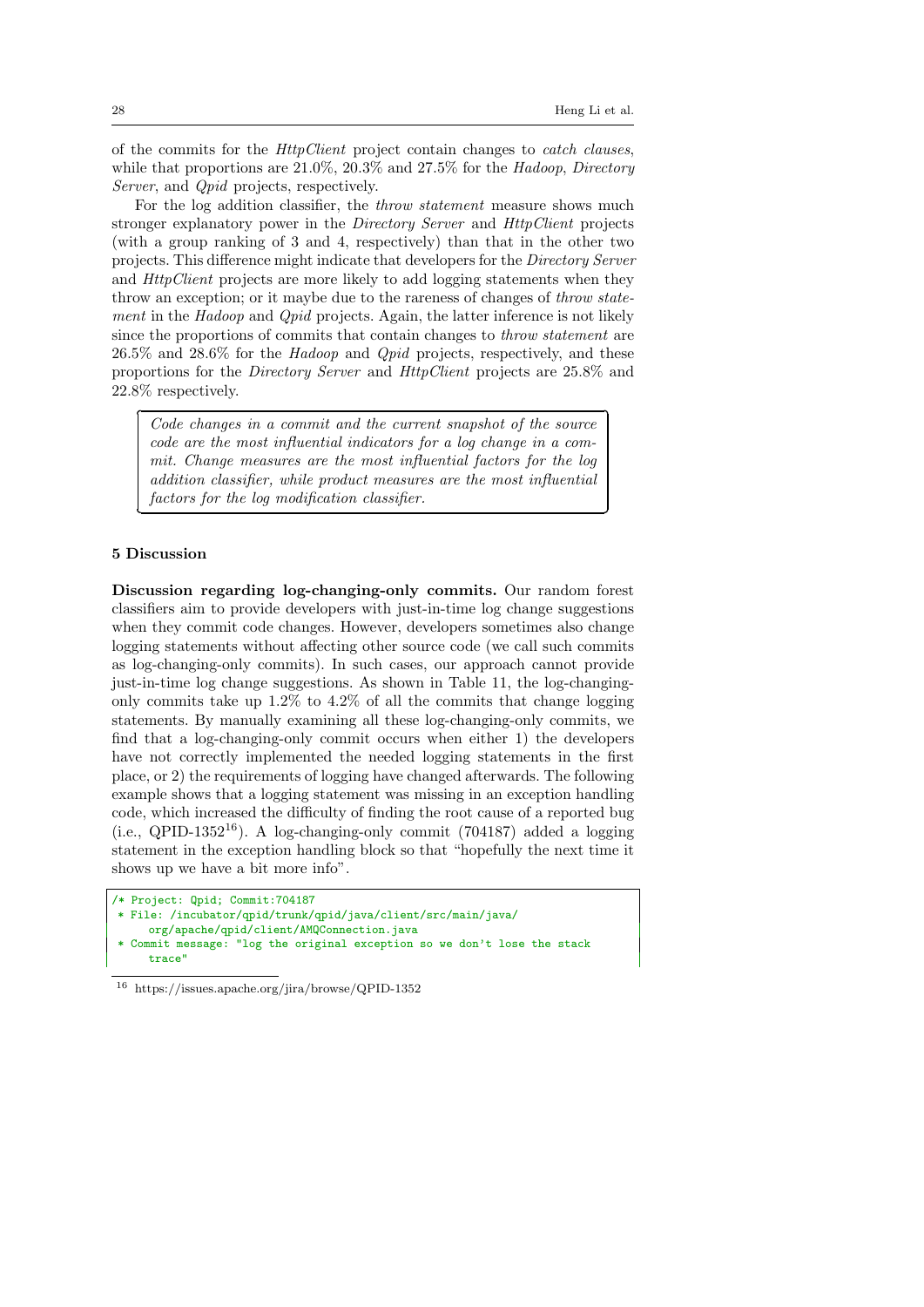Ĭ.

l.

of the commits for the HttpClient project contain changes to catch clauses, while that proportions are  $21.0\%$ ,  $20.3\%$  and  $27.5\%$  for the Hadoop, Directory Server, and *Qpid* projects, respectively.

For the log addition classifier, the throw statement measure shows much stronger explanatory power in the Directory Server and HttpClient projects (with a group ranking of 3 and 4, respectively) than that in the other two projects. This difference might indicate that developers for the Directory Server and *HttpClient* projects are more likely to add logging statements when they throw an exception; or it maybe due to the rareness of changes of throw statement in the Hadoop and *Qpid* projects. Again, the latter inference is not likely since the proportions of commits that contain changes to throw statement are 26.5% and 28.6% for the Hadoop and Qpid projects, respectively, and these proportions for the Directory Server and HttpClient projects are 25.8% and 22.8% respectively.

Code changes in a commit and the current snapshot of the source code are the most influential indicators for a log change in a commit. Change measures are the most influential factors for the log addition classifier, while product measures are the most influential factors for the log modification classifier.

# 5 Discussion

✄

 $\overline{a}$ 

Discussion regarding log-changing-only commits. Our random forest classifiers aim to provide developers with just-in-time log change suggestions when they commit code changes. However, developers sometimes also change logging statements without affecting other source code (we call such commits as log-changing-only commits). In such cases, our approach cannot provide just-in-time log change suggestions. As shown in Table 11, the log-changingonly commits take up 1.2% to 4.2% of all the commits that change logging statements. By manually examining all these log-changing-only commits, we find that a log-changing-only commit occurs when either 1) the developers have not correctly implemented the needed logging statements in the first place, or 2) the requirements of logging have changed afterwards. The following example shows that a logging statement was missing in an exception handling code, which increased the difficulty of finding the root cause of a reported bug (i.e., QPID-1352<sup>16</sup>). A log-changing-only commit (704187) added a logging statement in the exception handling block so that "hopefully the next time it shows up we have a bit more info".

```
/* Project: Qpid; Commit:704187
```

```
* File: /incubator/qpid/trunk/qpid/java/client/src/main/java/
```
org/apache/qpid/client/AMQConnection.java

Commit message: "log the original exception so we don't lose the stack trace"

<sup>16</sup> https://issues.apache.org/jira/browse/QPID-1352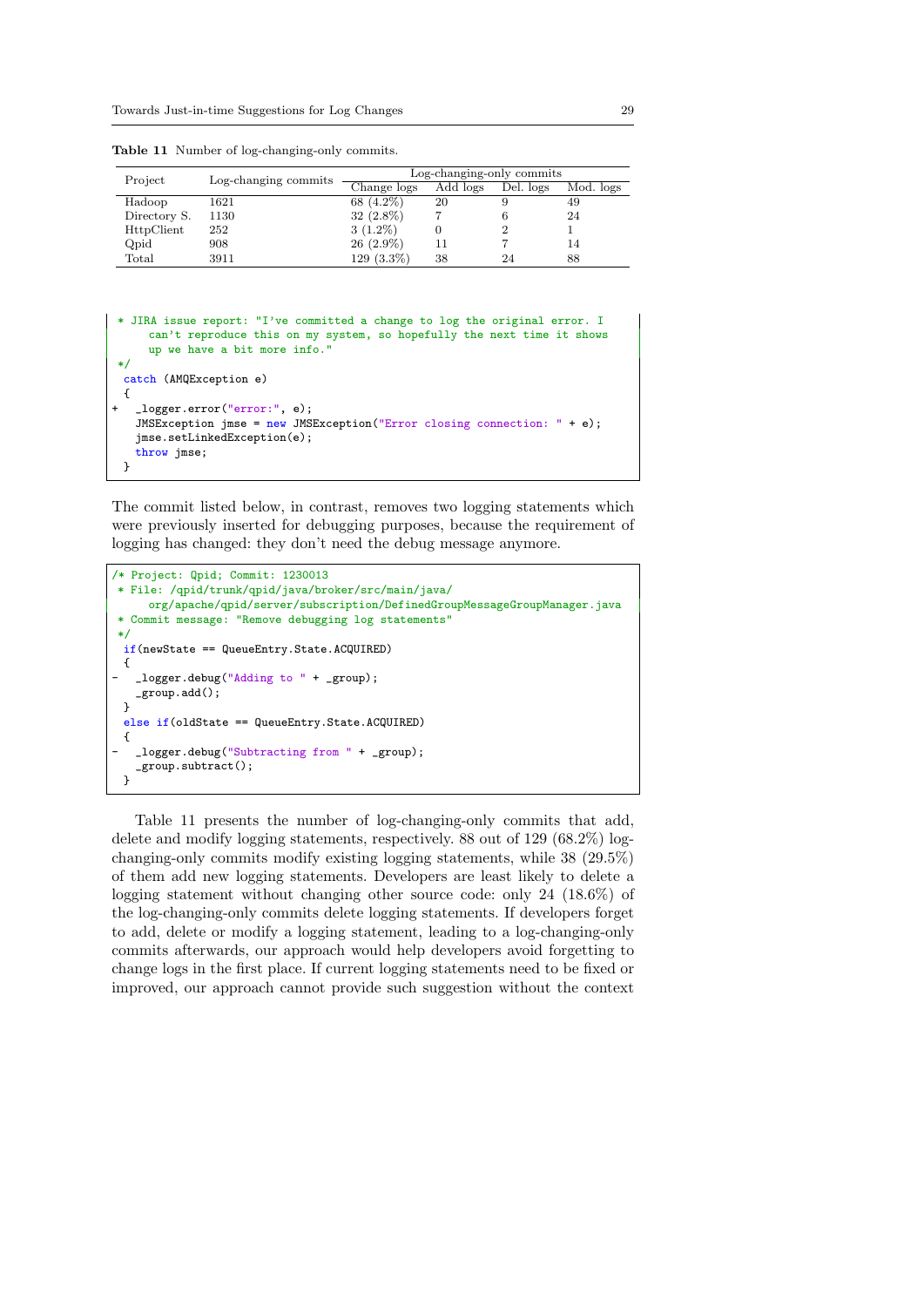Table 11 Number of log-changing-only commits.

| Project      | Log-changing commits | Log-changing-only commits |          |           |           |
|--------------|----------------------|---------------------------|----------|-----------|-----------|
|              |                      | Change logs               | Add logs | Del. logs | Mod. logs |
| Hadoop       | 1621                 | 68 (4.2%)                 | 20       |           | 49        |
| Directory S. | 1130                 | $32(2.8\%)$               |          |           | 24        |
| HttpClient   | 252                  | $3(1.2\%)$                |          |           |           |
| Qpid         | 908                  | $26(2.9\%)$               |          |           | 14        |
| Total        | 3911                 | $129(3.3\%)$              | 38       | 24        | 88        |

```
* JIRA issue report: "I've committed a change to log the original error. I
    can't reproduce this on my system, so hopefully the next time it shows
    up we have a bit more info."
*/
catch (AMQException e)
{
   logger.error("error:", e);
  JMSException jmse = new JMSException("Error closing connection: " + e);
  jmse.setLinkedException(e);
  throw jmse;
}
```
The commit listed below, in contrast, removes two logging statements which were previously inserted for debugging purposes, because the requirement of logging has changed: they don't need the debug message anymore.

```
/* Project: Qpid; Commit: 1230013
* File: /qpid/trunk/qpid/java/broker/src/main/java/
     org/apache/qpid/server/subscription/DefinedGroupMessageGroupManager.java
* Commit message: "Remove debugging log statements"
*/
 if(newState == QueueEntry.State.ACQUIRED)
 {
   - _logger.debug("Adding to " + _group);
   _group.add();
 }
 else if(oldState == QueueEntry.State.ACQUIRED)
 {
   - _logger.debug("Subtracting from " + _group);
   _group.subtract();
 }
```
Table 11 presents the number of log-changing-only commits that add, delete and modify logging statements, respectively. 88 out of 129 (68.2%) logchanging-only commits modify existing logging statements, while 38 (29.5%) of them add new logging statements. Developers are least likely to delete a logging statement without changing other source code: only 24 (18.6%) of the log-changing-only commits delete logging statements. If developers forget to add, delete or modify a logging statement, leading to a log-changing-only commits afterwards, our approach would help developers avoid forgetting to change logs in the first place. If current logging statements need to be fixed or improved, our approach cannot provide such suggestion without the context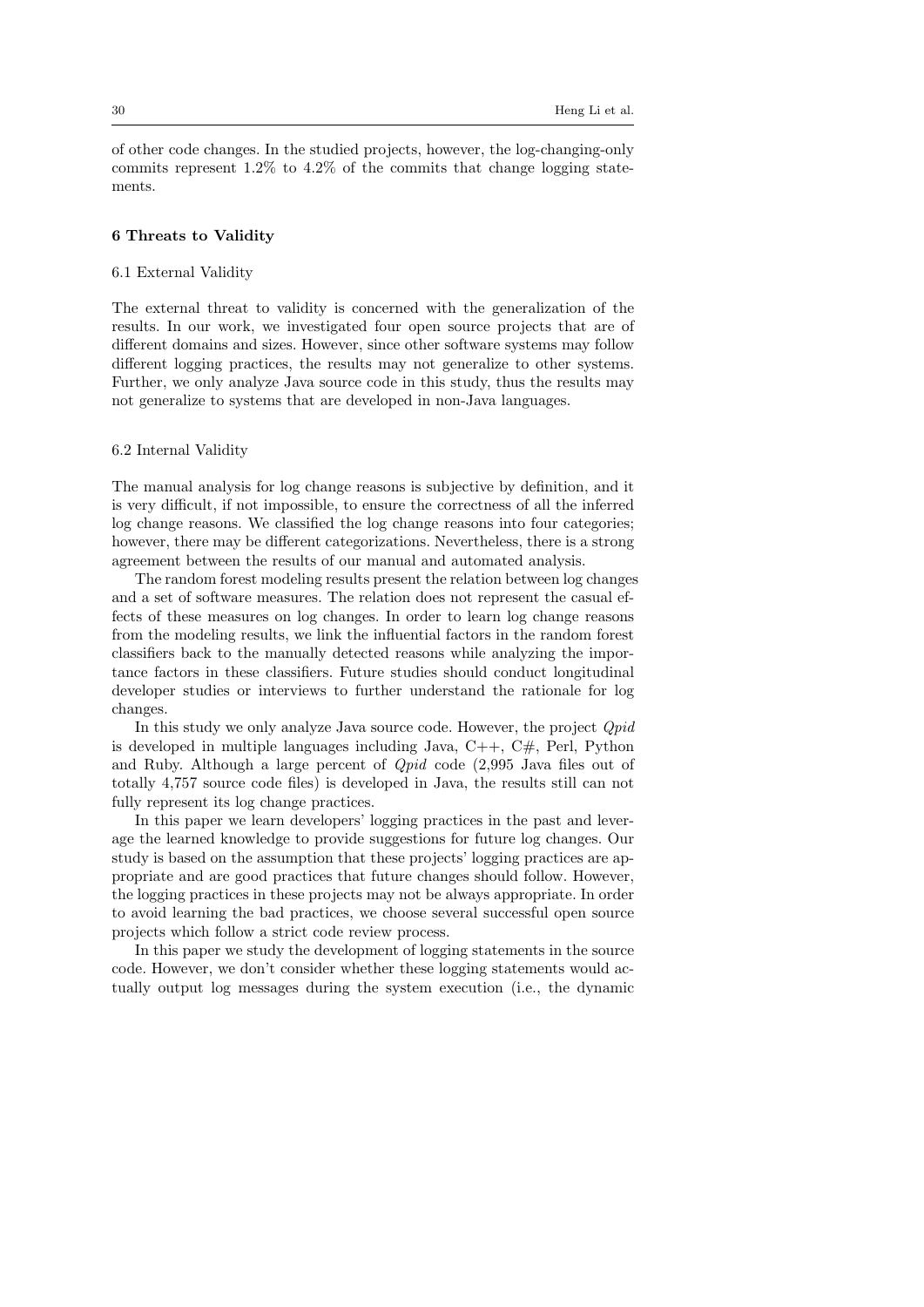of other code changes. In the studied projects, however, the log-changing-only commits represent 1.2% to 4.2% of the commits that change logging statements.

## 6 Threats to Validity

#### 6.1 External Validity

The external threat to validity is concerned with the generalization of the results. In our work, we investigated four open source projects that are of different domains and sizes. However, since other software systems may follow different logging practices, the results may not generalize to other systems. Further, we only analyze Java source code in this study, thus the results may not generalize to systems that are developed in non-Java languages.

## 6.2 Internal Validity

The manual analysis for log change reasons is subjective by definition, and it is very difficult, if not impossible, to ensure the correctness of all the inferred log change reasons. We classified the log change reasons into four categories; however, there may be different categorizations. Nevertheless, there is a strong agreement between the results of our manual and automated analysis.

The random forest modeling results present the relation between log changes and a set of software measures. The relation does not represent the casual effects of these measures on log changes. In order to learn log change reasons from the modeling results, we link the influential factors in the random forest classifiers back to the manually detected reasons while analyzing the importance factors in these classifiers. Future studies should conduct longitudinal developer studies or interviews to further understand the rationale for log changes.

In this study we only analyze Java source code. However, the project  $Qpid$ is developed in multiple languages including Java,  $C++$ ,  $C\#$ , Perl, Python and Ruby. Although a large percent of Qpid code (2,995 Java files out of totally 4,757 source code files) is developed in Java, the results still can not fully represent its log change practices.

In this paper we learn developers' logging practices in the past and leverage the learned knowledge to provide suggestions for future log changes. Our study is based on the assumption that these projects' logging practices are appropriate and are good practices that future changes should follow. However, the logging practices in these projects may not be always appropriate. In order to avoid learning the bad practices, we choose several successful open source projects which follow a strict code review process.

In this paper we study the development of logging statements in the source code. However, we don't consider whether these logging statements would actually output log messages during the system execution (i.e., the dynamic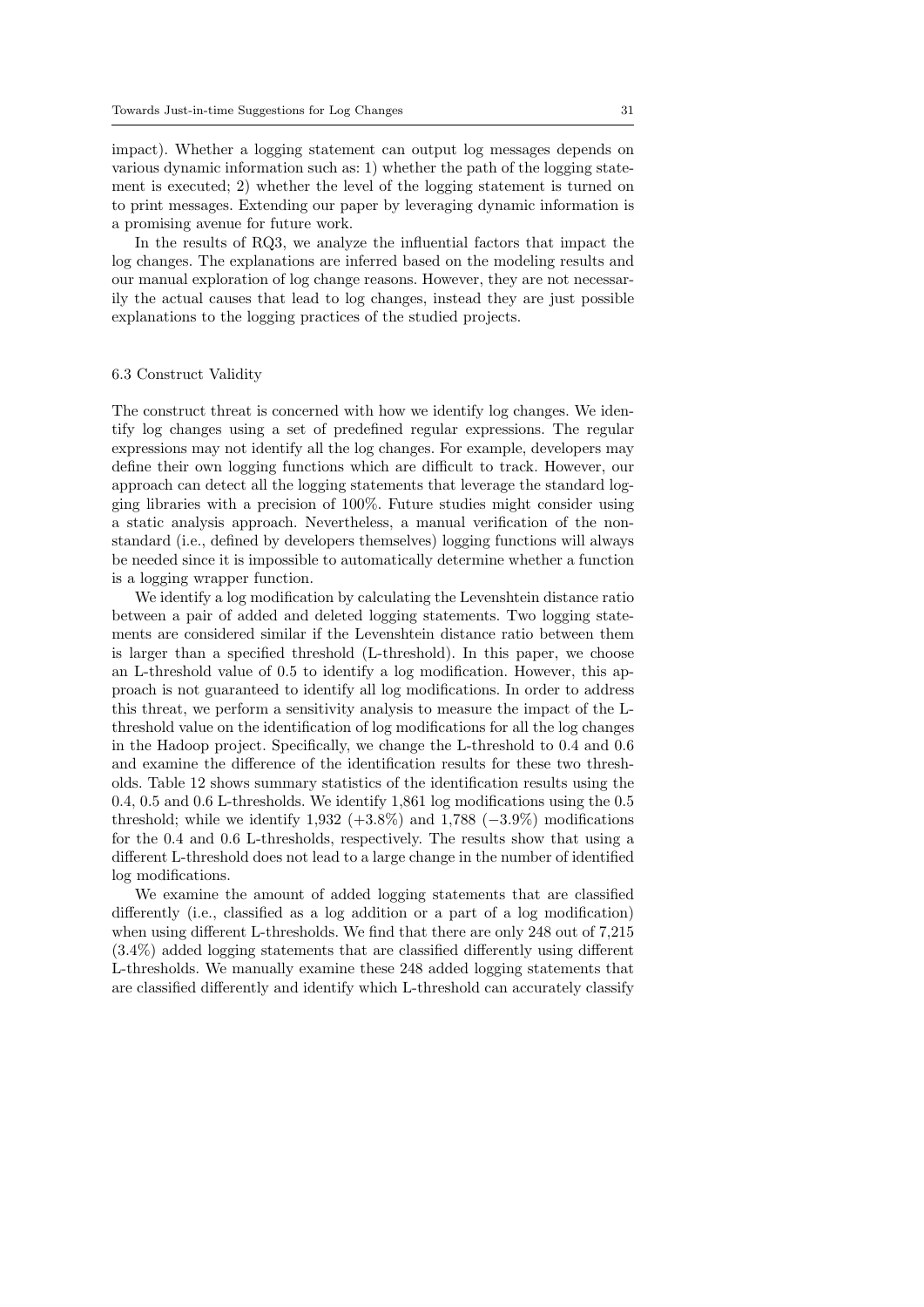impact). Whether a logging statement can output log messages depends on various dynamic information such as: 1) whether the path of the logging statement is executed; 2) whether the level of the logging statement is turned on to print messages. Extending our paper by leveraging dynamic information is a promising avenue for future work.

In the results of RQ3, we analyze the influential factors that impact the log changes. The explanations are inferred based on the modeling results and our manual exploration of log change reasons. However, they are not necessarily the actual causes that lead to log changes, instead they are just possible explanations to the logging practices of the studied projects.

## 6.3 Construct Validity

The construct threat is concerned with how we identify log changes. We identify log changes using a set of predefined regular expressions. The regular expressions may not identify all the log changes. For example, developers may define their own logging functions which are difficult to track. However, our approach can detect all the logging statements that leverage the standard logging libraries with a precision of 100%. Future studies might consider using a static analysis approach. Nevertheless, a manual verification of the nonstandard (i.e., defined by developers themselves) logging functions will always be needed since it is impossible to automatically determine whether a function is a logging wrapper function.

We identify a log modification by calculating the Levenshtein distance ratio between a pair of added and deleted logging statements. Two logging statements are considered similar if the Levenshtein distance ratio between them is larger than a specified threshold (L-threshold). In this paper, we choose an L-threshold value of 0.5 to identify a log modification. However, this approach is not guaranteed to identify all log modifications. In order to address this threat, we perform a sensitivity analysis to measure the impact of the Lthreshold value on the identification of log modifications for all the log changes in the Hadoop project. Specifically, we change the L-threshold to 0.4 and 0.6 and examine the difference of the identification results for these two thresholds. Table 12 shows summary statistics of the identification results using the 0.4, 0.5 and 0.6 L-thresholds. We identify 1,861 log modifications using the 0.5 threshold; while we identify 1,932  $(+3.8\%)$  and 1,788  $(-3.9\%)$  modifications for the 0.4 and 0.6 L-thresholds, respectively. The results show that using a different L-threshold does not lead to a large change in the number of identified log modifications.

We examine the amount of added logging statements that are classified differently (i.e., classified as a log addition or a part of a log modification) when using different L-thresholds. We find that there are only 248 out of 7,215 (3.4%) added logging statements that are classified differently using different L-thresholds. We manually examine these 248 added logging statements that are classified differently and identify which L-threshold can accurately classify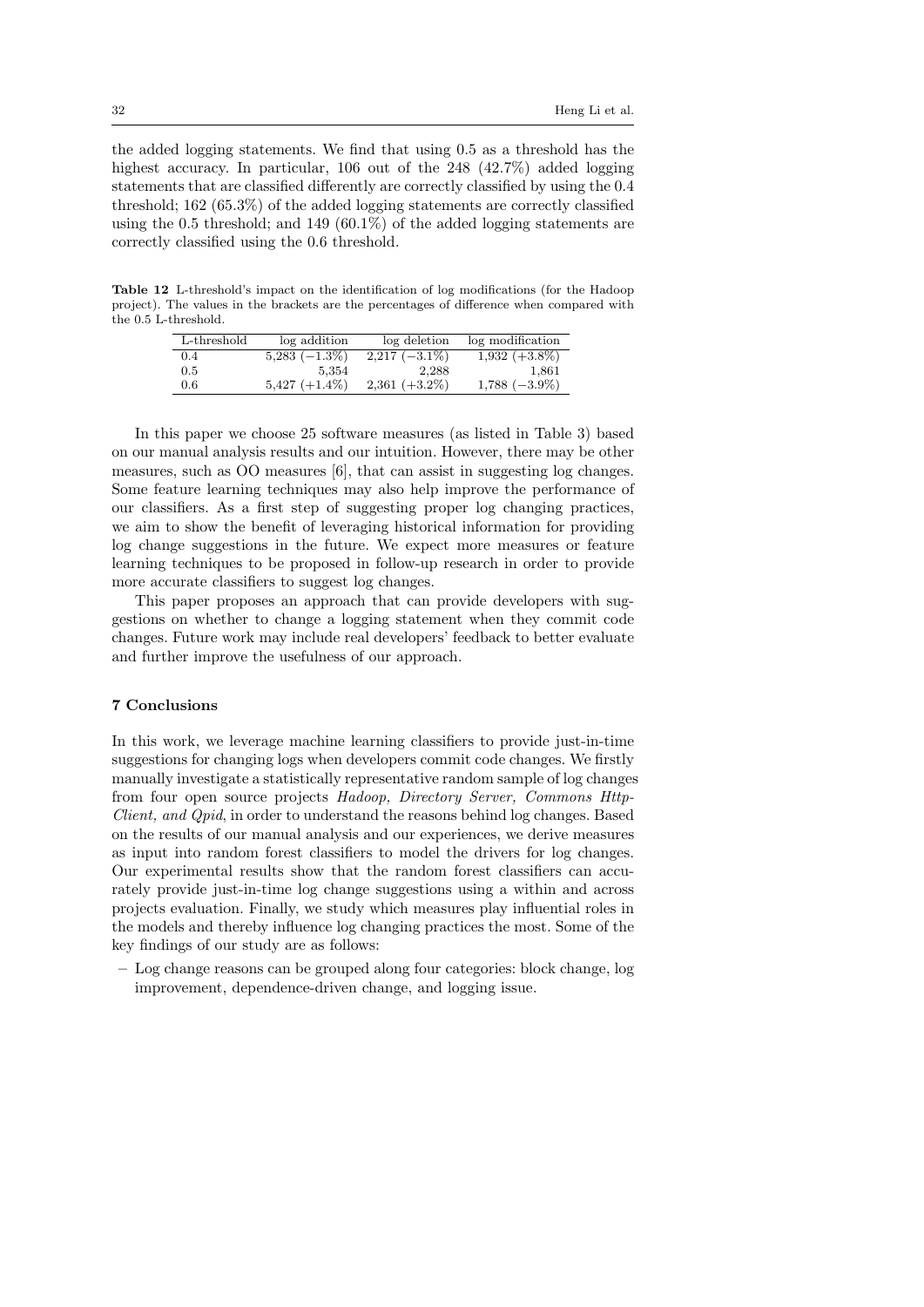the added logging statements. We find that using 0.5 as a threshold has the highest accuracy. In particular, 106 out of the 248 (42.7%) added logging statements that are classified differently are correctly classified by using the 0.4 threshold; 162 (65.3%) of the added logging statements are correctly classified using the 0.5 threshold; and 149 (60.1%) of the added logging statements are correctly classified using the 0.6 threshold.

Table 12 L-threshold's impact on the identification of log modifications (for the Hadoop project). The values in the brackets are the percentages of difference when compared with the 0.5 L-threshold.

| L-threshold | log addition     | log deletion     | log modification |
|-------------|------------------|------------------|------------------|
| 0.4         | $5,283(-1.3\%)$  | $2,217(-3.1\%)$  | $1,932 (+3.8\%)$ |
| 0.5         | 5.354            | 2.288            | 1.861            |
| 0.6         | $5,427 (+1.4\%)$ | $2,361 (+3.2\%)$ | $1,788(-3.9\%)$  |

In this paper we choose 25 software measures (as listed in Table 3) based on our manual analysis results and our intuition. However, there may be other measures, such as OO measures [6], that can assist in suggesting log changes. Some feature learning techniques may also help improve the performance of our classifiers. As a first step of suggesting proper log changing practices, we aim to show the benefit of leveraging historical information for providing log change suggestions in the future. We expect more measures or feature learning techniques to be proposed in follow-up research in order to provide more accurate classifiers to suggest log changes.

This paper proposes an approach that can provide developers with suggestions on whether to change a logging statement when they commit code changes. Future work may include real developers' feedback to better evaluate and further improve the usefulness of our approach.

# 7 Conclusions

In this work, we leverage machine learning classifiers to provide just-in-time suggestions for changing logs when developers commit code changes. We firstly manually investigate a statistically representative random sample of log changes from four open source projects Hadoop, Directory Server, Commons Http-Client, and Qpid, in order to understand the reasons behind log changes. Based on the results of our manual analysis and our experiences, we derive measures as input into random forest classifiers to model the drivers for log changes. Our experimental results show that the random forest classifiers can accurately provide just-in-time log change suggestions using a within and across projects evaluation. Finally, we study which measures play influential roles in the models and thereby influence log changing practices the most. Some of the key findings of our study are as follows:

– Log change reasons can be grouped along four categories: block change, log improvement, dependence-driven change, and logging issue.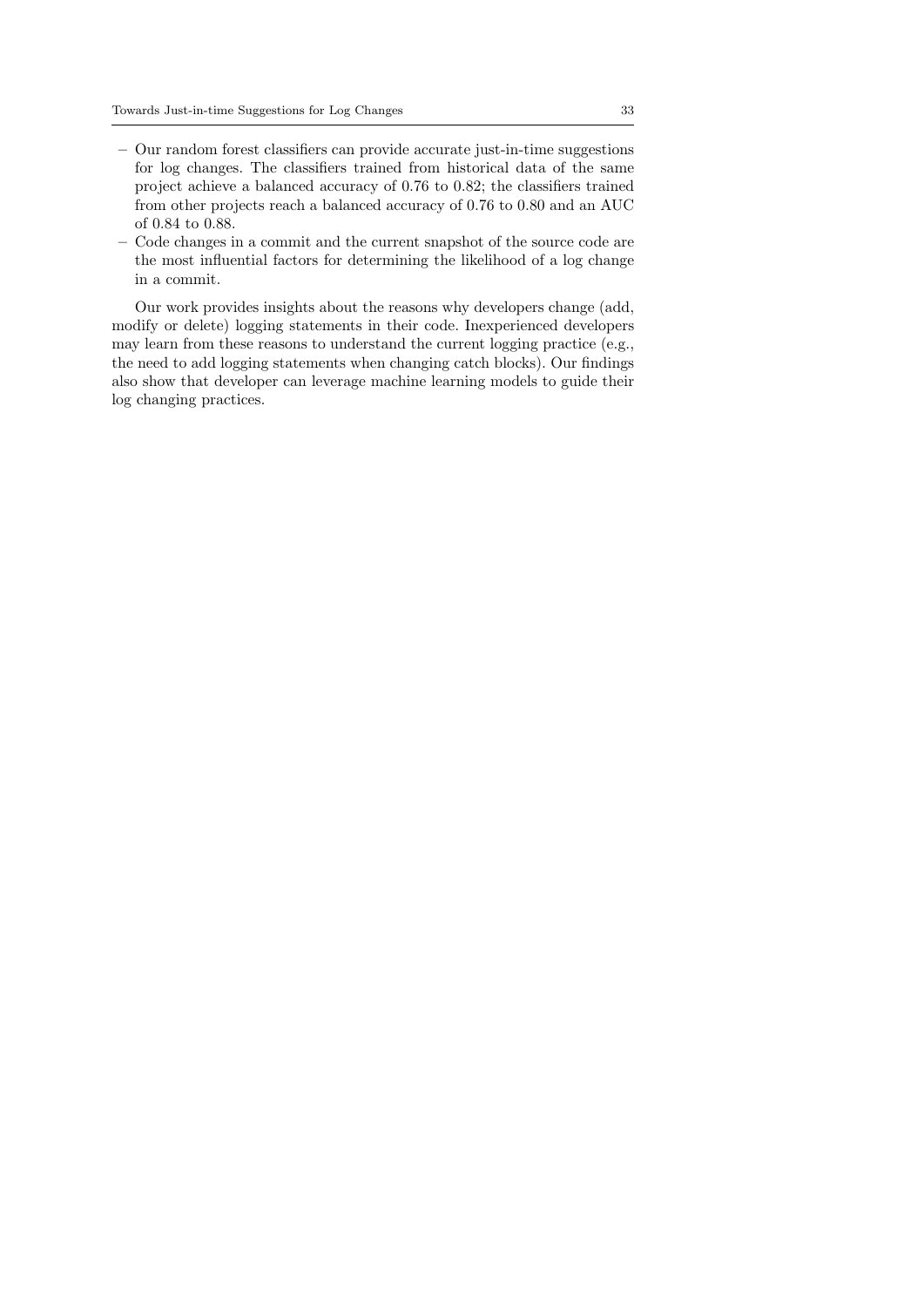- Our random forest classifiers can provide accurate just-in-time suggestions for log changes. The classifiers trained from historical data of the same project achieve a balanced accuracy of 0.76 to 0.82; the classifiers trained from other projects reach a balanced accuracy of 0.76 to 0.80 and an AUC of 0.84 to 0.88.
- Code changes in a commit and the current snapshot of the source code are the most influential factors for determining the likelihood of a log change in a commit.

Our work provides insights about the reasons why developers change (add, modify or delete) logging statements in their code. Inexperienced developers may learn from these reasons to understand the current logging practice (e.g., the need to add logging statements when changing catch blocks). Our findings also show that developer can leverage machine learning models to guide their log changing practices.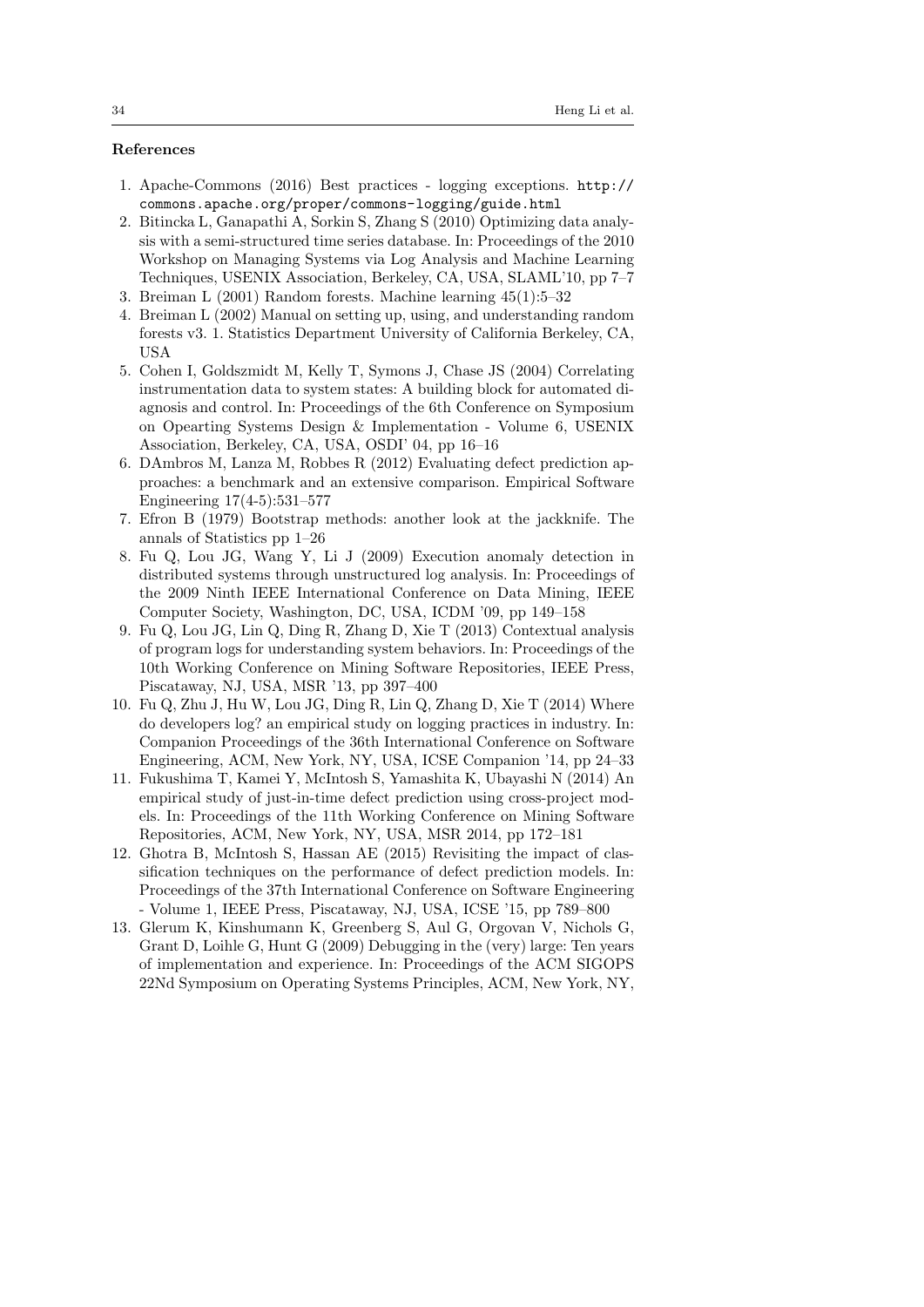# References

- 1. Apache-Commons (2016) Best practices logging exceptions. http:// commons.apache.org/proper/commons-logging/guide.html
- 2. Bitincka L, Ganapathi A, Sorkin S, Zhang S (2010) Optimizing data analysis with a semi-structured time series database. In: Proceedings of the 2010 Workshop on Managing Systems via Log Analysis and Machine Learning Techniques, USENIX Association, Berkeley, CA, USA, SLAML'10, pp 7–7
- 3. Breiman L (2001) Random forests. Machine learning 45(1):5–32
- 4. Breiman L (2002) Manual on setting up, using, and understanding random forests v3. 1. Statistics Department University of California Berkeley, CA, USA
- 5. Cohen I, Goldszmidt M, Kelly T, Symons J, Chase JS (2004) Correlating instrumentation data to system states: A building block for automated diagnosis and control. In: Proceedings of the 6th Conference on Symposium on Opearting Systems Design & Implementation - Volume 6, USENIX Association, Berkeley, CA, USA, OSDI' 04, pp 16–16
- 6. DAmbros M, Lanza M, Robbes R (2012) Evaluating defect prediction approaches: a benchmark and an extensive comparison. Empirical Software Engineering 17(4-5):531–577
- 7. Efron B (1979) Bootstrap methods: another look at the jackknife. The annals of Statistics pp 1–26
- 8. Fu Q, Lou JG, Wang Y, Li J (2009) Execution anomaly detection in distributed systems through unstructured log analysis. In: Proceedings of the 2009 Ninth IEEE International Conference on Data Mining, IEEE Computer Society, Washington, DC, USA, ICDM '09, pp 149–158
- 9. Fu Q, Lou JG, Lin Q, Ding R, Zhang D, Xie T (2013) Contextual analysis of program logs for understanding system behaviors. In: Proceedings of the 10th Working Conference on Mining Software Repositories, IEEE Press, Piscataway, NJ, USA, MSR '13, pp 397–400
- 10. Fu Q, Zhu J, Hu W, Lou JG, Ding R, Lin Q, Zhang D, Xie T (2014) Where do developers log? an empirical study on logging practices in industry. In: Companion Proceedings of the 36th International Conference on Software Engineering, ACM, New York, NY, USA, ICSE Companion '14, pp 24–33
- 11. Fukushima T, Kamei Y, McIntosh S, Yamashita K, Ubayashi N (2014) An empirical study of just-in-time defect prediction using cross-project models. In: Proceedings of the 11th Working Conference on Mining Software Repositories, ACM, New York, NY, USA, MSR 2014, pp 172–181
- 12. Ghotra B, McIntosh S, Hassan AE (2015) Revisiting the impact of classification techniques on the performance of defect prediction models. In: Proceedings of the 37th International Conference on Software Engineering - Volume 1, IEEE Press, Piscataway, NJ, USA, ICSE '15, pp 789–800
- 13. Glerum K, Kinshumann K, Greenberg S, Aul G, Orgovan V, Nichols G, Grant D, Loihle G, Hunt G (2009) Debugging in the (very) large: Ten years of implementation and experience. In: Proceedings of the ACM SIGOPS 22Nd Symposium on Operating Systems Principles, ACM, New York, NY,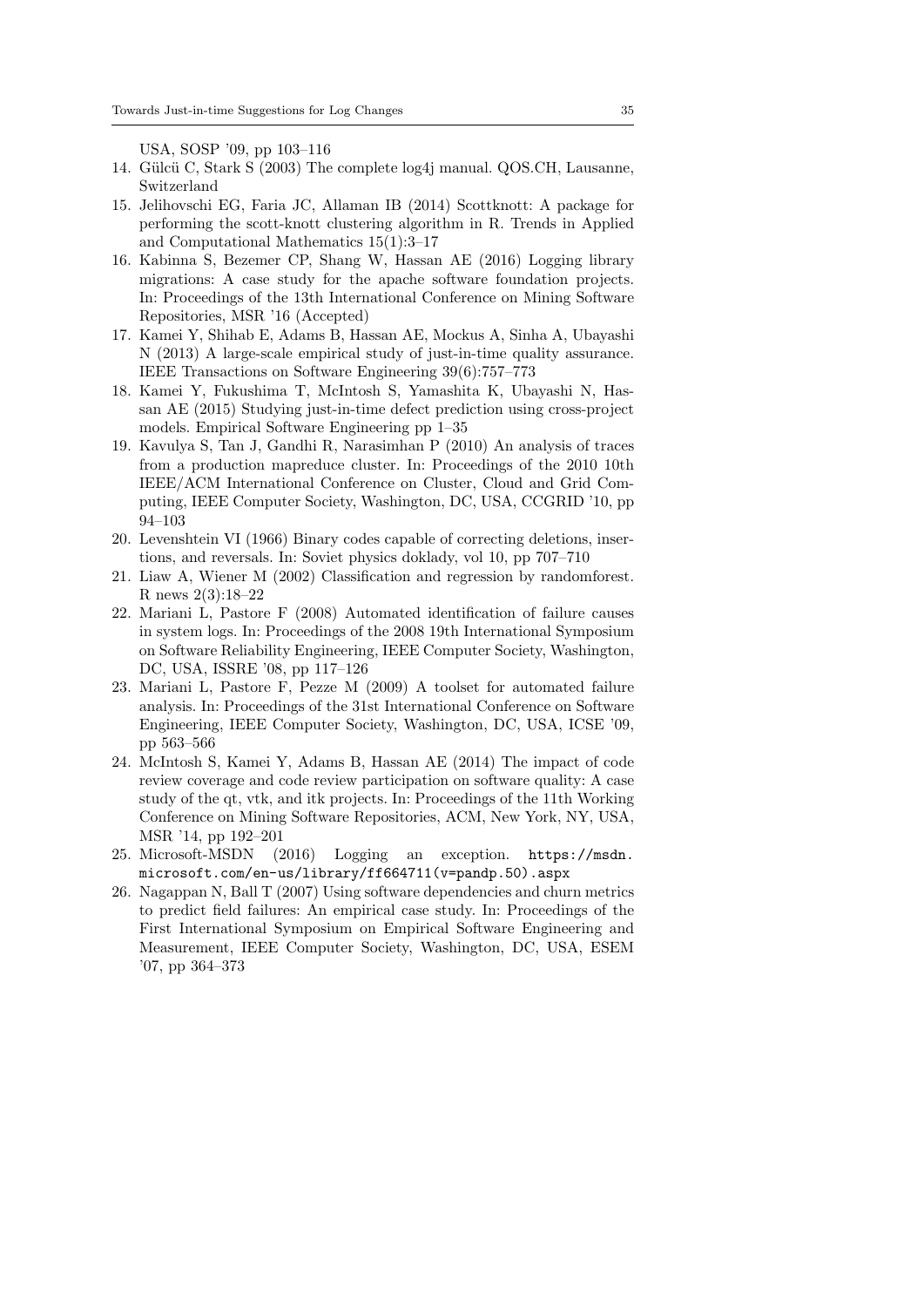USA, SOSP '09, pp 103–116

- 14. Gülcü C, Stark S (2003) The complete log4j manual. QOS.CH, Lausanne, Switzerland
- 15. Jelihovschi EG, Faria JC, Allaman IB (2014) Scottknott: A package for performing the scott-knott clustering algorithm in R. Trends in Applied and Computational Mathematics 15(1):3–17
- 16. Kabinna S, Bezemer CP, Shang W, Hassan AE (2016) Logging library migrations: A case study for the apache software foundation projects. In: Proceedings of the 13th International Conference on Mining Software Repositories, MSR '16 (Accepted)
- 17. Kamei Y, Shihab E, Adams B, Hassan AE, Mockus A, Sinha A, Ubayashi N (2013) A large-scale empirical study of just-in-time quality assurance. IEEE Transactions on Software Engineering 39(6):757–773
- 18. Kamei Y, Fukushima T, McIntosh S, Yamashita K, Ubayashi N, Hassan AE (2015) Studying just-in-time defect prediction using cross-project models. Empirical Software Engineering pp 1–35
- 19. Kavulya S, Tan J, Gandhi R, Narasimhan P (2010) An analysis of traces from a production mapreduce cluster. In: Proceedings of the 2010 10th IEEE/ACM International Conference on Cluster, Cloud and Grid Computing, IEEE Computer Society, Washington, DC, USA, CCGRID '10, pp 94–103
- 20. Levenshtein VI (1966) Binary codes capable of correcting deletions, insertions, and reversals. In: Soviet physics doklady, vol 10, pp 707–710
- 21. Liaw A, Wiener M (2002) Classification and regression by randomforest. R news 2(3):18–22
- 22. Mariani L, Pastore F (2008) Automated identification of failure causes in system logs. In: Proceedings of the 2008 19th International Symposium on Software Reliability Engineering, IEEE Computer Society, Washington, DC, USA, ISSRE '08, pp 117–126
- 23. Mariani L, Pastore F, Pezze M (2009) A toolset for automated failure analysis. In: Proceedings of the 31st International Conference on Software Engineering, IEEE Computer Society, Washington, DC, USA, ICSE '09, pp 563–566
- 24. McIntosh S, Kamei Y, Adams B, Hassan AE (2014) The impact of code review coverage and code review participation on software quality: A case study of the qt, vtk, and itk projects. In: Proceedings of the 11th Working Conference on Mining Software Repositories, ACM, New York, NY, USA, MSR '14, pp 192–201
- 25. Microsoft-MSDN (2016) Logging an exception. https://msdn. microsoft.com/en-us/library/ff664711(v=pandp.50).aspx
- 26. Nagappan N, Ball T (2007) Using software dependencies and churn metrics to predict field failures: An empirical case study. In: Proceedings of the First International Symposium on Empirical Software Engineering and Measurement, IEEE Computer Society, Washington, DC, USA, ESEM '07, pp 364–373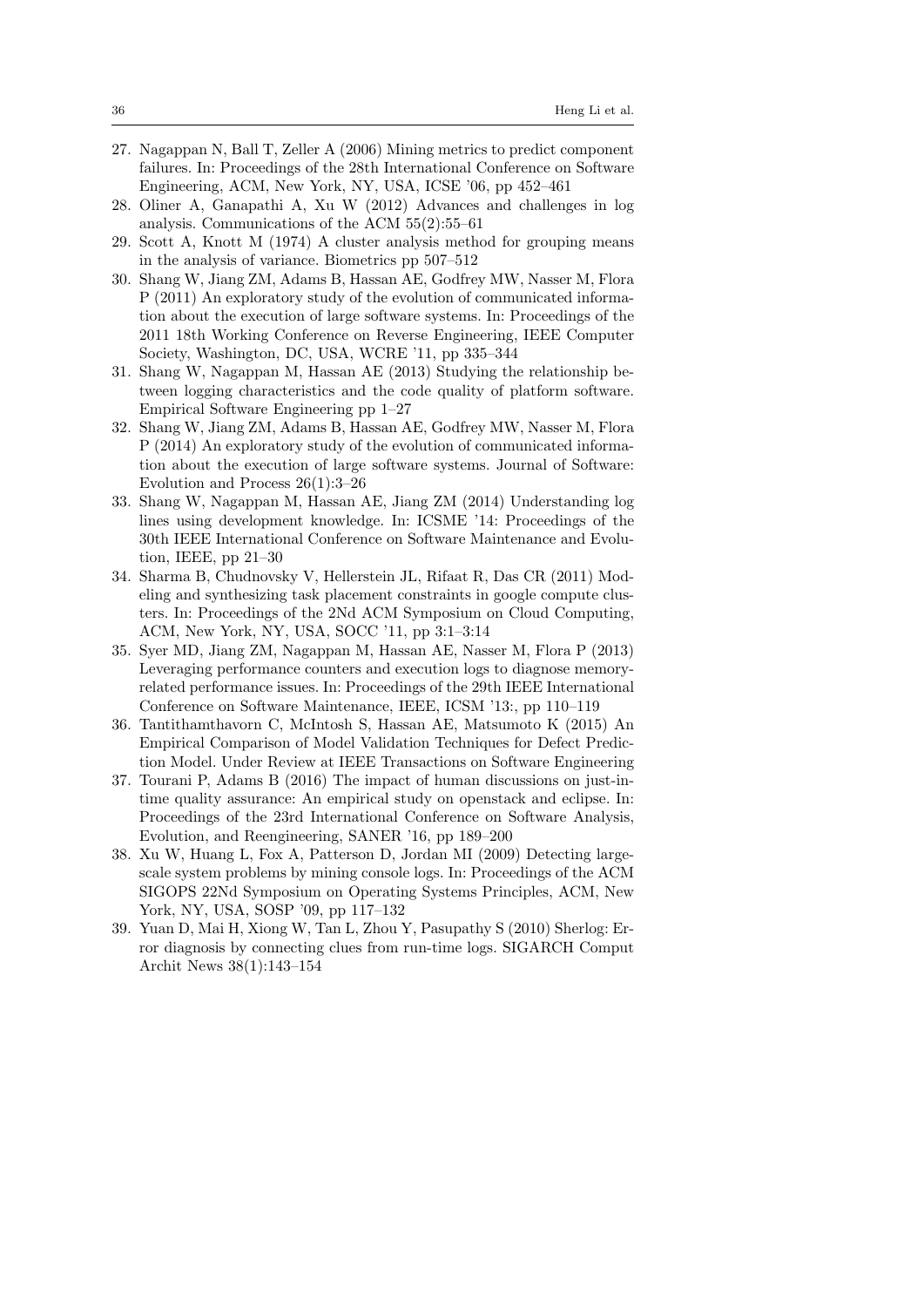- 27. Nagappan N, Ball T, Zeller A (2006) Mining metrics to predict component failures. In: Proceedings of the 28th International Conference on Software Engineering, ACM, New York, NY, USA, ICSE '06, pp 452–461
- 28. Oliner A, Ganapathi A, Xu W (2012) Advances and challenges in log analysis. Communications of the ACM 55(2):55–61
- 29. Scott A, Knott M (1974) A cluster analysis method for grouping means in the analysis of variance. Biometrics pp 507–512
- 30. Shang W, Jiang ZM, Adams B, Hassan AE, Godfrey MW, Nasser M, Flora P (2011) An exploratory study of the evolution of communicated information about the execution of large software systems. In: Proceedings of the 2011 18th Working Conference on Reverse Engineering, IEEE Computer Society, Washington, DC, USA, WCRE '11, pp 335–344
- 31. Shang W, Nagappan M, Hassan AE (2013) Studying the relationship between logging characteristics and the code quality of platform software. Empirical Software Engineering pp 1–27
- 32. Shang W, Jiang ZM, Adams B, Hassan AE, Godfrey MW, Nasser M, Flora P (2014) An exploratory study of the evolution of communicated information about the execution of large software systems. Journal of Software: Evolution and Process 26(1):3–26
- 33. Shang W, Nagappan M, Hassan AE, Jiang ZM (2014) Understanding log lines using development knowledge. In: ICSME '14: Proceedings of the 30th IEEE International Conference on Software Maintenance and Evolution, IEEE, pp 21–30
- 34. Sharma B, Chudnovsky V, Hellerstein JL, Rifaat R, Das CR (2011) Modeling and synthesizing task placement constraints in google compute clusters. In: Proceedings of the 2Nd ACM Symposium on Cloud Computing, ACM, New York, NY, USA, SOCC '11, pp 3:1–3:14
- 35. Syer MD, Jiang ZM, Nagappan M, Hassan AE, Nasser M, Flora P (2013) Leveraging performance counters and execution logs to diagnose memoryrelated performance issues. In: Proceedings of the 29th IEEE International Conference on Software Maintenance, IEEE, ICSM '13:, pp 110–119
- 36. Tantithamthavorn C, McIntosh S, Hassan AE, Matsumoto K (2015) An Empirical Comparison of Model Validation Techniques for Defect Prediction Model. Under Review at IEEE Transactions on Software Engineering
- 37. Tourani P, Adams B (2016) The impact of human discussions on just-intime quality assurance: An empirical study on openstack and eclipse. In: Proceedings of the 23rd International Conference on Software Analysis, Evolution, and Reengineering, SANER '16, pp 189–200
- 38. Xu W, Huang L, Fox A, Patterson D, Jordan MI (2009) Detecting largescale system problems by mining console logs. In: Proceedings of the ACM SIGOPS 22Nd Symposium on Operating Systems Principles, ACM, New York, NY, USA, SOSP '09, pp 117–132
- 39. Yuan D, Mai H, Xiong W, Tan L, Zhou Y, Pasupathy S (2010) Sherlog: Error diagnosis by connecting clues from run-time logs. SIGARCH Comput Archit News 38(1):143–154